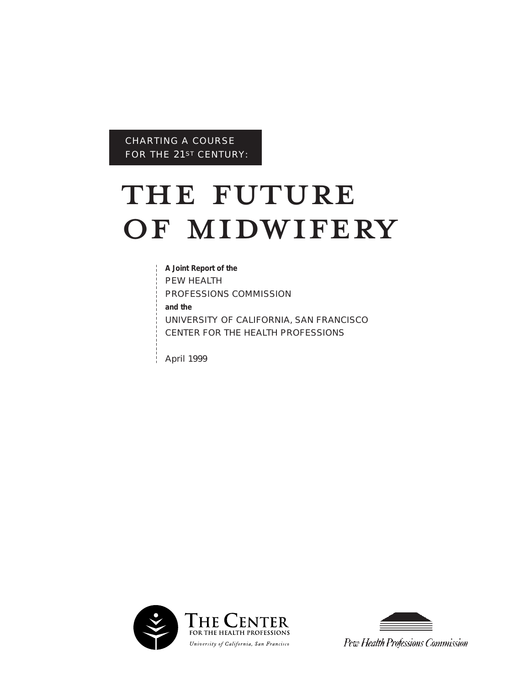CHARTING A COURSE FOR THE 21ST CENTURY:

# FOR THE 21ST CENTURY:<br>THE FUTURE THE FUTURE<br>OF MIDWIFERY

**A Joint Report of the**  PEW HEALTH PROFESSIONS COMMISSION **and the** UNIVERSITY OF CALIFORNIA, SAN FRANCISCO CENTER FOR THE HEALTH PROFESSIONS

April 1999





Pew Health Professions Commission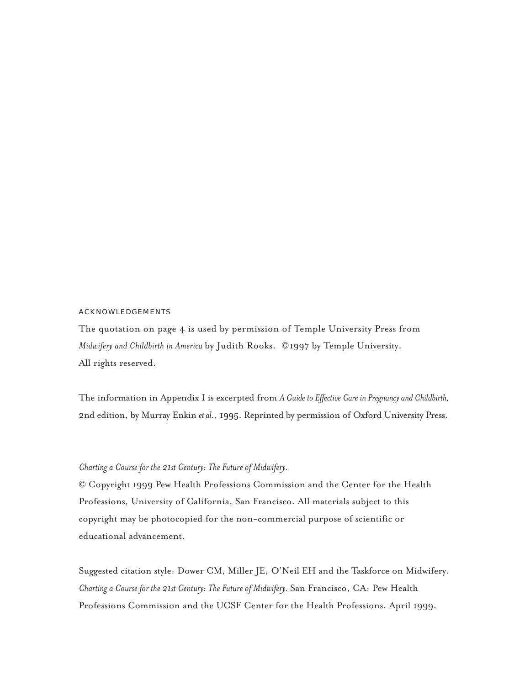# ACKNOWLEDGEMENTS

The quotation on page 4 is used by permission of Temple University Press from *Midwifery and Childbirth in America* by Judith Rooks. ©1997 by Temple University. All rights reserved.

The information in Appendix I is excerpted from *A Guide to Effective Care in Pregnancy and Childbirth,* 2nd edition, by Murray Enkin *et al*., 1995. Reprinted by permission of Oxford University Press.

# *Charting a Course for the 21st Century: The Future of Midwifery.*

© Copyright 1999 Pew Health Professions Commission and the Center for the Health Professions, University of California, San Francisco. All materials subject to this copyright may be photocopied for the non-commercial purpose of scientific or educational advancement.

Suggested citation style: Dower CM, Miller JE, O'Neil EH and the Taskforce on Midwifery. *Charting a Course for the 21st Century: The Future of Midwifery.* San Francisco, CA: Pew Health Professions Commission and the UCSF Center for the Health Professions. April 1999.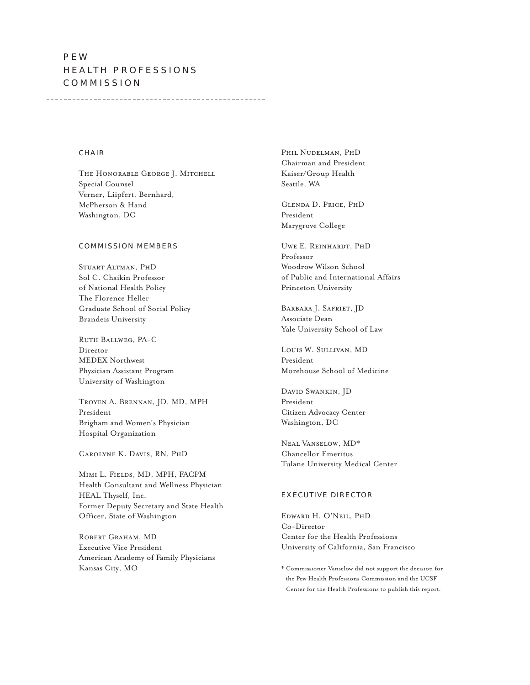# PEW HEALTH PROFESSIONS COMMISSION

#### CHAIR

The Honorable George J. Mitchell Special Counsel Verner, Liipfert, Bernhard, McPherson & Hand Washington, DC

#### COMMISSION MEMBERS

Stuart Altman, PhD Sol C. Chaikin Professor of National Health Policy The Florence Heller Graduate School of Social Policy Brandeis University

Ruth Ballweg, PA-C Director MEDEX Northwest Physician Assistant Program University of Washington

Troyen A. Brennan, JD, MD, MPH President Brigham and Women's Physician Hospital Organization

Carolyne K. Davis, RN, PhD

Mimi L. Fields, MD, MPH, FACPM Health Consultant and Wellness Physician HEAL Thyself, Inc. Former Deputy Secretary and State Health Officer, State of Washington

ROBERT GRAHAM, MD Executive Vice President American Academy of Family Physicians Kansas City, MO

Phil Nudelman, PhD Chairman and President Kaiser/Group Health Seattle, WA

Glenda D. Price, PhD President Marygrove College

Uwe E. Reinhardt, PhD Professor Woodrow Wilson School of Public and International Affairs Princeton University

Barbara J. Safriet, JD Associate Dean Yale University School of Law

Louis W. Sullivan, MD President Morehouse School of Medicine

David Swankin, JD President Citizen Advocacy Center Washington, DC

Neal Vanselow, MD\* Chancellor Emeritus Tulane University Medical Center

# EXECUTIVE DIRECTOR

Edward H. O'Neil, PhD Co-Director Center for the Health Professions University of California, San Francisco

\* Commissioner Vanselow did not support the decision for the Pew Health Professions Commission and the UCSF Center for the Health Professions to publish this report.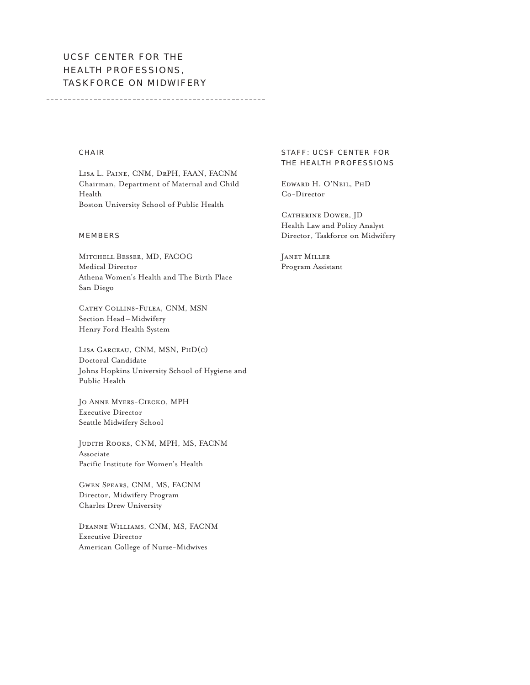# UCSF CENTER FOR THE HEALTH PROFESSIONS, TASKFORCE ON MIDWIFERY

# CHAIR

Lisa L. Paine, CNM, DrPH, FAAN, FACNM Chairman, Department of Maternal and Child Health Boston University School of Public Health

#### MEMBERS

Mitchell Besser, MD, FACOG Medical Director Athena Women's Health and The Birth Place San Diego

Cathy Collins-Fulea, CNM, MSN Section Head – Midwifery Henry Ford Health System

Lisa Garceau, CNM, MSN, PhD(c) Doctoral Candidate Johns Hopkins University School of Hygiene and Public Health

Jo Anne Myers-Ciecko, MPH Executive Director Seattle Midwifery School

Judith Rooks, CNM, MPH, MS, FACNM Associate Pacific Institute for Women's Health

Gwen Spears, CNM, MS, FACNM Director, Midwifery Program Charles Drew University

Deanne Williams, CNM, MS, FACNM Executive Director American College of Nurse-Midwives

# STAFF: UCSF CENTER FOR THE HEALTH PROFESSIONS

Edward H. O'Neil, PhD Co-Director

CATHERINE DOWER, JD Health Law and Policy Analyst Director, Taskforce on Midwifery

Janet Miller Program Assistant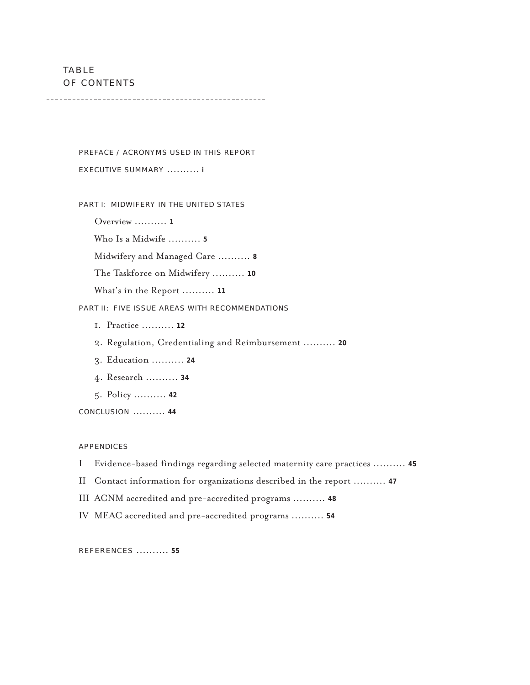TABLE OF CONTENTS

PREFACE / ACRONYMS USED IN THIS REPORT EXECUTIVE SUMMARY .......... **<sup>i</sup>**

PART I: MIDWIFERY IN THE UNITED STATES

Overview .......... **<sup>1</sup>**

Who Is a Midwife .......... **<sup>5</sup>**

Midwifery and Managed Care .......... **<sup>8</sup>**

The Taskforce on Midwifery .......... **<sup>10</sup>**

What's in the Report .......... **<sup>11</sup>**

PART II: FIVE ISSUE AREAS WITH RECOMMENDATIONS

- 1. Practice .......... **<sup>12</sup>**
- 2. Regulation, Credentialing and Reimbursement .......... **<sup>20</sup>**
- 3. Education .......... **<sup>24</sup>**
- 4. Research .......... **<sup>34</sup>**
- 5. Policy .......... **<sup>42</sup>**

CONCLUSION .......... **<sup>44</sup>**

## APPENDICES

I Evidence-based findings regarding selected maternity care practices .......... **<sup>45</sup>**

II Contact information for organizations described in the report .......... **<sup>47</sup>**

III ACNM accredited and pre-accredited programs .......... **<sup>48</sup>**

IV MEAC accredited and pre-accredited programs .......... **<sup>54</sup>**

REFERENCES .......... **<sup>55</sup>**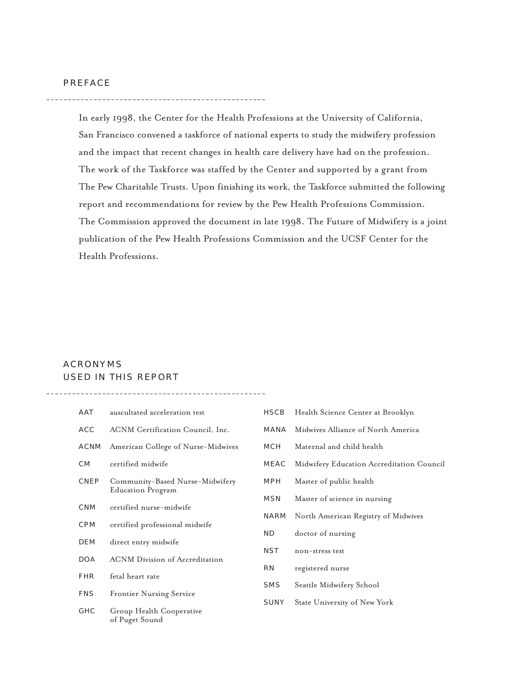In early 1998, the Center for the Health Professions at the University of California, San Francisco convened a taskforce of national experts to study the midwifery profession and the impact that recent changes in health care delivery have had on the profession. The work of the Taskforce was staffed by the Center and supported by a grant from The Pew Charitable Trusts. Upon finishing its work, the Taskforce submitted the following report and recommendations for review by the Pew Health Professions Commission. The Commission approved the document in late 1998. The Future of Midwifery is a joint publication of the Pew Health Professions Commission and the UCSF Center for the Health Professions.

# ACRONYMS USED IN THIS REPORT

| AAT         | auscultated acceleration test              | <b>HSCB</b> | Health Science Center at Brooklyn         |
|-------------|--------------------------------------------|-------------|-------------------------------------------|
| <b>ACC</b>  | ACNM Certification Council, Inc.           | <b>MANA</b> | Midwives Alliance of North America        |
| <b>ACNM</b> | American College of Nurse-Midwives         | <b>MCH</b>  | Maternal and child health                 |
| CM          | certified midwife                          | MEAC        | Midwifery Education Accreditation Council |
| CNEP        | Community-Based Nurse-Midwifery            | MPH         | Master of public health                   |
|             | <b>Education Program</b>                   | <b>MSN</b>  | Master of science in nursing              |
| <b>CNM</b>  | certified nurse-midwife                    | NARM        | North American Registry of Midwives       |
| <b>CPM</b>  | certified professional midwife             | ND.         | doctor of nursing                         |
| DEM         | direct entry midwife                       | <b>NST</b>  | non-stress test                           |
| <b>DOA</b>  | <b>ACNM</b> Division of Accreditation      | <b>RN</b>   | registered nurse                          |
| <b>FHR</b>  | fetal heart rate                           | <b>SMS</b>  | Seattle Midwifery School                  |
| <b>FNS</b>  | <b>Frontier Nursing Service</b>            | SUNY        |                                           |
| <b>GHC</b>  | Group Health Cooperative<br>of Puget Sound |             | State University of New York              |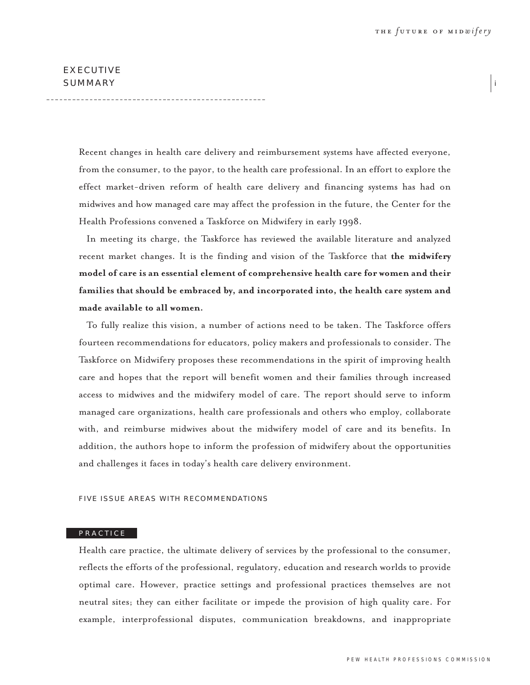# EXECUTIVE SUMMARY PRESERVED FOR A SUMMARY SUMMARY SUMMARY

Recent changes in health care delivery and reimbursement systems have affected everyone, from the consumer, to the payor, to the health care professional. In an effort to explore the effect market-driven reform of health care delivery and financing systems has had on midwives and how managed care may affect the profession in the future, the Center for the Health Professions convened a Taskforce on Midwifery in early 1998.

In meeting its charge, the Taskforce has reviewed the available literature and analyzed recent market changes. It is the finding and vision of the Taskforce that **the midwifery model of care is an essential element of comprehensive health care for women and their families that should be embraced by, and incorporated into, the health care system and made available to all women.**

To fully realize this vision, a number of actions need to be taken. The Taskforce offers fourteen recommendations for educators, policy makers and professionals to consider. The Taskforce on Midwifery proposes these recommendations in the spirit of improving health care and hopes that the report will benefit women and their families through increased access to midwives and the midwifery model of care. The report should serve to inform managed care organizations, health care professionals and others who employ, collaborate with, and reimburse midwives about the midwifery model of care and its benefits. In addition, the authors hope to inform the profession of midwifery about the opportunities and challenges it faces in today's health care delivery environment.

## FIVE ISSUE AREAS WITH RECOMMENDATIONS

#### PRACTICE

Health care practice, the ultimate delivery of services by the professional to the consumer, reflects the efforts of the professional, regulatory, education and research worlds to provide optimal care. However, practice settings and professional practices themselves are not neutral sites; they can either facilitate or impede the provision of high quality care. For example, interprofessional disputes, communication breakdowns, and inappropriate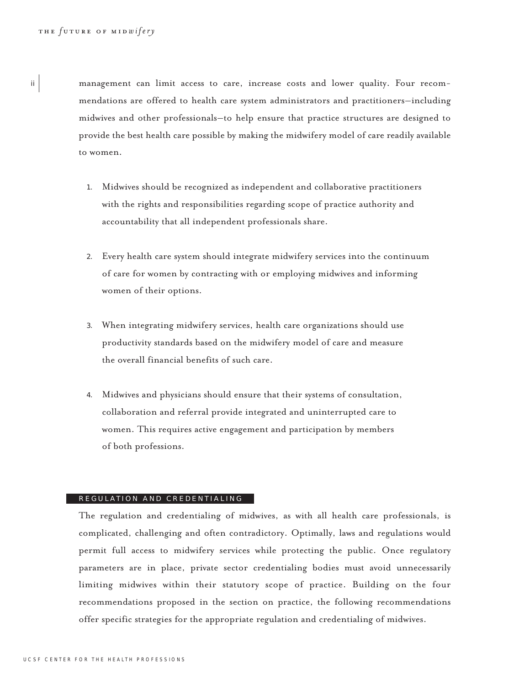ii

management can limit access to care, increase costs and lower quality. Four recommendations are offered to health care system administrators and practitioners–including midwives and other professionals–to help ensure that practice structures are designed to provide the best health care possible by making the midwifery model of care readily available to women.

- 1. Midwives should be recognized as independent and collaborative practitioners with the rights and responsibilities regarding scope of practice authority and accountability that all independent professionals share.
- 2. Every health care system should integrate midwifery services into the continuum of care for women by contracting with or employing midwives and informing women of their options.
- 3. When integrating midwifery services, health care organizations should use productivity standards based on the midwifery model of care and measure the overall financial benefits of such care.
- 4. Midwives and physicians should ensure that their systems of consultation, collaboration and referral provide integrated and uninterrupted care to women. This requires active engagement and participation by members of both professions.

#### REGULATION AND CREDENTIALING

The regulation and credentialing of midwives, as with all health care professionals, is complicated, challenging and often contradictory. Optimally, laws and regulations would permit full access to midwifery services while protecting the public. Once regulatory parameters are in place, private sector credentialing bodies must avoid unnecessarily limiting midwives within their statutory scope of practice. Building on the four recommendations proposed in the section on practice, the following recommendations offer specific strategies for the appropriate regulation and credentialing of midwives.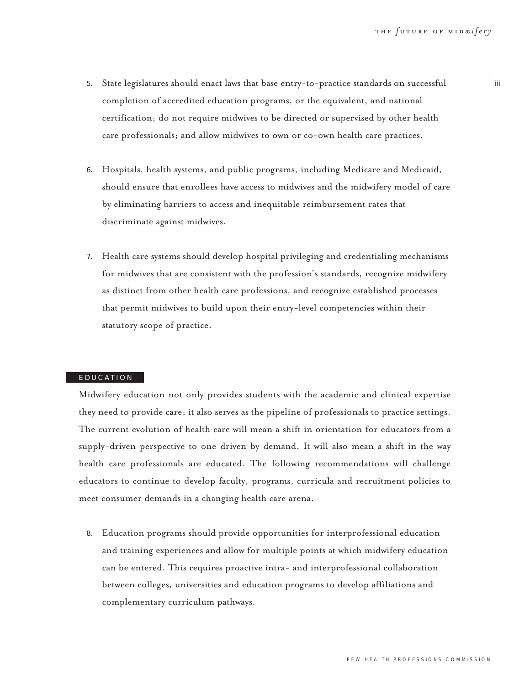- 5. State legislatures should enact laws that base entry-to-practice standards on successful completion of accredited education programs, or the equivalent, and national certification; do not require midwives to be directed or supervised by other health care professionals; and allow midwives to own or co-own health care practices.
- 6. Hospitals, health systems, and public programs, including Medicare and Medicaid, should ensure that enrollees have access to midwives and the midwifery model of care by eliminating barriers to access and inequitable reimbursement rates that discriminate against midwives.
- 7. Health care systems should develop hospital privileging and credentialing mechanisms for midwives that are consistent with the profession's standards, recognize midwifery as distinct from other health care professions, and recognize established processes that permit midwives to build upon their entry-level competencies within their statutory scope of practice.

#### EDUCATION

Midwifery education not only provides students with the academic and clinical expertise they need to provide care; it also serves as the pipeline of professionals to practice settings. The current evolution of health care will mean a shift in orientation for educators from a supply-driven perspective to one driven by demand. It will also mean a shift in the way health care professionals are educated. The following recommendations will challenge educators to continue to develop faculty, programs, curricula and recruitment policies to meet consumer demands in a changing health care arena.

8. Education programs should provide opportunities for interprofessional education and training experiences and allow for multiple points at which midwifery education can be entered. This requires proactive intra- and interprofessional collaboration between colleges, universities and education programs to develop affiliations and complementary curriculum pathways.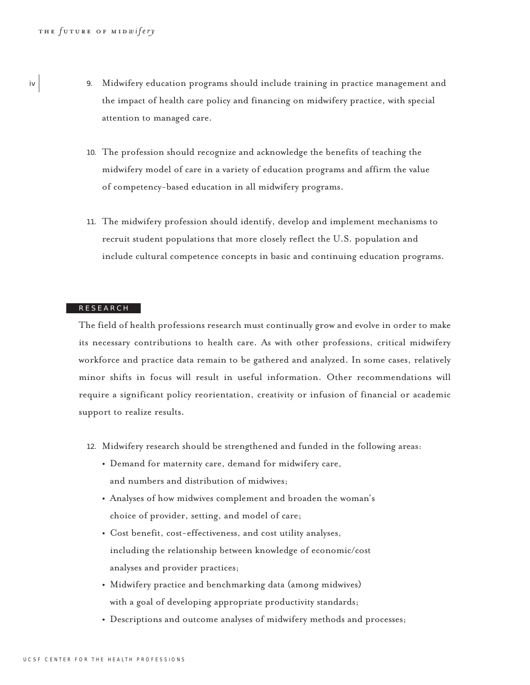- iv 9. Midwifery education programs should include training in practice management and the impact of health care policy and financing on midwifery practice, with special attention to managed care.
	- 10. The profession should recognize and acknowledge the benefits of teaching the midwifery model of care in a variety of education programs and affirm the value of competency-based education in all midwifery programs.
	- 11. The midwifery profession should identify, develop and implement mechanisms to recruit student populations that more closely reflect the U.S. population and include cultural competence concepts in basic and continuing education programs.

#### RESEARCH

The field of health professions research must continually grow and evolve in order to make its necessary contributions to health care. As with other professions, critical midwifery workforce and practice data remain to be gathered and analyzed. In some cases, relatively minor shifts in focus will result in useful information. Other recommendations will require a significant policy reorientation, creativity or infusion of financial or academic support to realize results.

- 12. Midwifery research should be strengthened and funded in the following areas:
	- **•** Demand for maternity care, demand for midwifery care, and numbers and distribution of midwives;
	- **•** Analyses of how midwives complement and broaden the woman's choice of provider, setting, and model of care;
	- **•** Cost benefit, cost-effectiveness, and cost utility analyses, including the relationship between knowledge of economic/cost analyses and provider practices;
	- **•** Midwifery practice and benchmarking data (among midwives) with a goal of developing appropriate productivity standards;
	- **•** Descriptions and outcome analyses of midwifery methods and processes;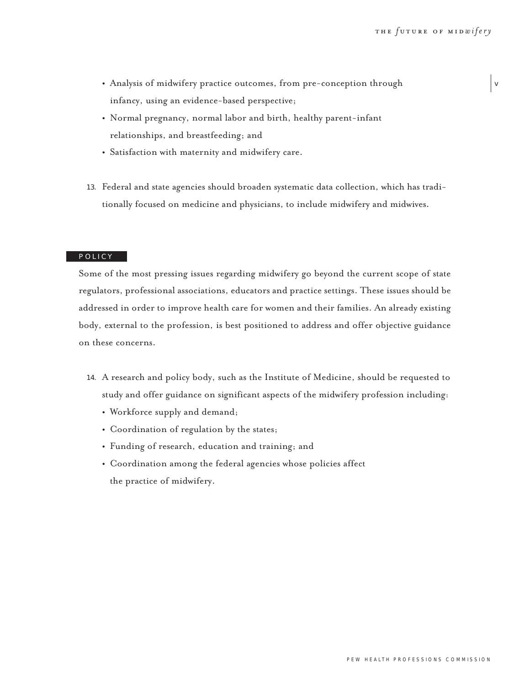v

- **•** Analysis of midwifery practice outcomes, from pre-conception through infancy, using an evidence-based perspective;
- **•** Normal pregnancy, normal labor and birth, healthy parent-infant relationships, and breastfeeding; and
- **•** Satisfaction with maternity and midwifery care.
- 13. Federal and state agencies should broaden systematic data collection, which has traditionally focused on medicine and physicians, to include midwifery and midwives.

## POLICY

Some of the most pressing issues regarding midwifery go beyond the current scope of state regulators, professional associations, educators and practice settings. These issues should be addressed in order to improve health care for women and their families. An already existing body, external to the profession, is best positioned to address and offer objective guidance on these concerns.

- 14. A research and policy body, such as the Institute of Medicine, should be requested to study and offer guidance on significant aspects of the midwifery profession including:
	- **•** Workforce supply and demand;
	- **•** Coordination of regulation by the states;
	- **•** Funding of research, education and training; and
	- **•** Coordination among the federal agencies whose policies affect the practice of midwifery.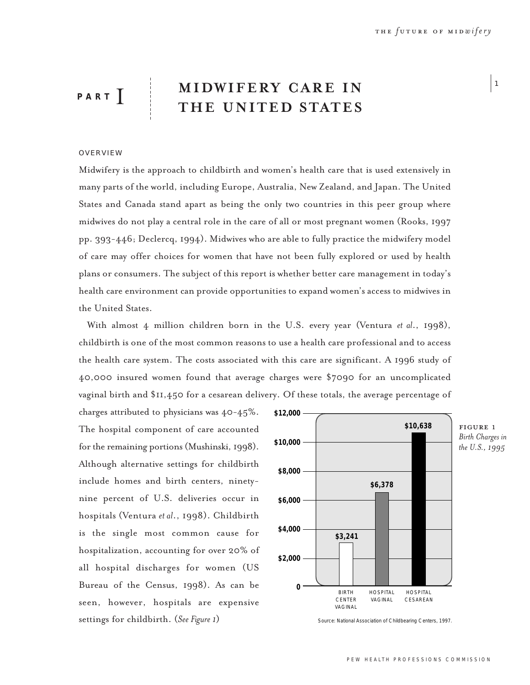$\vert$  1

# **MIDWIFERY CARE IN THE UNITED STATES PART** I

# OVERVIEW

Midwifery is the approach to childbirth and women's health care that is used extensively in many parts of the world, including Europe, Australia, New Zealand, and Japan. The United States and Canada stand apart as being the only two countries in this peer group where midwives do not play a central role in the care of all or most pregnant women (Rooks, 1997 pp. 393-446; Declercq, 1994). Midwives who are able to fully practice the midwifery model of care may offer choices for women that have not been fully explored or used by health plans or consumers. The subject of this report is whether better care management in today's health care environment can provide opportunities to expand women's access to midwives in the United States.

With almost 4 million children born in the U.S. every year (Ventura *et al*., 1998), childbirth is one of the most common reasons to use a health care professional and to access the health care system. The costs associated with this care are significant. A 1996 study of 40,000 insured women found that average charges were \$7090 for an uncomplicated vaginal birth and \$11,450 for a cesarean delivery. Of these totals, the average percentage of

charges attributed to physicians was 40-45%. The hospital component of care accounted for the remaining portions (Mushinski, 1998). Although alternative settings for childbirth include homes and birth centers, ninetynine percent of U.S. deliveries occur in hospitals (Ventura *et al*., 1998). Childbirth is the single most common cause for hospitalization, accounting for over 20% of all hospital discharges for women (US Bureau of the Census, 1998). As can be seen, however, hospitals are expensive settings for childbirth. (*See Figure 1*)



Source: National Association of Childbearing Centers, 1997.

FIGURE 1 *Birth Charges in the U.S., 1995*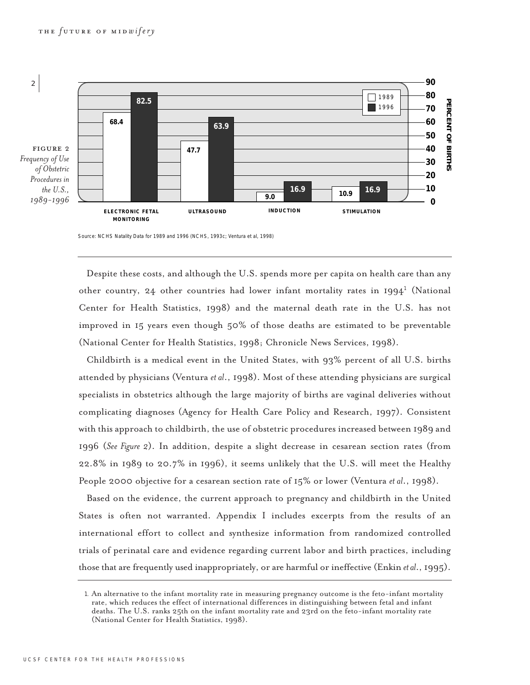

Source: NCHS Natality Data for 1989 and 1996 (NCHS, 1993c; Ventura et al, 1998)

Despite these costs, and although the U.S. spends more per capita on health care than any other country, 24 other countries had lower infant mortality rates in  $1994<sup>1</sup>$  (National Center for Health Statistics, 1998) and the maternal death rate in the U.S. has not improved in 15 years even though 50% of those deaths are estimated to be preventable (National Center for Health Statistics, 1998; Chronicle News Services, 1998).

Childbirth is a medical event in the United States, with 93% percent of all U.S. births attended by physicians (Ventura *et al*., 1998). Most of these attending physicians are surgical specialists in obstetrics although the large majority of births are vaginal deliveries without complicating diagnoses (Agency for Health Care Policy and Research, 1997). Consistent with this approach to childbirth, the use of obstetric procedures increased between 1989 and 1996 (*See Figure 2*). In addition, despite a slight decrease in cesarean section rates (from 22.8% in 1989 to 20.7% in 1996), it seems unlikely that the U.S. will meet the Healthy People 2000 objective for a cesarean section rate of 15% or lower (Ventura *et al*., 1998).

Based on the evidence, the current approach to pregnancy and childbirth in the United States is often not warranted. Appendix I includes excerpts from the results of an international effort to collect and synthesize information from randomized controlled trials of perinatal care and evidence regarding current labor and birth practices, including those that are frequently used inappropriately, or are harmful or ineffective (Enkin *et al*., 1995).

<sup>1</sup>. An alternative to the infant mortality rate in measuring pregnancy outcome is the feto-infant mortality rate, which reduces the effect of international differences in distinguishing between fetal and infant deaths. The U.S. ranks 25th on the infant mortality rate and 23rd on the feto-infant mortality rate (National Center for Health Statistics, 1998).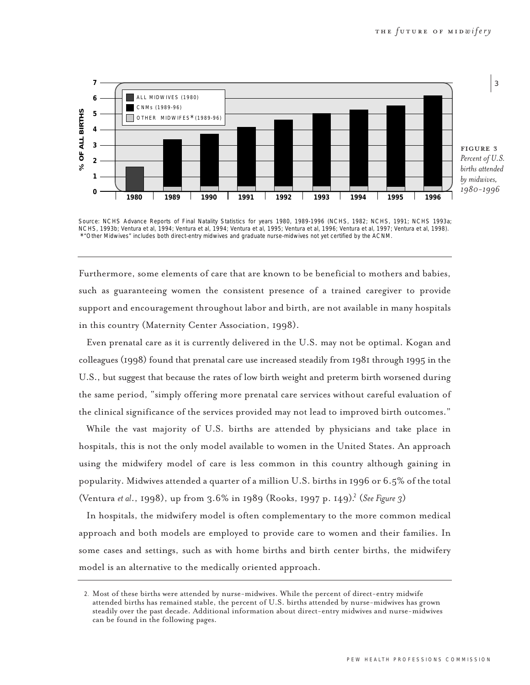

*Percent of U.S. births attended*

Source: NCHS Advance Reports of Final Natality Statistics for years 1980, 1989-1996 (NCHS, 1982; NCHS, 1991; NCHS 1993a; NCHS, 1993b; Ventura et al, 1994; Ventura et al, 1994; Ventura et al, 1995; Ventura et al, 1996; Ventura et al, 1997; Ventura et al, 1998). \* "Other Midwives" includes both direct-entry midwives and graduate nurse-midwives not yet certified by the ACNM.

Furthermore, some elements of care that are known to be beneficial to mothers and babies, such as guaranteeing women the consistent presence of a trained caregiver to provide support and encouragement throughout labor and birth, are not available in many hospitals in this country (Maternity Center Association, 1998).

Even prenatal care as it is currently delivered in the U.S. may not be optimal. Kogan and colleagues (1998) found that prenatal care use increased steadily from 1981 through 1995 in the U.S., but suggest that because the rates of low birth weight and preterm birth worsened during the same period, "simply offering more prenatal care services without careful evaluation of the clinical significance of the services provided may not lead to improved birth outcomes."

While the vast majority of U.S. births are attended by physicians and take place in hospitals, this is not the only model available to women in the United States. An approach using the midwifery model of care is less common in this country although gaining in popularity. Midwives attended a quarter of a million U.S. births in 1996 or 6.5% of the total (Ventura *et al.*, 1998), up from 3.6% in 1989 (Rooks, 1997 p. 149).<sup>2</sup> (*See Figure 3*)

In hospitals, the midwifery model is often complementary to the more common medical approach and both models are employed to provide care to women and their families. In some cases and settings, such as with home births and birth center births, the midwifery model is an alternative to the medically oriented approach.

<sup>2</sup>. Most of these births were attended by nurse-midwives. While the percent of direct-entry midwife attended births has remained stable, the percent of U.S. births attended by nurse-midwives has grown steadily over the past decade. Additional information about direct-entry midwives and nurse-midwives can be found in the following pages.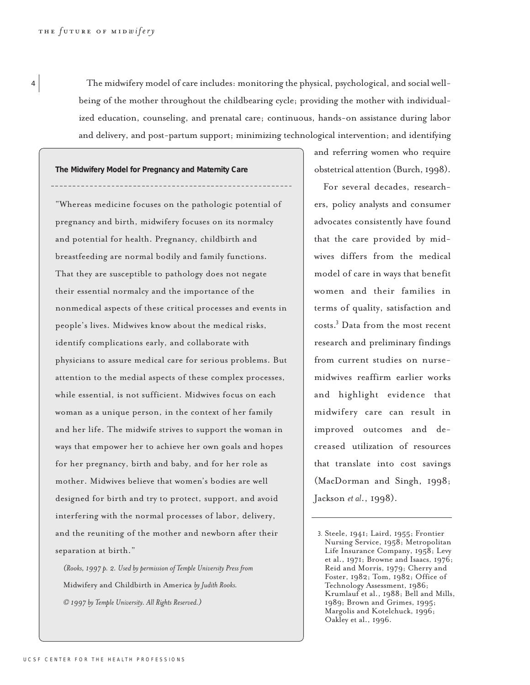<sup>4</sup> The midwifery model of care includes: monitoring the physical, psychological, and social wellbeing of the mother throughout the childbearing cycle; providing the mother with individualized education, counseling, and prenatal care; continuous, hands-on assistance during labor and delivery, and post-partum support; minimizing technological intervention; and identifying

**The Midwifery Model for Pregnancy and Maternity Care**

"Whereas medicine focuses on the pathologic potential of pregnancy and birth, midwifery focuses on its normalcy and potential for health. Pregnancy, childbirth and breastfeeding are normal bodily and family functions. That they are susceptible to pathology does not negate their essential normalcy and the importance of the nonmedical aspects of these critical processes and events in people's lives. Midwives know about the medical risks, identify complications early, and collaborate with physicians to assure medical care for serious problems. But attention to the medial aspects of these complex processes, while essential, is not sufficient. Midwives focus on each woman as a unique person, in the context of her family and her life. The midwife strives to support the woman in ways that empower her to achieve her own goals and hopes for her pregnancy, birth and baby, and for her role as mother. Midwives believe that women's bodies are well designed for birth and try to protect, support, and avoid interfering with the normal processes of labor, delivery, and the reuniting of the mother and newborn after their separation at birth."

*(Rooks, 1997 p. 2. Used by permission of Temple University Press from* Midwifery and Childbirth in America *by Judith Rooks. © 1997 by Temple University. All Rights Reserved.)*

and referring women who require obstetrical attention (Burch, 1998).

For several decades, researchers, policy analysts and consumer advocates consistently have found that the care provided by midwives differs from the medical model of care in ways that benefit women and their families in terms of quality, satisfaction and costs.<sup>3</sup> Data from the most recent research and preliminary findings from current studies on nursemidwives reaffirm earlier works and highlight evidence that midwifery care can result in improved outcomes and decreased utilization of resources that translate into cost savings (MacDorman and Singh, 1998; Jackson *et al*., 1998).

<sup>3</sup>. Steele, 1941; Laird, 1955; Frontier Nursing Service, 1958; Metropolitan Life Insurance Company, 1958; Levy et al., 1971; Browne and Isaacs, 1976; Reid and Morris, 1979; Cherry and Foster, 1982; Tom, 1982; Office of Technology Assessment, 1986; Krumlauf et al., 1988; Bell and Mills, 1989; Brown and Grimes, 1995; Margolis and Kotelchuck, 1996; Oakley et al., 1996.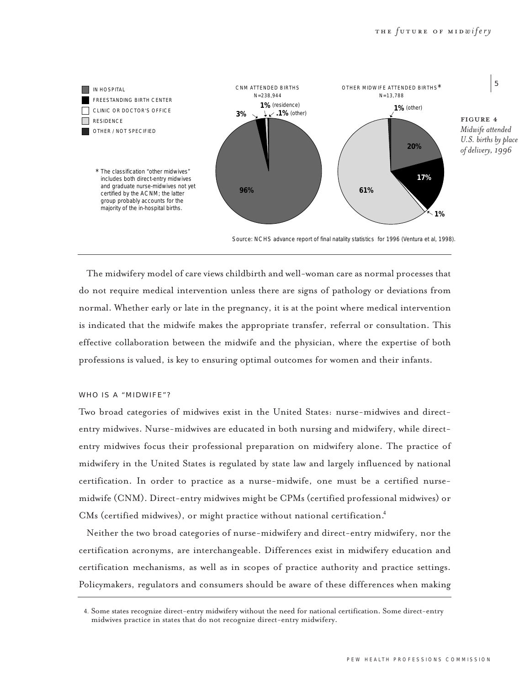

Source: NCHS advance report of final natality statistics for 1996 (Ventura et al, 1998).

The midwifery model of care views childbirth and well-woman care as normal processes that do not require medical intervention unless there are signs of pathology or deviations from normal. Whether early or late in the pregnancy, it is at the point where medical intervention is indicated that the midwife makes the appropriate transfer, referral or consultation. This effective collaboration between the midwife and the physician, where the expertise of both professions is valued, is key to ensuring optimal outcomes for women and their infants.

# WHO IS A "MIDWIFE"?

Two broad categories of midwives exist in the United States: nurse-midwives and directentry midwives. Nurse-midwives are educated in both nursing and midwifery, while directentry midwives focus their professional preparation on midwifery alone. The practice of midwifery in the United States is regulated by state law and largely influenced by national certification. In order to practice as a nurse-midwife, one must be a certified nursemidwife (CNM). Direct-entry midwives might be CPMs (certified professional midwives) or CMs (certified midwives), or might practice without national certification.<sup>4</sup>

Neither the two broad categories of nurse-midwifery and direct-entry midwifery, nor the certification acronyms, are interchangeable. Differences exist in midwifery education and certification mechanisms, as well as in scopes of practice authority and practice settings. Policymakers, regulators and consumers should be aware of these differences when making

<sup>4</sup>. Some states recognize direct-entry midwifery without the need for national certification. Some direct-entry midwives practice in states that do not recognize direct-entry midwifery.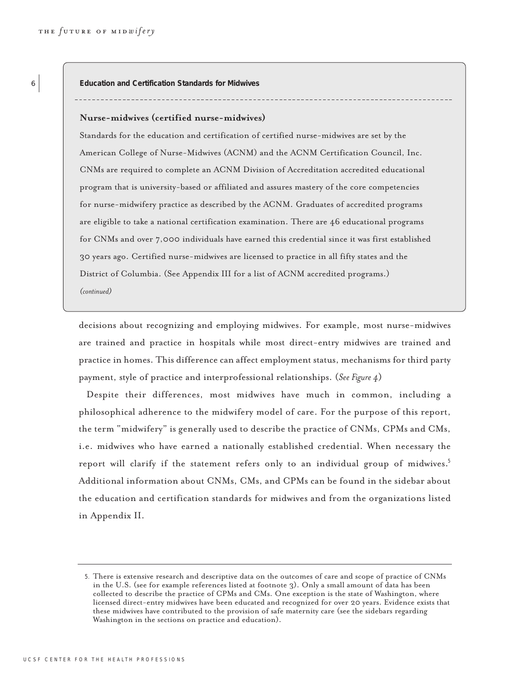**Education and Certification Standards for Midwives**

#### **Nurse-midwives (certified nurse-midwives)**

Standards for the education and certification of certified nurse-midwives are set by the American College of Nurse-Midwives (ACNM) and the ACNM Certification Council, Inc. CNMs are required to complete an ACNM Division of Accreditation accredited educational program that is university-based or affiliated and assures mastery of the core competencies for nurse-midwifery practice as described by the ACNM. Graduates of accredited programs are eligible to take a national certification examination. There are 46 educational programs for CNMs and over 7,000 individuals have earned this credential since it was first established 30 years ago. Certified nurse-midwives are licensed to practice in all fifty states and the District of Columbia. (See Appendix III for a list of ACNM accredited programs.)

*(continued)* 

decisions about recognizing and employing midwives. For example, most nurse-midwives are trained and practice in hospitals while most direct-entry midwives are trained and practice in homes. This difference can affect employment status, mechanisms for third party payment, style of practice and interprofessional relationships. (*See Figure 4*)

Despite their differences, most midwives have much in common, including a philosophical adherence to the midwifery model of care. For the purpose of this report, the term "midwifery" is generally used to describe the practice of CNMs, CPMs and CMs, i.e. midwives who have earned a nationally established credential. When necessary the report will clarify if the statement refers only to an individual group of midwives.<sup>5</sup> Additional information about CNMs, CMs, and CPMs can be found in the sidebar about the education and certification standards for midwives and from the organizations listed in Appendix II.

<sup>5</sup>. There is extensive research and descriptive data on the outcomes of care and scope of practice of CNMs in the U.S. (see for example references listed at footnote 3). Only a small amount of data has been collected to describe the practice of CPMs and CMs. One exception is the state of Washington, where licensed direct-entry midwives have been educated and recognized for over 20 years. Evidence exists that these midwives have contributed to the provision of safe maternity care (see the sidebars regarding Washington in the sections on practice and education).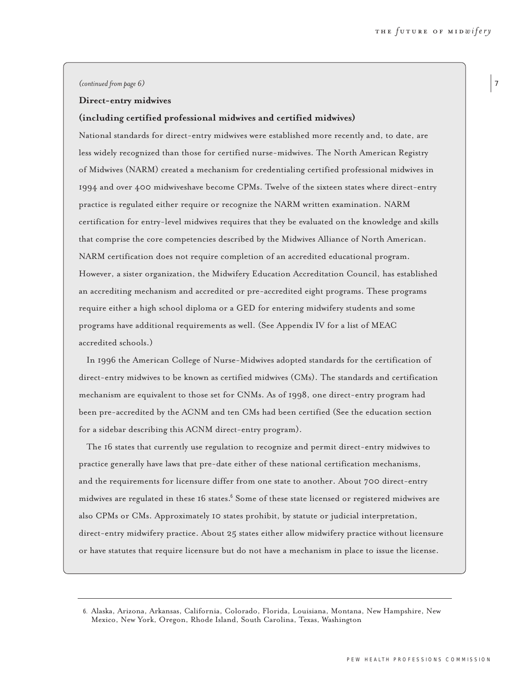#### *(continued from page 6)*

#### **Direct-entry midwives**

#### **(including certified professional midwives and certified midwives)**

National standards for direct-entry midwives were established more recently and, to date, are less widely recognized than those for certified nurse-midwives. The North American Registry of Midwives (NARM) created a mechanism for credentialing certified professional midwives in 1994 and over 400 midwiveshave become CPMs. Twelve of the sixteen states where direct-entry practice is regulated either require or recognize the NARM written examination. NARM certification for entry-level midwives requires that they be evaluated on the knowledge and skills that comprise the core competencies described by the Midwives Alliance of North American. NARM certification does not require completion of an accredited educational program. However, a sister organization, the Midwifery Education Accreditation Council, has established an accrediting mechanism and accredited or pre-accredited eight programs. These programs require either a high school diploma or a GED for entering midwifery students and some programs have additional requirements as well. (See Appendix IV for a list of MEAC accredited schools.)

In 1996 the American College of Nurse-Midwives adopted standards for the certification of direct-entry midwives to be known as certified midwives (CMs). The standards and certification mechanism are equivalent to those set for CNMs. As of 1998, one direct-entry program had been pre-accredited by the ACNM and ten CMs had been certified (See the education section for a sidebar describing this ACNM direct-entry program).

The 16 states that currently use regulation to recognize and permit direct-entry midwives to practice generally have laws that pre-date either of these national certification mechanisms, and the requirements for licensure differ from one state to another. About 700 direct-entry midwives are regulated in these 16 states.<sup>6</sup> Some of these state licensed or registered midwives are also CPMs or CMs. Approximately 10 states prohibit, by statute or judicial interpretation, direct-entry midwifery practice. About 25 states either allow midwifery practice without licensure or have statutes that require licensure but do not have a mechanism in place to issue the license.

<sup>6</sup>. Alaska, Arizona, Arkansas, California, Colorado, Florida, Louisiana, Montana, New Hampshire, New Mexico, New York, Oregon, Rhode Island, South Carolina, Texas, Washington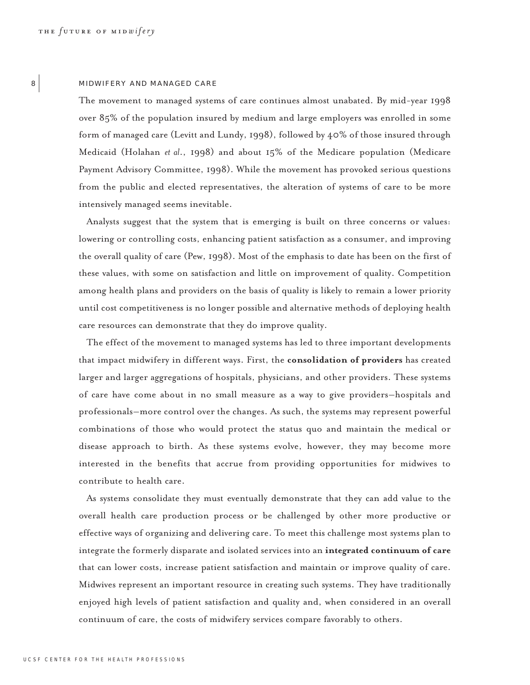# 8 MIDWIFERY AND MANAGED CARE

The movement to managed systems of care continues almost unabated. By mid-year 1998 over 85% of the population insured by medium and large employers was enrolled in some form of managed care (Levitt and Lundy, 1998), followed by 40% of those insured through Medicaid (Holahan *et al*., 1998) and about 15% of the Medicare population (Medicare Payment Advisory Committee, 1998). While the movement has provoked serious questions from the public and elected representatives, the alteration of systems of care to be more intensively managed seems inevitable.

Analysts suggest that the system that is emerging is built on three concerns or values: lowering or controlling costs, enhancing patient satisfaction as a consumer, and improving the overall quality of care (Pew, 1998). Most of the emphasis to date has been on the first of these values, with some on satisfaction and little on improvement of quality. Competition among health plans and providers on the basis of quality is likely to remain a lower priority until cost competitiveness is no longer possible and alternative methods of deploying health care resources can demonstrate that they do improve quality.

The effect of the movement to managed systems has led to three important developments that impact midwifery in different ways. First, the **consolidation of providers** has created larger and larger aggregations of hospitals, physicians, and other providers. These systems of care have come about in no small measure as a way to give providers–hospitals and professionals–more control over the changes. As such, the systems may represent powerful combinations of those who would protect the status quo and maintain the medical or disease approach to birth. As these systems evolve, however, they may become more interested in the benefits that accrue from providing opportunities for midwives to contribute to health care.

As systems consolidate they must eventually demonstrate that they can add value to the overall health care production process or be challenged by other more productive or effective ways of organizing and delivering care. To meet this challenge most systems plan to integrate the formerly disparate and isolated services into an **integrated continuum of care** that can lower costs, increase patient satisfaction and maintain or improve quality of care. Midwives represent an important resource in creating such systems. They have traditionally enjoyed high levels of patient satisfaction and quality and, when considered in an overall continuum of care, the costs of midwifery services compare favorably to others.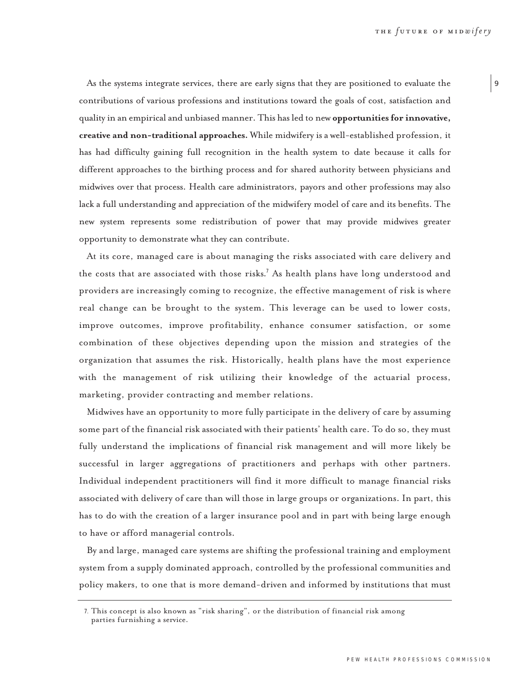As the systems integrate services, there are early signs that they are positioned to evaluate the contributions of various professions and institutions toward the goals of cost, satisfaction and quality in an empirical and unbiased manner. This has led to new **opportunities for innovative, creative and non-traditional approaches.** While midwifery is a well-established profession, it has had difficulty gaining full recognition in the health system to date because it calls for different approaches to the birthing process and for shared authority between physicians and midwives over that process. Health care administrators, payors and other professions may also lack a full understanding and appreciation of the midwifery model of care and its benefits. The new system represents some redistribution of power that may provide midwives greater opportunity to demonstrate what they can contribute.

At its core, managed care is about managing the risks associated with care delivery and the costs that are associated with those risks.<sup>7</sup> As health plans have long understood and providers are increasingly coming to recognize, the effective management of risk is where real change can be brought to the system. This leverage can be used to lower costs, improve outcomes, improve profitability, enhance consumer satisfaction, or some combination of these objectives depending upon the mission and strategies of the organization that assumes the risk. Historically, health plans have the most experience with the management of risk utilizing their knowledge of the actuarial process, marketing, provider contracting and member relations.

Midwives have an opportunity to more fully participate in the delivery of care by assuming some part of the financial risk associated with their patients' health care. To do so, they must fully understand the implications of financial risk management and will more likely be successful in larger aggregations of practitioners and perhaps with other partners. Individual independent practitioners will find it more difficult to manage financial risks associated with delivery of care than will those in large groups or organizations. In part, this has to do with the creation of a larger insurance pool and in part with being large enough to have or afford managerial controls.

By and large, managed care systems are shifting the professional training and employment system from a supply dominated approach, controlled by the professional communities and policy makers, to one that is more demand-driven and informed by institutions that must

<sup>7</sup>. This concept is also known as "risk sharing", or the distribution of financial risk among parties furnishing a service.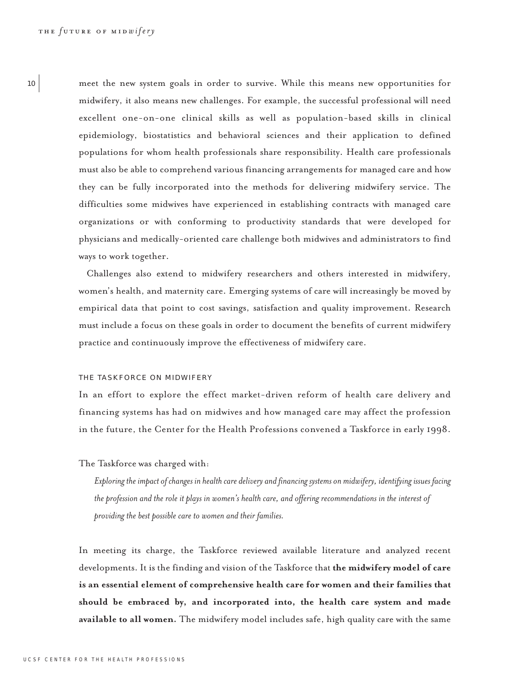<sup>10</sup> meet the new system goals in order to survive. While this means new opportunities for midwifery, it also means new challenges. For example, the successful professional will need excellent one-on-one clinical skills as well as population-based skills in clinical epidemiology, biostatistics and behavioral sciences and their application to defined populations for whom health professionals share responsibility. Health care professionals must also be able to comprehend various financing arrangements for managed care and how they can be fully incorporated into the methods for delivering midwifery service. The difficulties some midwives have experienced in establishing contracts with managed care organizations or with conforming to productivity standards that were developed for physicians and medically-oriented care challenge both midwives and administrators to find ways to work together.

> Challenges also extend to midwifery researchers and others interested in midwifery, women's health, and maternity care. Emerging systems of care will increasingly be moved by empirical data that point to cost savings, satisfaction and quality improvement. Research must include a focus on these goals in order to document the benefits of current midwifery practice and continuously improve the effectiveness of midwifery care.

# THE TASKFORCE ON MIDWIFERY

In an effort to explore the effect market-driven reform of health care delivery and financing systems has had on midwives and how managed care may affect the profession in the future, the Center for the Health Professions convened a Taskforce in early 1998.

The Taskforce was charged with:

*Exploring the impact of changes in health care delivery and financing systems on midwifery, identifying issues facing the profession and the role it plays in women's health care, and offering recommendations in the interest of providing the best possible care to women and their families.*

In meeting its charge, the Taskforce reviewed available literature and analyzed recent developments. It is the finding and vision of the Taskforce that **the midwifery model of care is an essential element of comprehensive health care for women and their families that should be embraced by, and incorporated into, the health care system and made available to all women.** The midwifery model includes safe, high quality care with the same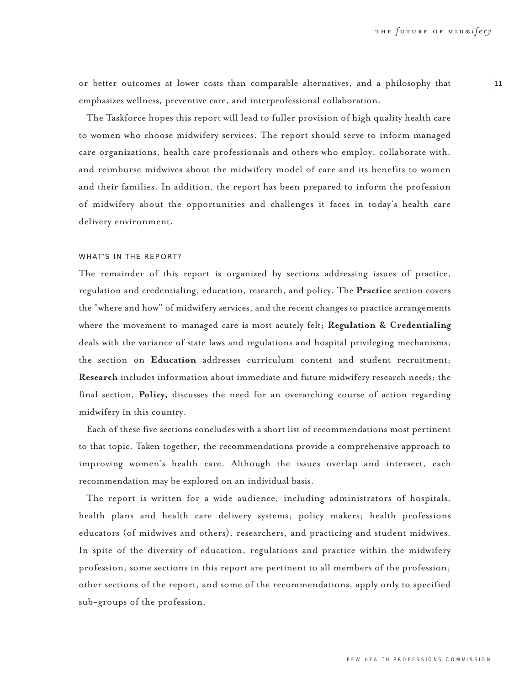$|11$ 

or better outcomes at lower costs than comparable alternatives, and a philosophy that emphasizes wellness, preventive care, and interprofessional collaboration.

The Taskforce hopes this report will lead to fuller provision of high quality health care to women who choose midwifery services. The report should serve to inform managed care organizations, health care professionals and others who employ, collaborate with, and reimburse midwives about the midwifery model of care and its benefits to women and their families. In addition, the report has been prepared to inform the profession of midwifery about the opportunities and challenges it faces in today's health care delivery environment.

## WHAT'S IN THE REPORT?

The remainder of this report is organized by sections addressing issues of practice, regulation and credentialing, education, research, and policy. The **Practice** section covers the "where and how" of midwifery services, and the recent changes to practice arrangements where the movement to managed care is most acutely felt; **Regulation & Credentialing** deals with the variance of state laws and regulations and hospital privileging mechanisms; the section on **Education** addresses curriculum content and student recruitment; **Research** includes information about immediate and future midwifery research needs; the final section, **Policy,** discusses the need for an overarching course of action regarding midwifery in this country.

Each of these five sections concludes with a short list of recommendations most pertinent to that topic. Taken together, the recommendations provide a comprehensive approach to improving women's health care. Although the issues overlap and intersect, each recommendation may be explored on an individual basis.

The report is written for a wide audience, including administrators of hospitals, health plans and health care delivery systems; policy makers; health professions educators (of midwives and others), researchers, and practicing and student midwives. In spite of the diversity of education, regulations and practice within the midwifery profession, some sections in this report are pertinent to all members of the profession; other sections of the report, and some of the recommendations, apply only to specified sub-groups of the profession.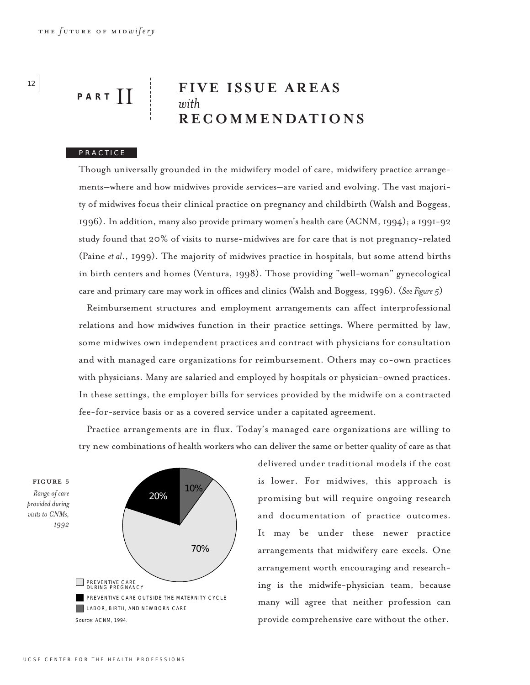# **FIVE ISSUE AREAS** *with* **RECOMMENDATIONS** PART<sup>I</sup>

# PRACTICE

Though universally grounded in the midwifery model of care, midwifery practice arrangements–where and how midwives provide services–are varied and evolving. The vast majority of midwives focus their clinical practice on pregnancy and childbirth (Walsh and Boggess, 1996). In addition, many also provide primary women's health care (ACNM, 1994); a 1991-92 study found that 20% of visits to nurse-midwives are for care that is not pregnancy-related (Paine *et al*., 1999). The majority of midwives practice in hospitals, but some attend births in birth centers and homes (Ventura, 1998). Those providing "well-woman" gynecological care and primary care may work in offices and clinics (Walsh and Boggess, 1996). (*See Figure 5*)

Reimbursement structures and employment arrangements can affect interprofessional relations and how midwives function in their practice settings. Where permitted by law, some midwives own independent practices and contract with physicians for consultation and with managed care organizations for reimbursement. Others may co-own practices with physicians. Many are salaried and employed by hospitals or physician-owned practices. In these settings, the employer bills for services provided by the midwife on a contracted fee-for-service basis or as a covered service under a capitated agreement.

Practice arrangements are in flux. Today's managed care organizations are willing to try new combinations of health workers who can deliver the same or better quality of care as that

figure ∞ *Range of care provided during visits to CNMs, 1992* Source: ACNM, 1994. 70% 20% 10% PREVENTIVE CARE<br>DURING PREGNANCY PREVENTIVE CARE OUTSIDE THE MATERNITY CYCLE LABOR, BIRTH, AND NEWBORN CARE

delivered under traditional models if the cost is lower. For midwives, this approach is promising but will require ongoing research and documentation of practice outcomes. It may be under these newer practice arrangements that midwifery care excels. One arrangement worth encouraging and researching is the midwife-physician team, because many will agree that neither profession can provide comprehensive care without the other.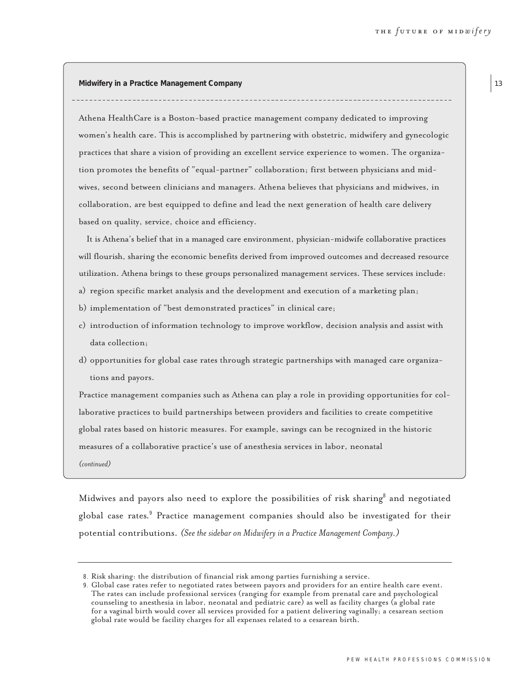**Midwifery in a Practice Management Company** 

Athena HealthCare is a Boston-based practice management company dedicated to improving women's health care. This is accomplished by partnering with obstetric, midwifery and gynecologic practices that share a vision of providing an excellent service experience to women. The organization promotes the benefits of "equal-partner" collaboration; first between physicians and midwives, second between clinicians and managers. Athena believes that physicians and midwives, in collaboration, are best equipped to define and lead the next generation of health care delivery based on quality, service, choice and efficiency.

It is Athena's belief that in a managed care environment, physician-midwife collaborative practices will flourish, sharing the economic benefits derived from improved outcomes and decreased resource utilization. Athena brings to these groups personalized management services. These services include:

- a) region specific market analysis and the development and execution of a marketing plan;
- b) implementation of "best demonstrated practices" in clinical care;
- c) introduction of information technology to improve workflow, decision analysis and assist with data collection;
- d) opportunities for global case rates through strategic partnerships with managed care organizations and payors.

Practice management companies such as Athena can play a role in providing opportunities for collaborative practices to build partnerships between providers and facilities to create competitive global rates based on historic measures. For example, savings can be recognized in the historic measures of a collaborative practice's use of anesthesia services in labor, neonatal *(continued)*

Midwives and payors also need to explore the possibilities of risk sharing<sup>8</sup> and negotiated global case rates.<sup>9</sup> Practice management companies should also be investigated for their potential contributions. *(See the sidebar on Midwifery in a Practice Management Company.)* 

<sup>8</sup>. Risk sharing: the distribution of financial risk among parties furnishing a service.

<sup>9</sup>. Global case rates refer to negotiated rates between payors and providers for an entire health care event. The rates can include professional services (ranging for example from prenatal care and psychological counseling to anesthesia in labor, neonatal and pediatric care) as well as facility charges (a global rate for a vaginal birth would cover all services provided for a patient delivering vaginally; a cesarean section global rate would be facility charges for all expenses related to a cesarean birth.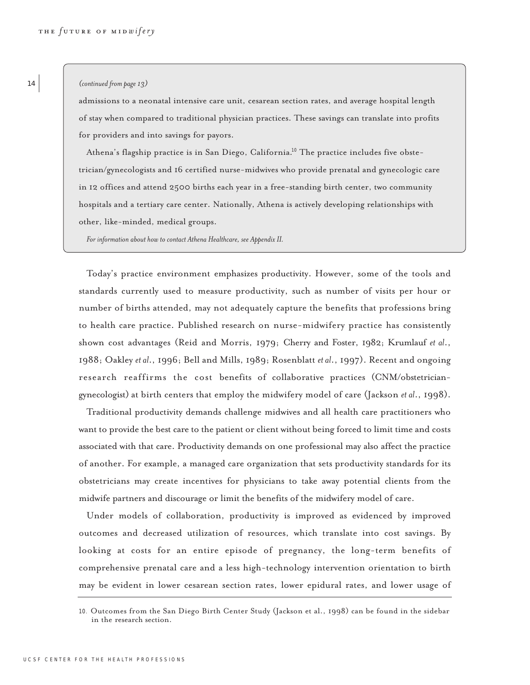#### *(continued from page 13)*

admissions to a neonatal intensive care unit, cesarean section rates, and average hospital length of stay when compared to traditional physician practices. These savings can translate into profits for providers and into savings for payors.

Athena's flagship practice is in San Diego, California.<sup>10</sup> The practice includes five obstetrician/gynecologists and 16 certified nurse-midwives who provide prenatal and gynecologic care in 12 offices and attend 2500 births each year in a free-standing birth center, two community hospitals and a tertiary care center. Nationally, Athena is actively developing relationships with other, like-minded, medical groups.

*For information about how to contact Athena Healthcare, see Appendix II.*

Today's practice environment emphasizes productivity. However, some of the tools and standards currently used to measure productivity, such as number of visits per hour or number of births attended, may not adequately capture the benefits that professions bring to health care practice. Published research on nurse-midwifery practice has consistently shown cost advantages (Reid and Morris, 1979; Cherry and Foster, 1982; Krumlauf *et al*., 1988; Oakley *et al*., 1996; Bell and Mills, 1989; Rosenblatt *et al*., 1997). Recent and ongoing research reaffirms the cost benefits of collaborative practices (CNM/obstetriciangynecologist) at birth centers that employ the midwifery model of care (Jackson *et al*., 1998).

Traditional productivity demands challenge midwives and all health care practitioners who want to provide the best care to the patient or client without being forced to limit time and costs associated with that care. Productivity demands on one professional may also affect the practice of another. For example, a managed care organization that sets productivity standards for its obstetricians may create incentives for physicians to take away potential clients from the midwife partners and discourage or limit the benefits of the midwifery model of care.

Under models of collaboration, productivity is improved as evidenced by improved outcomes and decreased utilization of resources, which translate into cost savings. By looking at costs for an entire episode of pregnancy, the long-term benefits of comprehensive prenatal care and a less high-technology intervention orientation to birth may be evident in lower cesarean section rates, lower epidural rates, and lower usage of

<sup>10</sup>. Outcomes from the San Diego Birth Center Study (Jackson et al., 1998) can be found in the sidebar in the research section.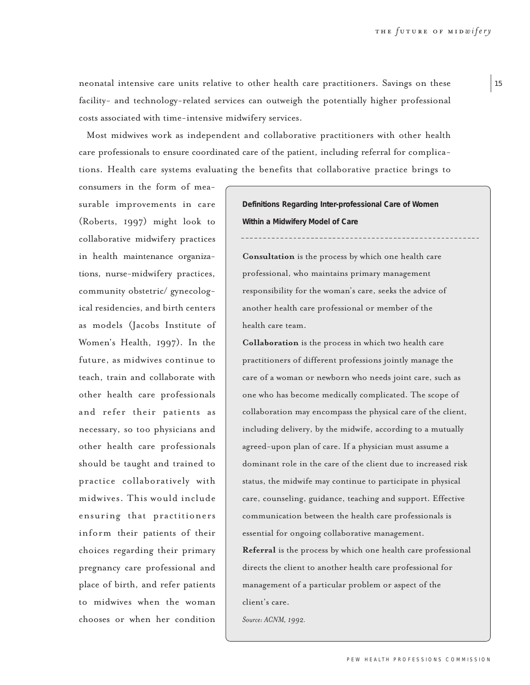neonatal intensive care units relative to other health care practitioners. Savings on these facility- and technology-related services can outweigh the potentially higher professional costs associated with time-intensive midwifery services.

Most midwives work as independent and collaborative practitioners with other health care professionals to ensure coordinated care of the patient, including referral for complications. Health care systems evaluating the benefits that collaborative practice brings to

consumers in the form of measurable improvements in care (Roberts, 1997) might look to collaborative midwifery practices in health maintenance organizations, nurse-midwifery practices, community obstetric/ gynecological residencies, and birth centers as models (Jacobs Institute of Women's Health, 1997). In the future, as midwives continue to teach, train and collaborate with other health care professionals and refer their patients as necessary, so too physicians and other health care professionals should be taught and trained to practice collaboratively with midwives. This would include ensuring that practitioners inform their patients of their choices regarding their primary pregnancy care professional and place of birth, and refer patients to midwives when the woman chooses or when her condition

**Definitions Regarding Inter-professional Care of Women Within a Midwifery Model of Care**

**Consultation** is the process by which one health care professional, who maintains primary management responsibility for the woman's care, seeks the advice of another health care professional or member of the health care team.

**Collaboration** is the process in which two health care practitioners of different professions jointly manage the care of a woman or newborn who needs joint care, such as one who has become medically complicated. The scope of collaboration may encompass the physical care of the client, including delivery, by the midwife, according to a mutually agreed-upon plan of care. If a physician must assume a dominant role in the care of the client due to increased risk status, the midwife may continue to participate in physical care, counseling, guidance, teaching and support. Effective communication between the health care professionals is essential for ongoing collaborative management. **Referral** is the process by which one health care professional directs the client to another health care professional for management of a particular problem or aspect of the client's care.

*Source: ACNM, 1992.*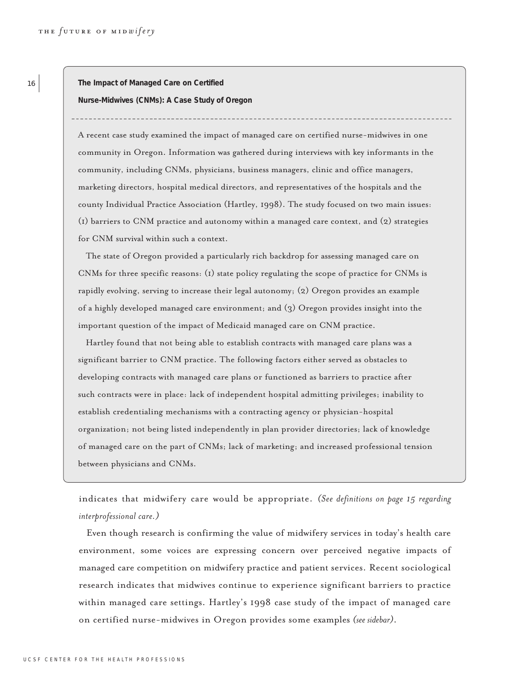**The Impact of Managed Care on Certified**

**Nurse-Midwives (CNMs): A Case Study of Oregon**

A recent case study examined the impact of managed care on certified nurse-midwives in one community in Oregon. Information was gathered during interviews with key informants in the community, including CNMs, physicians, business managers, clinic and office managers, marketing directors, hospital medical directors, and representatives of the hospitals and the county Individual Practice Association (Hartley, 1998). The study focused on two main issues: (1) barriers to CNM practice and autonomy within a managed care context, and (2) strategies for CNM survival within such a context.

The state of Oregon provided a particularly rich backdrop for assessing managed care on CNMs for three specific reasons: (1) state policy regulating the scope of practice for CNMs is rapidly evolving, serving to increase their legal autonomy; (2) Oregon provides an example of a highly developed managed care environment; and (3) Oregon provides insight into the important question of the impact of Medicaid managed care on CNM practice.

Hartley found that not being able to establish contracts with managed care plans was a significant barrier to CNM practice. The following factors either served as obstacles to developing contracts with managed care plans or functioned as barriers to practice after such contracts were in place: lack of independent hospital admitting privileges; inability to establish credentialing mechanisms with a contracting agency or physician-hospital organization; not being listed independently in plan provider directories; lack of knowledge of managed care on the part of CNMs; lack of marketing; and increased professional tension between physicians and CNMs.

indicates that midwifery care would be appropriate. *(See definitions on page 15 regarding interprofessional care.)*

Even though research is confirming the value of midwifery services in today's health care environment, some voices are expressing concern over perceived negative impacts of managed care competition on midwifery practice and patient services. Recent sociological research indicates that midwives continue to experience significant barriers to practice within managed care settings. Hartley's 1998 case study of the impact of managed care on certified nurse-midwives in Oregon provides some examples *(see sidebar)*.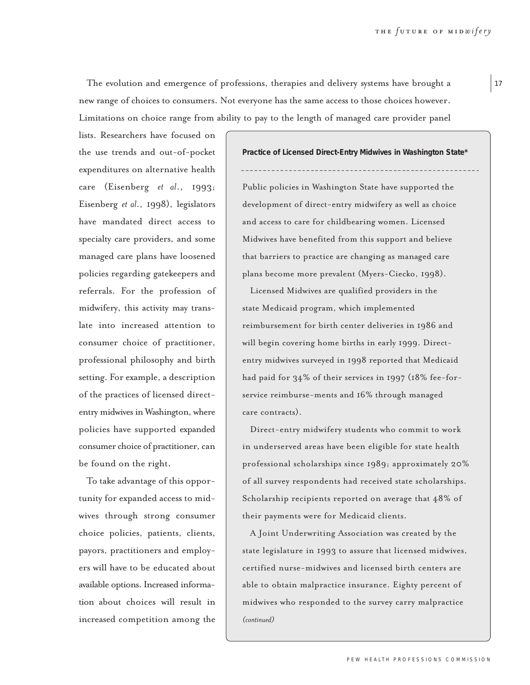The evolution and emergence of professions, therapies and delivery systems have brought a new range of choices to consumers. Not everyone has the same access to those choices however. Limitations on choice range from ability to pay to the length of managed care provider panel

lists. Researchers have focused on the use trends and out-of-pocket expenditures on alternative health care (Eisenberg *et al*., 1993; Eisenberg *et al*., 1998), legislators have mandated direct access to specialty care providers, and some managed care plans have loosened policies regarding gatekeepers and referrals. For the profession of midwifery, this activity may translate into increased attention to consumer choice of practitioner, professional philosophy and birth setting. For example, a description of the practices of licensed directentry midwives in Washington, where policies have supported expanded consumer choice of practitioner, can be found on the right.

To take advantage of this opportunity for expanded access to midwives through strong consumer choice policies, patients, clients, payors, practitioners and employers will have to be educated about available options. Increased information about choices will result in increased competition among the

**Practice of Licensed Direct-Entry Midwives in Washington State\***  Public policies in Washington State have supported the development of direct-entry midwifery as well as choice and access to care for childbearing women. Licensed Midwives have benefited from this support and believe that barriers to practice are changing as managed care plans become more prevalent (Myers-Ciecko, 1998).

Licensed Midwives are qualified providers in the state Medicaid program, which implemented reimbursement for birth center deliveries in 1986 and will begin covering home births in early 1999. Directentry midwives surveyed in 1998 reported that Medicaid had paid for 34% of their services in 1997 (18% fee-forservice reimburse-ments and 16% through managed care contracts).

Direct-entry midwifery students who commit to work in underserved areas have been eligible for state health professional scholarships since 1989; approximately 20% of all survey respondents had received state scholarships. Scholarship recipients reported on average that 48% of their payments were for Medicaid clients.

A Joint Underwriting Association was created by the state legislature in 1993 to assure that licensed midwives, certified nurse-midwives and licensed birth centers are able to obtain malpractice insurance. Eighty percent of midwives who responded to the survey carry malpractice *(continued)*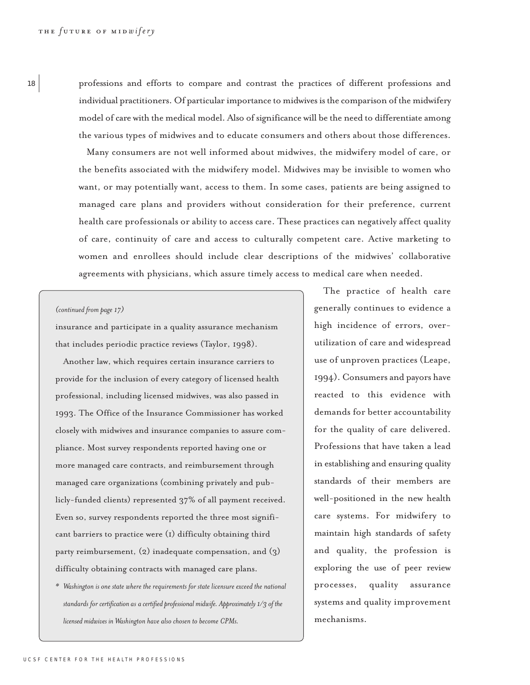<sup>18</sup> professions and efforts to compare and contrast the practices of different professions and individual practitioners. Of particular importance to midwives is the comparison of the midwifery model of care with the medical model. Also of significance will be the need to differentiate among the various types of midwives and to educate consumers and others about those differences.

> Many consumers are not well informed about midwives, the midwifery model of care, or the benefits associated with the midwifery model. Midwives may be invisible to women who want, or may potentially want, access to them. In some cases, patients are being assigned to managed care plans and providers without consideration for their preference, current health care professionals or ability to access care. These practices can negatively affect quality of care, continuity of care and access to culturally competent care. Active marketing to women and enrollees should include clear descriptions of the midwives' collaborative agreements with physicians, which assure timely access to medical care when needed.

## *(continued from page 17)*

insurance and participate in a quality assurance mechanism that includes periodic practice reviews (Taylor, 1998).

Another law, which requires certain insurance carriers to provide for the inclusion of every category of licensed health professional, including licensed midwives, was also passed in 1993. The Office of the Insurance Commissioner has worked closely with midwives and insurance companies to assure compliance. Most survey respondents reported having one or more managed care contracts, and reimbursement through managed care organizations (combining privately and publicly-funded clients) represented 37% of all payment received. Even so, survey respondents reported the three most significant barriers to practice were (1) difficulty obtaining third party reimbursement, (2) inadequate compensation, and (3) difficulty obtaining contracts with managed care plans.

*\* Washington is one state where the requirements for state licensure exceed the national standards for certification as a certified professional midwife. Approximately 1/3 of the licensed midwives in Washington have also chosen to become CPMs.* 

The practice of health care generally continues to evidence a high incidence of errors, overutilization of care and widespread use of unproven practices (Leape, 1994). Consumers and payors have reacted to this evidence with demands for better accountability for the quality of care delivered. Professions that have taken a lead in establishing and ensuring quality standards of their members are well-positioned in the new health care systems. For midwifery to maintain high standards of safety and quality, the profession is exploring the use of peer review processes, quality assurance systems and quality improvement mechanisms.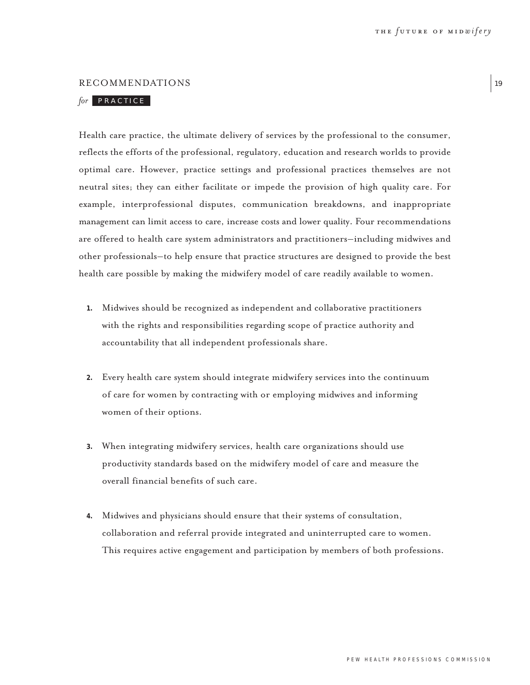#### RECOMMENDATIONS

# for PRACTICE

Health care practice, the ultimate delivery of services by the professional to the consumer, reflects the efforts of the professional, regulatory, education and research worlds to provide optimal care. However, practice settings and professional practices themselves are not neutral sites; they can either facilitate or impede the provision of high quality care. For example, interprofessional disputes, communication breakdowns, and inappropriate management can limit access to care, increase costs and lower quality. Four recommendations are offered to health care system administrators and practitioners–including midwives and other professionals–to help ensure that practice structures are designed to provide the best health care possible by making the midwifery model of care readily available to women.

- **1.** Midwives should be recognized as independent and collaborative practitioners with the rights and responsibilities regarding scope of practice authority and accountability that all independent professionals share.
- **2.** Every health care system should integrate midwifery services into the continuum of care for women by contracting with or employing midwives and informing women of their options.
- **3.** When integrating midwifery services, health care organizations should use productivity standards based on the midwifery model of care and measure the overall financial benefits of such care.
- **4.** Midwives and physicians should ensure that their systems of consultation, collaboration and referral provide integrated and uninterrupted care to women. This requires active engagement and participation by members of both professions.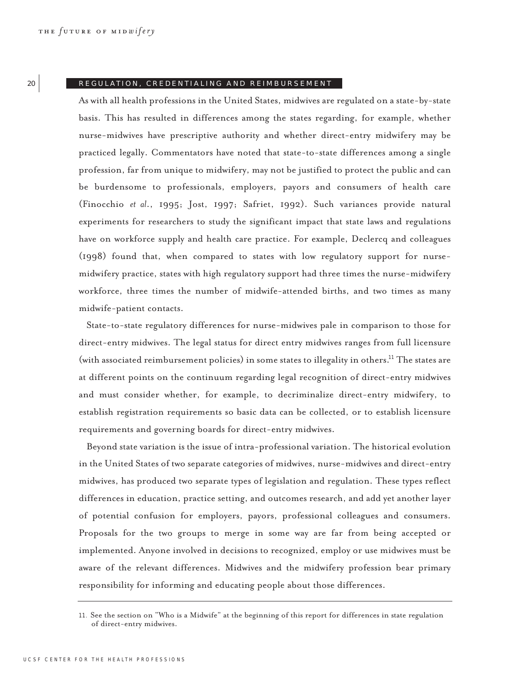#### 20 REGULATION, CREDENTIALING AND REIMBURSEMENT

As with all health professions in the United States, midwives are regulated on a state-by-state basis. This has resulted in differences among the states regarding, for example, whether nurse-midwives have prescriptive authority and whether direct-entry midwifery may be practiced legally. Commentators have noted that state-to-state differences among a single profession, far from unique to midwifery, may not be justified to protect the public and can be burdensome to professionals, employers, payors and consumers of health care (Finocchio *et al*., 1995; Jost, 1997; Safriet, 1992). Such variances provide natural experiments for researchers to study the significant impact that state laws and regulations have on workforce supply and health care practice. For example, Declercq and colleagues (1998) found that, when compared to states with low regulatory support for nursemidwifery practice, states with high regulatory support had three times the nurse-midwifery workforce, three times the number of midwife-attended births, and two times as many midwife-patient contacts.

State-to-state regulatory differences for nurse-midwives pale in comparison to those for direct-entry midwives. The legal status for direct entry midwives ranges from full licensure (with associated reimbursement policies) in some states to illegality in others.<sup>11</sup> The states are at different points on the continuum regarding legal recognition of direct-entry midwives and must consider whether, for example, to decriminalize direct-entry midwifery, to establish registration requirements so basic data can be collected, or to establish licensure requirements and governing boards for direct-entry midwives.

Beyond state variation is the issue of intra-professional variation. The historical evolution in the United States of two separate categories of midwives, nurse-midwives and direct-entry midwives, has produced two separate types of legislation and regulation. These types reflect differences in education, practice setting, and outcomes research, and add yet another layer of potential confusion for employers, payors, professional colleagues and consumers. Proposals for the two groups to merge in some way are far from being accepted or implemented. Anyone involved in decisions to recognized, employ or use midwives must be aware of the relevant differences. Midwives and the midwifery profession bear primary responsibility for informing and educating people about those differences.

<sup>11</sup>. See the section on "Who is a Midwife" at the beginning of this report for differences in state regulation of direct-entry midwives.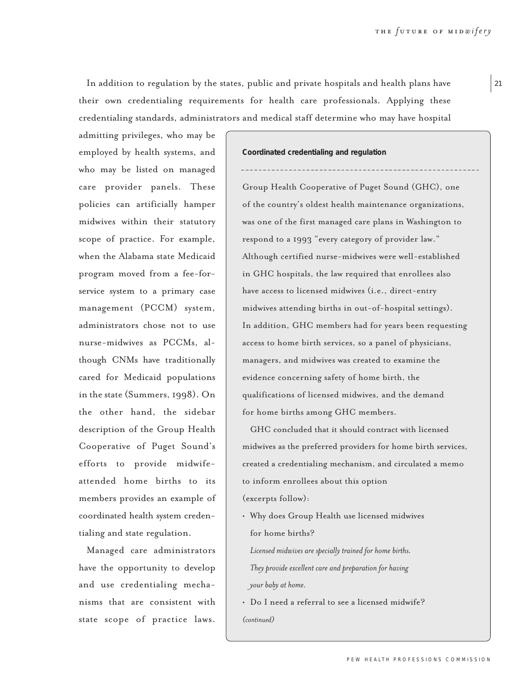In addition to regulation by the states, public and private hospitals and health plans have their own credentialing requirements for health care professionals. Applying these credentialing standards, administrators and medical staff determine who may have hospital

admitting privileges, who may be employed by health systems, and who may be listed on managed care provider panels. These policies can artificially hamper midwives within their statutory scope of practice. For example, when the Alabama state Medicaid program moved from a fee-forservice system to a primary case management (PCCM) system, administrators chose not to use nurse-midwives as PCCMs, although CNMs have traditionally cared for Medicaid populations in the state (Summers, 1998). On the other hand, the sidebar description of the Group Health Cooperative of Puget Sound's efforts to provide midwifeattended home births to its members provides an example of coordinated health system credentialing and state regulation.

Managed care administrators have the opportunity to develop and use credentialing mechanisms that are consistent with state scope of practice laws.

**Coordinated credentialing and regulation** 

Group Health Cooperative of Puget Sound (GHC), one of the country's oldest health maintenance organizations, was one of the first managed care plans in Washington to respond to a 1993 "every category of provider law." Although certified nurse-midwives were well-established in GHC hospitals, the law required that enrollees also have access to licensed midwives (i.e., direct-entry midwives attending births in out-of-hospital settings). In addition, GHC members had for years been requesting access to home birth services, so a panel of physicians, managers, and midwives was created to examine the evidence concerning safety of home birth, the qualifications of licensed midwives, and the demand for home births among GHC members.

GHC concluded that it should contract with licensed midwives as the preferred providers for home birth services, created a credentialing mechanism, and circulated a memo to inform enrollees about this option (excerpts follow):

• Why does Group Health use licensed midwives for home births?

*Licensed midwives are specially trained for home births. They provide excellent care and preparation for having your baby at home.*

• Do I need a referral to see a licensed midwife? *(continued)*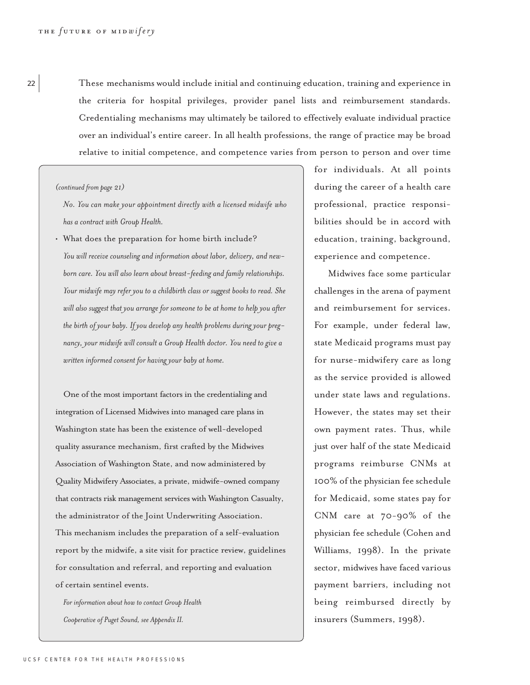<sup>22</sup> These mechanisms would include initial and continuing education, training and experience in the criteria for hospital privileges, provider panel lists and reimbursement standards. Credentialing mechanisms may ultimately be tailored to effectively evaluate individual practice over an individual's entire career. In all health professions, the range of practice may be broad relative to initial competence, and competence varies from person to person and over time

#### *(continued from page 21)*

*No. You can make your appointment directly with a licensed midwife who has a contract with Group Health.*

• What does the preparation for home birth include? *You will receive counseling and information about labor, delivery, and newborn care. You will also learn about breast-feeding and family relationships. Your midwife may refer you to a childbirth class or suggest books to read. She will also suggest that you arrange for someone to be at home to help you after the birth of your baby. If you develop any health problems during your pregnancy, your midwife will consult a Group Health doctor. You need to give a written informed consent for having your baby at home.* 

One of the most important factors in the credentialing and integration of Licensed Midwives into managed care plans in Washington state has been the existence of well-developed quality assurance mechanism, first crafted by the Midwives Association of Washington State, and now administered by Quality Midwifery Associates, a private, midwife-owned company that contracts risk management services with Washington Casualty, the administrator of the Joint Underwriting Association. This mechanism includes the preparation of a self-evaluation report by the midwife, a site visit for practice review, guidelines for consultation and referral, and reporting and evaluation of certain sentinel events.

*For information about how to contact Group Health Cooperative of Puget Sound, see Appendix II.*

for individuals. At all points during the career of a health care professional, practice responsibilities should be in accord with education, training, background, experience and competence.

Midwives face some particular challenges in the arena of payment and reimbursement for services. For example, under federal law, state Medicaid programs must pay for nurse-midwifery care as long as the service provided is allowed under state laws and regulations. However, the states may set their own payment rates. Thus, while just over half of the state Medicaid programs reimburse CNMs at 100% of the physician fee schedule for Medicaid, some states pay for CNM care at 70-90% of the physician fee schedule (Cohen and Williams, 1998). In the private sector, midwives have faced various payment barriers, including not being reimbursed directly by insurers (Summers, 1998).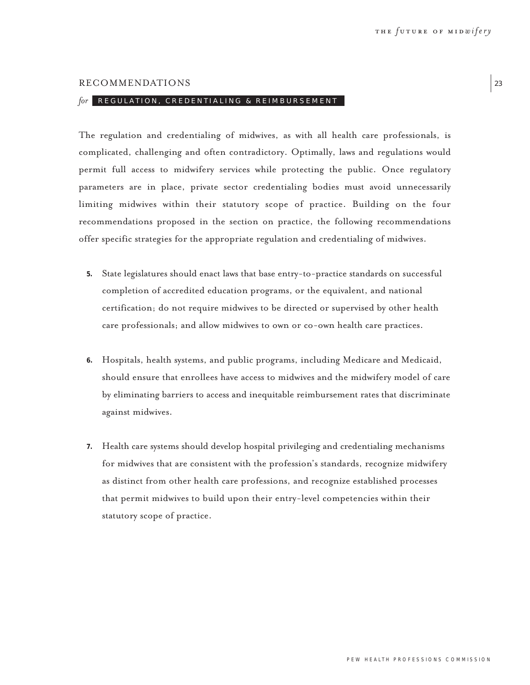#### RECOMMENDATIONS

## *for* REGULATION, CREDENTIALING & REIMBURSEMENT

The regulation and credentialing of midwives, as with all health care professionals, is complicated, challenging and often contradictory. Optimally, laws and regulations would permit full access to midwifery services while protecting the public. Once regulatory parameters are in place, private sector credentialing bodies must avoid unnecessarily limiting midwives within their statutory scope of practice. Building on the four recommendations proposed in the section on practice, the following recommendations offer specific strategies for the appropriate regulation and credentialing of midwives.

- **5.** State legislatures should enact laws that base entry-to-practice standards on successful completion of accredited education programs, or the equivalent, and national certification; do not require midwives to be directed or supervised by other health care professionals; and allow midwives to own or co-own health care practices.
- **6.** Hospitals, health systems, and public programs, including Medicare and Medicaid, should ensure that enrollees have access to midwives and the midwifery model of care by eliminating barriers to access and inequitable reimbursement rates that discriminate against midwives.
- **7.** Health care systems should develop hospital privileging and credentialing mechanisms for midwives that are consistent with the profession's standards, recognize midwifery as distinct from other health care professions, and recognize established processes that permit midwives to build upon their entry-level competencies within their statutory scope of practice.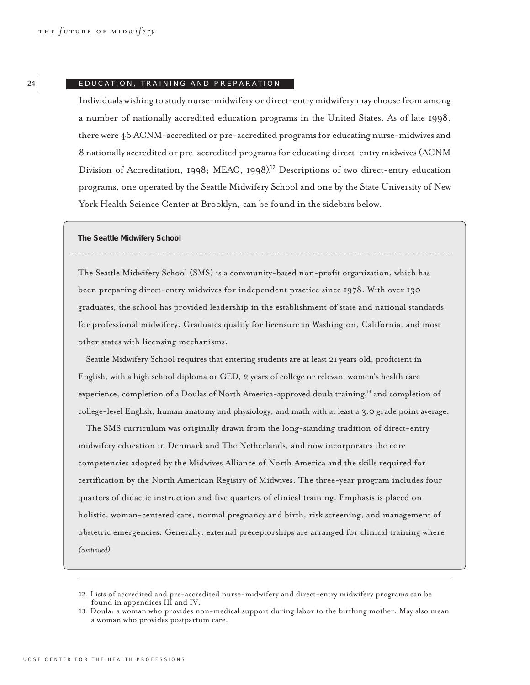#### 24 EDUCATION, TRAINING AND PREPARATION

Individuals wishing to study nurse-midwifery or direct-entry midwifery may choose from among a number of nationally accredited education programs in the United States. As of late 1998, there were 46 ACNM-accredited or pre-accredited programs for educating nurse-midwives and 8 nationally accredited or pre-accredited programs for educating direct-entry midwives (ACNM Division of Accreditation, 1998; MEAC, 1998).<sup>12</sup> Descriptions of two direct-entry education programs, one operated by the Seattle Midwifery School and one by the State University of New York Health Science Center at Brooklyn, can be found in the sidebars below.

**The Seattle Midwifery School**

The Seattle Midwifery School (SMS) is a community-based non-profit organization, which has been preparing direct-entry midwives for independent practice since 1978. With over 130 graduates, the school has provided leadership in the establishment of state and national standards for professional midwifery. Graduates qualify for licensure in Washington, California, and most other states with licensing mechanisms.

Seattle Midwifery School requires that entering students are at least 21 years old, proficient in English, with a high school diploma or GED, 2 years of college or relevant women's health care experience, completion of a Doulas of North America-approved doula training,<sup>13</sup> and completion of college-level English, human anatomy and physiology, and math with at least a 3.0 grade point average.

The SMS curriculum was originally drawn from the long-standing tradition of direct-entry midwifery education in Denmark and The Netherlands, and now incorporates the core competencies adopted by the Midwives Alliance of North America and the skills required for certification by the North American Registry of Midwives. The three-year program includes four quarters of didactic instruction and five quarters of clinical training. Emphasis is placed on holistic, woman-centered care, normal pregnancy and birth, risk screening, and management of obstetric emergencies. Generally, external preceptorships are arranged for clinical training where *(continued)*

<sup>12</sup>. Lists of accredited and pre-accredited nurse-midwifery and direct-entry midwifery programs can be found in appendices III and IV.

<sup>13</sup>. Doula: a woman who provides non-medical support during labor to the birthing mother. May also mean a woman who provides postpartum care.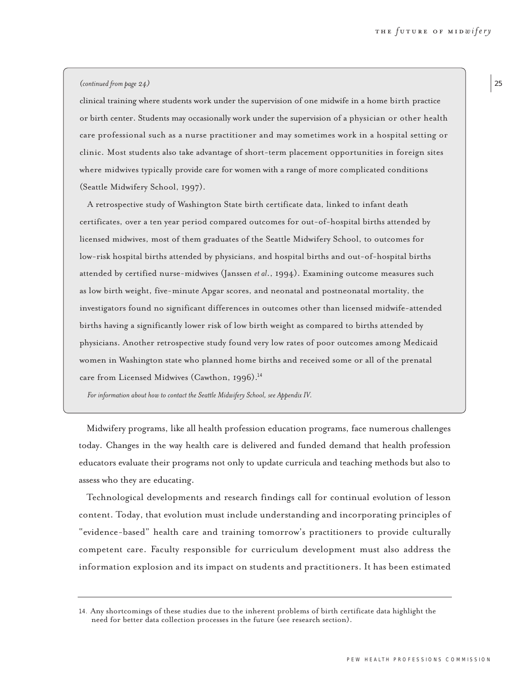#### *(continued from page 24)*

clinical training where students work under the supervision of one midwife in a home birth practice or birth center. Students may occasionally work under the supervision of a physician or other health care professional such as a nurse practitioner and may sometimes work in a hospital setting or clinic. Most students also take advantage of short-term placement opportunities in foreign sites where midwives typically provide care for women with a range of more complicated conditions (Seattle Midwifery School, 1997).

A retrospective study of Washington State birth certificate data, linked to infant death certificates, over a ten year period compared outcomes for out-of-hospital births attended by licensed midwives, most of them graduates of the Seattle Midwifery School, to outcomes for low-risk hospital births attended by physicians, and hospital births and out-of-hospital births attended by certified nurse-midwives (Janssen *et al*., 1994). Examining outcome measures such as low birth weight, five-minute Apgar scores, and neonatal and postneonatal mortality, the investigators found no significant differences in outcomes other than licensed midwife-attended births having a significantly lower risk of low birth weight as compared to births attended by physicians. Another retrospective study found very low rates of poor outcomes among Medicaid women in Washington state who planned home births and received some or all of the prenatal care from Licensed Midwives (Cawthon, 1996).<sup>14</sup>

*For information about how to contact the Seattle Midwifery School, see Appendix IV.*

Midwifery programs, like all health profession education programs, face numerous challenges today. Changes in the way health care is delivered and funded demand that health profession educators evaluate their programs not only to update curricula and teaching methods but also to assess who they are educating.

Technological developments and research findings call for continual evolution of lesson content. Today, that evolution must include understanding and incorporating principles of "evidence-based" health care and training tomorrow's practitioners to provide culturally competent care. Faculty responsible for curriculum development must also address the information explosion and its impact on students and practitioners. It has been estimated 25

<sup>14</sup>. Any shortcomings of these studies due to the inherent problems of birth certificate data highlight the need for better data collection processes in the future (see research section).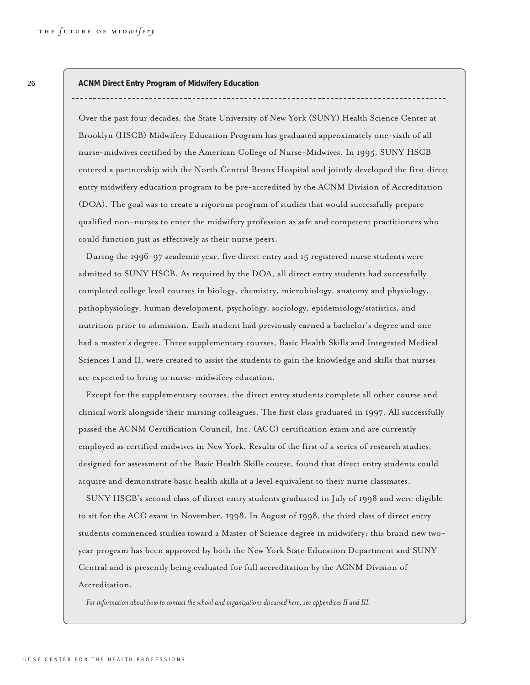26 **ACNM Direct Entry Program of Midwifery Education** 

Over the past four decades, the State University of New York (SUNY) Health Science Center at Brooklyn (HSCB) Midwifery Education Program has graduated approximately one-sixth of all nurse-midwives certified by the American College of Nurse-Midwives. In 1995, SUNY HSCB entered a partnership with the North Central Bronx Hospital and jointly developed the first direct entry midwifery education program to be pre-accredited by the ACNM Division of Accreditation (DOA). The goal was to create a rigorous program of studies that would successfully prepare qualified non-nurses to enter the midwifery profession as safe and competent practitioners who could function just as effectively as their nurse peers.

During the 1996-97 academic year, five direct entry and 15 registered nurse students were admitted to SUNY HSCB. As required by the DOA, all direct entry students had successfully completed college level courses in biology, chemistry, microbiology, anatomy and physiology, pathophysiology, human development, psychology, sociology, epidemiology/statistics, and nutrition prior to admission. Each student had previously earned a bachelor's degree and one had a master's degree. Three supplementary courses, Basic Health Skills and Integrated Medical Sciences I and II, were created to assist the students to gain the knowledge and skills that nurses are expected to bring to nurse-midwifery education.

Except for the supplementary courses, the direct entry students complete all other course and clinical work alongside their nursing colleagues. The first class graduated in 1997. All successfully passed the ACNM Certification Council, Inc. (ACC) certification exam and are currently employed as certified midwives in New York. Results of the first of a series of research studies, designed for assessment of the Basic Health Skills course, found that direct entry students could acquire and demonstrate basic health skills at a level equivalent to their nurse classmates.

SUNY HSCB's second class of direct entry students graduated in July of 1998 and were eligible to sit for the ACC exam in November, 1998. In August of 1998, the third class of direct entry students commenced studies toward a Master of Science degree in midwifery; this brand new twoyear program has been approved by both the New York State Education Department and SUNY Central and is presently being evaluated for full accreditation by the ACNM Division of Accreditation.

*For information about how to contact the school and organizations discussed here, see appendices II and III.*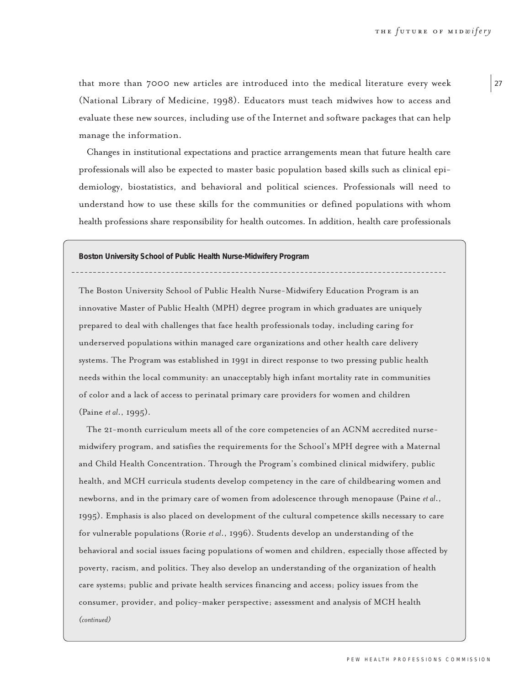that more than 7000 new articles are introduced into the medical literature every week (National Library of Medicine, 1998). Educators must teach midwives how to access and evaluate these new sources, including use of the Internet and software packages that can help manage the information.

Changes in institutional expectations and practice arrangements mean that future health care professionals will also be expected to master basic population based skills such as clinical epidemiology, biostatistics, and behavioral and political sciences. Professionals will need to understand how to use these skills for the communities or defined populations with whom health professions share responsibility for health outcomes. In addition, health care professionals

**Boston University School of Public Health Nurse-Midwifery Program**

The Boston University School of Public Health Nurse-Midwifery Education Program is an innovative Master of Public Health (MPH) degree program in which graduates are uniquely prepared to deal with challenges that face health professionals today, including caring for underserved populations within managed care organizations and other health care delivery systems. The Program was established in 1991 in direct response to two pressing public health needs within the local community: an unacceptably high infant mortality rate in communities of color and a lack of access to perinatal primary care providers for women and children (Paine *et al*., 1995).

The 21-month curriculum meets all of the core competencies of an ACNM accredited nursemidwifery program, and satisfies the requirements for the School's MPH degree with a Maternal and Child Health Concentration. Through the Program's combined clinical midwifery, public health, and MCH curricula students develop competency in the care of childbearing women and newborns, and in the primary care of women from adolescence through menopause (Paine *et al*., 1995). Emphasis is also placed on development of the cultural competence skills necessary to care for vulnerable populations (Rorie *et al*., 1996). Students develop an understanding of the behavioral and social issues facing populations of women and children, especially those affected by poverty, racism, and politics. They also develop an understanding of the organization of health care systems; public and private health services financing and access; policy issues from the consumer, provider, and policy-maker perspective; assessment and analysis of MCH health *(continued)*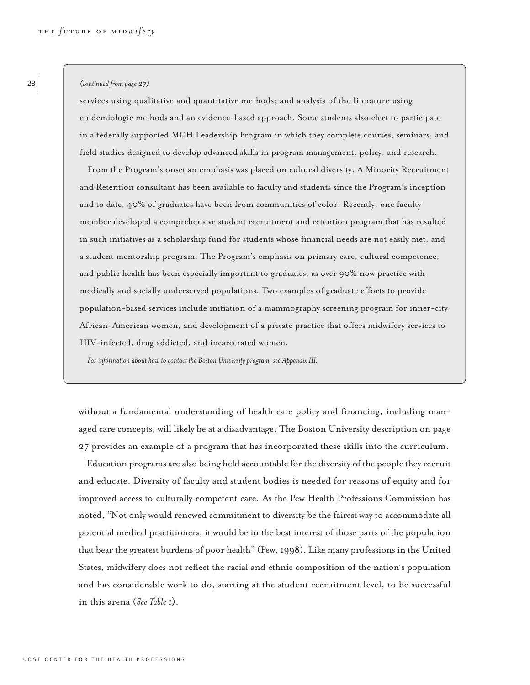#### *(continued from page 27)*

services using qualitative and quantitative methods; and analysis of the literature using epidemiologic methods and an evidence-based approach. Some students also elect to participate in a federally supported MCH Leadership Program in which they complete courses, seminars, and field studies designed to develop advanced skills in program management, policy, and research.

From the Program's onset an emphasis was placed on cultural diversity. A Minority Recruitment and Retention consultant has been available to faculty and students since the Program's inception and to date, 40% of graduates have been from communities of color. Recently, one faculty member developed a comprehensive student recruitment and retention program that has resulted in such initiatives as a scholarship fund for students whose financial needs are not easily met, and a student mentorship program. The Program's emphasis on primary care, cultural competence, and public health has been especially important to graduates, as over 90% now practice with medically and socially underserved populations. Two examples of graduate efforts to provide population-based services include initiation of a mammography screening program for inner-city African-American women, and development of a private practice that offers midwifery services to HIV-infected, drug addicted, and incarcerated women.

*For information about how to contact the Boston University program, see Appendix III.*

without a fundamental understanding of health care policy and financing, including managed care concepts, will likely be at a disadvantage. The Boston University description on page 27 provides an example of a program that has incorporated these skills into the curriculum.

Education programs are also being held accountable for the diversity of the people they recruit and educate. Diversity of faculty and student bodies is needed for reasons of equity and for improved access to culturally competent care. As the Pew Health Professions Commission has noted, "Not only would renewed commitment to diversity be the fairest way to accommodate all potential medical practitioners, it would be in the best interest of those parts of the population that bear the greatest burdens of poor health" (Pew, 1998). Like many professions in the United States, midwifery does not reflect the racial and ethnic composition of the nation's population and has considerable work to do, starting at the student recruitment level, to be successful in this arena (*See Table 1*).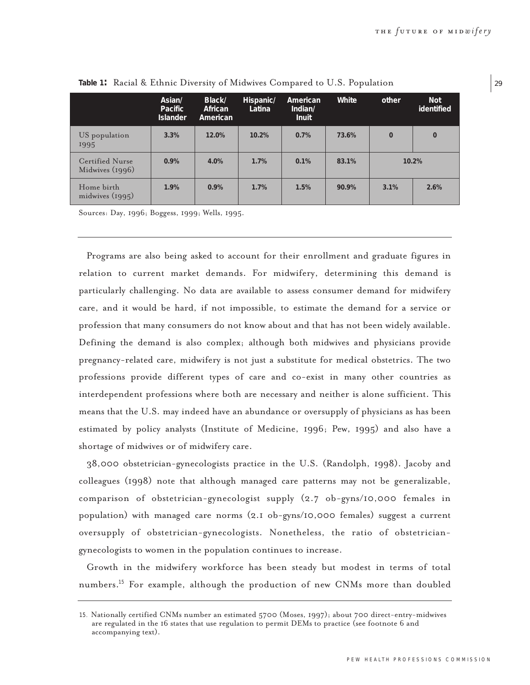|                                    | Asian/<br>Pacific<br><b>Islander</b> | Black/<br>African<br>American | Hispanic/<br>Latina | American<br>Indian/<br><b>Inuit</b> | White | other    | Not<br>identified |
|------------------------------------|--------------------------------------|-------------------------------|---------------------|-------------------------------------|-------|----------|-------------------|
| US population<br>1995              | 3.3%                                 | 12.0%                         | 10.2%               | 0.7%                                | 73.6% | $\Omega$ | $\overline{0}$    |
| Certified Nurse<br>Midwives (1996) | 0.9%                                 | 4.0%                          | 1.7%                | $0.1\%$                             | 83.1% |          | 10.2%             |
| Home birth<br>midwives $(1995)$    | 1.9%                                 | 0.9%                          | 1.7%                | 1.5%                                | 90.9% | 3.1%     | 2.6%              |

**Table 1:** Racial & Ethnic Diversity of Midwives Compared to U.S. Population

Sources: Day, 1996; Boggess, 1999; Wells, 1995.

Programs are also being asked to account for their enrollment and graduate figures in relation to current market demands. For midwifery, determining this demand is particularly challenging. No data are available to assess consumer demand for midwifery care, and it would be hard, if not impossible, to estimate the demand for a service or profession that many consumers do not know about and that has not been widely available. Defining the demand is also complex; although both midwives and physicians provide pregnancy-related care, midwifery is not just a substitute for medical obstetrics. The two professions provide different types of care and co-exist in many other countries as interdependent professions where both are necessary and neither is alone sufficient. This means that the U.S. may indeed have an abundance or oversupply of physicians as has been estimated by policy analysts (Institute of Medicine, 1996; Pew, 1995) and also have a shortage of midwives or of midwifery care.

38,000 obstetrician-gynecologists practice in the U.S. (Randolph, 1998). Jacoby and colleagues (1998) note that although managed care patterns may not be generalizable, comparison of obstetrician-gynecologist supply (2.7 ob-gyns/10,000 females in population) with managed care norms (2.1 ob-gyns/10,000 females) suggest a current oversupply of obstetrician-gynecologists. Nonetheless, the ratio of obstetriciangynecologists to women in the population continues to increase.

Growth in the midwifery workforce has been steady but modest in terms of total numbers.<sup>15</sup> For example, although the production of new CNMs more than doubled 29

<sup>15</sup>. Nationally certified CNMs number an estimated 5700 (Moses, 1997); about 700 direct-entry-midwives are regulated in the 16 states that use regulation to permit DEMs to practice (see footnote 6 and accompanying text).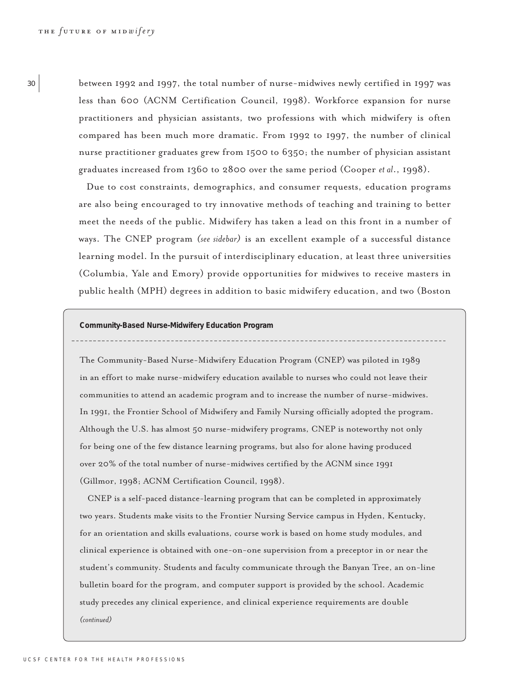<sup>30</sup> between 1992 and 1997, the total number of nurse-midwives newly certified in 1997 was less than 600 (ACNM Certification Council, 1998). Workforce expansion for nurse practitioners and physician assistants, two professions with which midwifery is often compared has been much more dramatic. From 1992 to 1997, the number of clinical nurse practitioner graduates grew from 1500 to 6350; the number of physician assistant graduates increased from 1360 to 2800 over the same period (Cooper *et al*., 1998).

> Due to cost constraints, demographics, and consumer requests, education programs are also being encouraged to try innovative methods of teaching and training to better meet the needs of the public. Midwifery has taken a lead on this front in a number of ways. The CNEP program *(see sidebar)* is an excellent example of a successful distance learning model. In the pursuit of interdisciplinary education, at least three universities (Columbia, Yale and Emory) provide opportunities for midwives to receive masters in public health (MPH) degrees in addition to basic midwifery education, and two (Boston

**Community-Based Nurse-Midwifery Education Program** 

The Community-Based Nurse-Midwifery Education Program (CNEP) was piloted in 1989 in an effort to make nurse-midwifery education available to nurses who could not leave their communities to attend an academic program and to increase the number of nurse-midwives. In 1991, the Frontier School of Midwifery and Family Nursing officially adopted the program. Although the U.S. has almost 50 nurse-midwifery programs, CNEP is noteworthy not only for being one of the few distance learning programs, but also for alone having produced over 20% of the total number of nurse-midwives certified by the ACNM since 1991 (Gillmor, 1998; ACNM Certification Council, 1998).

CNEP is a self-paced distance-learning program that can be completed in approximately two years. Students make visits to the Frontier Nursing Service campus in Hyden, Kentucky, for an orientation and skills evaluations, course work is based on home study modules, and clinical experience is obtained with one-on-one supervision from a preceptor in or near the student's community. Students and faculty communicate through the Banyan Tree, an on-line bulletin board for the program, and computer support is provided by the school. Academic study precedes any clinical experience, and clinical experience requirements are double *(continued)*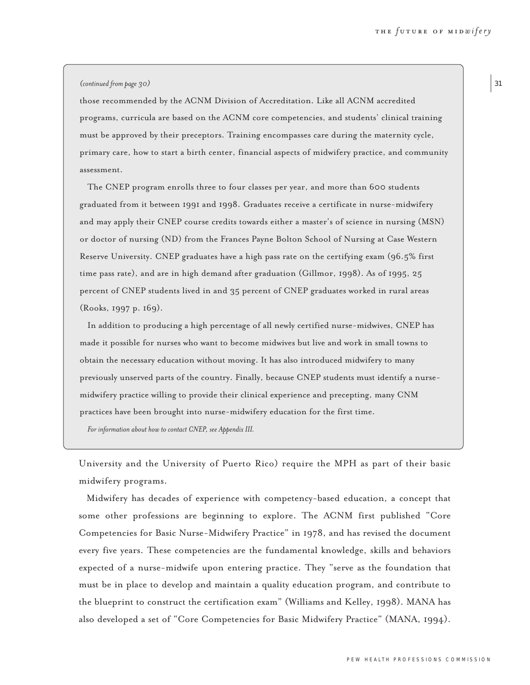#### *(continued from page 30)*

those recommended by the ACNM Division of Accreditation. Like all ACNM accredited programs, curricula are based on the ACNM core competencies, and students' clinical training must be approved by their preceptors. Training encompasses care during the maternity cycle, primary care, how to start a birth center, financial aspects of midwifery practice, and community assessment.

The CNEP program enrolls three to four classes per year, and more than 600 students graduated from it between 1991 and 1998. Graduates receive a certificate in nurse-midwifery and may apply their CNEP course credits towards either a master's of science in nursing (MSN) or doctor of nursing (ND) from the Frances Payne Bolton School of Nursing at Case Western Reserve University. CNEP graduates have a high pass rate on the certifying exam (96.5% first time pass rate), and are in high demand after graduation (Gillmor, 1998). As of 1995, 25 percent of CNEP students lived in and 35 percent of CNEP graduates worked in rural areas (Rooks, 1997 p. 169).

In addition to producing a high percentage of all newly certified nurse-midwives, CNEP has made it possible for nurses who want to become midwives but live and work in small towns to obtain the necessary education without moving. It has also introduced midwifery to many previously unserved parts of the country. Finally, because CNEP students must identify a nursemidwifery practice willing to provide their clinical experience and precepting, many CNM practices have been brought into nurse-midwifery education for the first time.

*For information about how to contact CNEP, see Appendix III.*

University and the University of Puerto Rico) require the MPH as part of their basic midwifery programs.

Midwifery has decades of experience with competency-based education, a concept that some other professions are beginning to explore. The ACNM first published "Core Competencies for Basic Nurse-Midwifery Practice" in 1978, and has revised the document every five years. These competencies are the fundamental knowledge, skills and behaviors expected of a nurse-midwife upon entering practice. They "serve as the foundation that must be in place to develop and maintain a quality education program, and contribute to the blueprint to construct the certification exam" (Williams and Kelley, 1998). MANA has also developed a set of "Core Competencies for Basic Midwifery Practice" (MANA, 1994). 31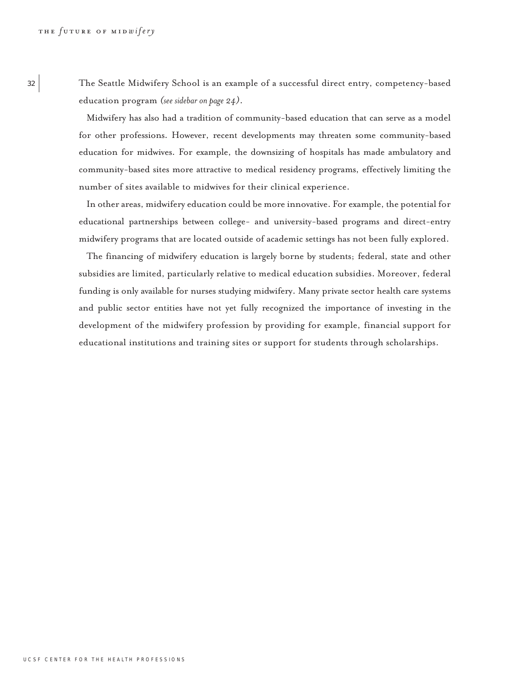<sup>32</sup> The Seattle Midwifery School is an example of a successful direct entry, competency-based education program *(see sidebar on page 24)*.

> Midwifery has also had a tradition of community-based education that can serve as a model for other professions. However, recent developments may threaten some community-based education for midwives. For example, the downsizing of hospitals has made ambulatory and community-based sites more attractive to medical residency programs, effectively limiting the number of sites available to midwives for their clinical experience.

> In other areas, midwifery education could be more innovative. For example, the potential for educational partnerships between college- and university-based programs and direct-entry midwifery programs that are located outside of academic settings has not been fully explored.

> The financing of midwifery education is largely borne by students; federal, state and other subsidies are limited, particularly relative to medical education subsidies. Moreover, federal funding is only available for nurses studying midwifery. Many private sector health care systems and public sector entities have not yet fully recognized the importance of investing in the development of the midwifery profession by providing for example, financial support for educational institutions and training sites or support for students through scholarships.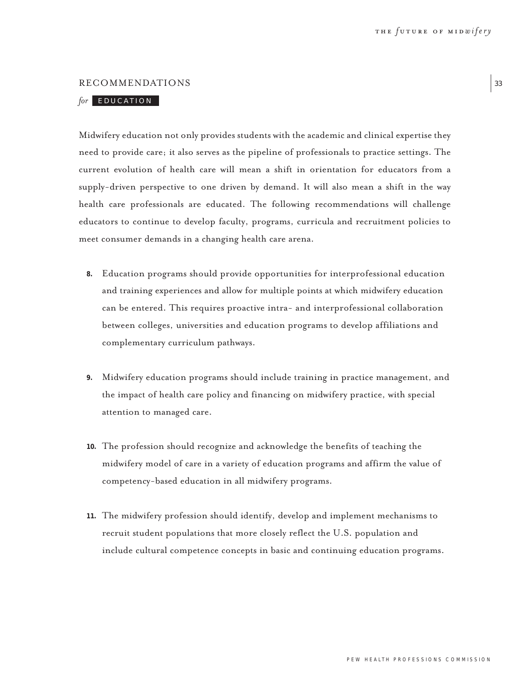### RECOMMENDATIONS

# *for* EDUCATION

Midwifery education not only provides students with the academic and clinical expertise they need to provide care; it also serves as the pipeline of professionals to practice settings. The current evolution of health care will mean a shift in orientation for educators from a supply-driven perspective to one driven by demand. It will also mean a shift in the way health care professionals are educated. The following recommendations will challenge educators to continue to develop faculty, programs, curricula and recruitment policies to meet consumer demands in a changing health care arena.

- **8.** Education programs should provide opportunities for interprofessional education and training experiences and allow for multiple points at which midwifery education can be entered. This requires proactive intra- and interprofessional collaboration between colleges, universities and education programs to develop affiliations and complementary curriculum pathways.
- **9.** Midwifery education programs should include training in practice management, and the impact of health care policy and financing on midwifery practice, with special attention to managed care.
- **10.** The profession should recognize and acknowledge the benefits of teaching the midwifery model of care in a variety of education programs and affirm the value of competency-based education in all midwifery programs.
- **11.** The midwifery profession should identify, develop and implement mechanisms to recruit student populations that more closely reflect the U.S. population and include cultural competence concepts in basic and continuing education programs.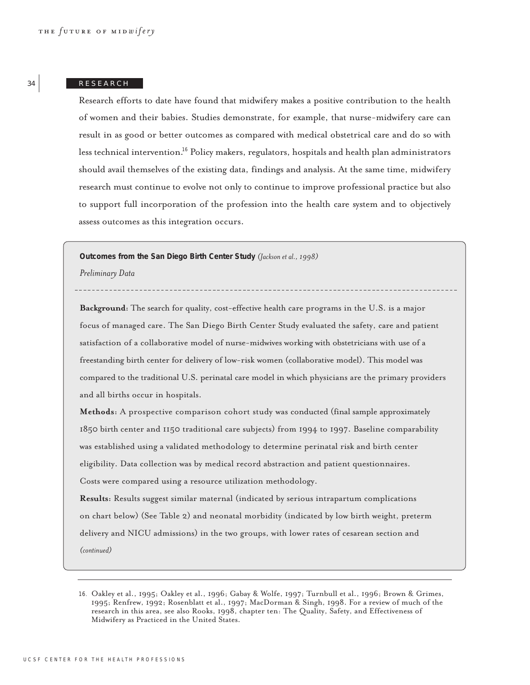## 34 RESEARCH

Research efforts to date have found that midwifery makes a positive contribution to the health of women and their babies. Studies demonstrate, for example, that nurse-midwifery care can result in as good or better outcomes as compared with medical obstetrical care and do so with less technical intervention.<sup>16</sup> Policy makers, regulators, hospitals and health plan administrators should avail themselves of the existing data, findings and analysis. At the same time, midwifery research must continue to evolve not only to continue to improve professional practice but also to support full incorporation of the profession into the health care system and to objectively assess outcomes as this integration occurs.

**Outcomes from the San Diego Birth Center Study** *(Jackson et al., 1998)*

*Preliminary Data*

**Background:** The search for quality, cost-effective health care programs in the U.S. is a major focus of managed care. The San Diego Birth Center Study evaluated the safety, care and patient satisfaction of a collaborative model of nurse-midwives working with obstetricians with use of a freestanding birth center for delivery of low-risk women (collaborative model). This model was compared to the traditional U.S. perinatal care model in which physicians are the primary providers and all births occur in hospitals.

**Methods:** A prospective comparison cohort study was conducted (final sample approximately 1850 birth center and 1150 traditional care subjects) from 1994 to 1997. Baseline comparability was established using a validated methodology to determine perinatal risk and birth center eligibility. Data collection was by medical record abstraction and patient questionnaires. Costs were compared using a resource utilization methodology.

**Results:** Results suggest similar maternal (indicated by serious intrapartum complications on chart below) (See Table 2) and neonatal morbidity (indicated by low birth weight, preterm delivery and NICU admissions) in the two groups, with lower rates of cesarean section and *(continued)*

<sup>16</sup>. Oakley et al., 1995; Oakley et al., 1996; Gabay & Wolfe, 1997; Turnbull et al., 1996; Brown & Grimes, 1995; Renfrew, 1992; Rosenblatt et al., 1997; MacDorman & Singh, 1998. For a review of much of the research in this area, see also Rooks, 1998, chapter ten: The Quality, Safety, and Effectiveness of Midwifery as Practiced in the United States.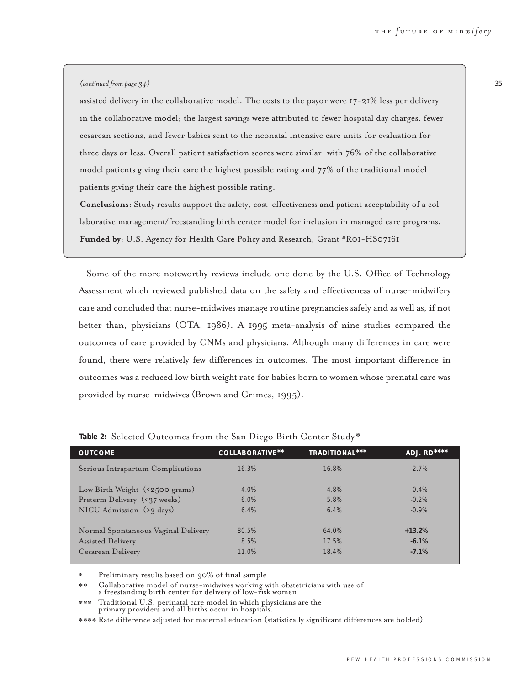### *(continued from page 34)*

assisted delivery in the collaborative model. The costs to the payor were 17-21% less per delivery in the collaborative model; the largest savings were attributed to fewer hospital day charges, fewer cesarean sections, and fewer babies sent to the neonatal intensive care units for evaluation for three days or less. Overall patient satisfaction scores were similar, with 76% of the collaborative model patients giving their care the highest possible rating and 77% of the traditional model patients giving their care the highest possible rating.

**Conclusions:** Study results support the safety, cost-effectiveness and patient acceptability of a collaborative management/freestanding birth center model for inclusion in managed care programs. **Funded by:** U.S. Agency for Health Care Policy and Research, Grant #R01-HS07161

Some of the more noteworthy reviews include one done by the U.S. Office of Technology Assessment which reviewed published data on the safety and effectiveness of nurse-midwifery care and concluded that nurse-midwives manage routine pregnancies safely and as well as, if not better than, physicians (OTA, 1986). A 1995 meta-analysis of nine studies compared the outcomes of care provided by CNMs and physicians. Although many differences in care were found, there were relatively few differences in outcomes. The most important difference in outcomes was a reduced low birth weight rate for babies born to women whose prenatal care was provided by nurse-midwives (Brown and Grimes, 1995).

| <b>OUTCOME</b>                      | COLLABORATIVE** | TRADITIONAL*** | ADJ. RD**** |
|-------------------------------------|-----------------|----------------|-------------|
| Serious Intrapartum Complications   | 16.3%           | 16.8%          | $-2.7%$     |
| Low Birth Weight (<2500 grams)      | $4.0\%$         | 4.8%           | $-0.4\%$    |
| Preterm Delivery (<37 weeks)        | 6.0%            | 5.8%           | $-0.2%$     |
| NICU Admission $(23 \text{ days})$  | 6.4%            | 6.4%           | $-0.9%$     |
|                                     |                 |                |             |
| Normal Spontaneous Vaginal Delivery | 80.5%           | $64.0\%$       | $+13.2%$    |
| <b>Assisted Delivery</b>            | 8.5%            | 17.5%          | $-6.1\%$    |
| Cesarean Delivery                   | 11.0%           | 18.4%          | $-7.1%$     |

**Table 2:** Selected Outcomes from the San Diego Birth Center Study \*

\* Preliminary results based on 90% of final sample

\*\* Collaborative model of nurse-midwives working with obstetricians with use of a freestanding birth center for delivery of low-risk women

\*\*\* Traditional U.S. perinatal care model in which physicians are the primary providers and all births occur in hospitals.

\*\*\*\* Rate difference adjusted for maternal education (statistically significant differences are bolded)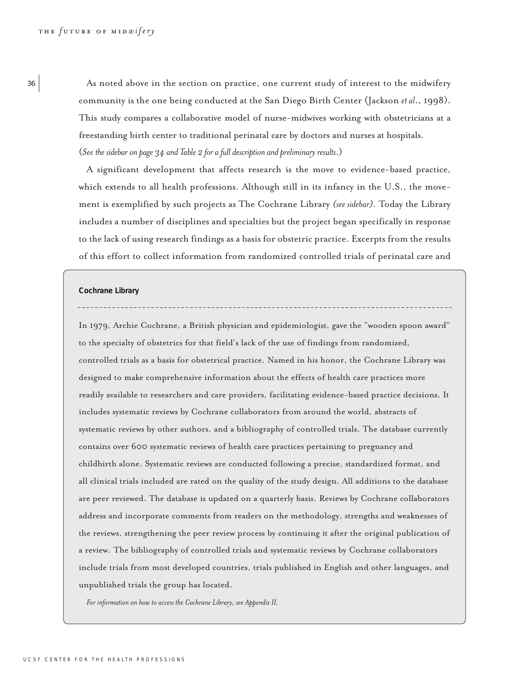36 As noted above in the section on practice, one current study of interest to the midwifery community is the one being conducted at the San Diego Birth Center (Jackson *et al*., 1998). This study compares a collaborative model of nurse-midwives working with obstetricians at a freestanding birth center to traditional perinatal care by doctors and nurses at hospitals. (*See the sidebar on page 34 and Table 2 for a full description and preliminary results*.)

> A significant development that affects research is the move to evidence-based practice, which extends to all health professions. Although still in its infancy in the U.S., the movement is exemplified by such projects as The Cochrane Library *(see sidebar)*. Today the Library includes a number of disciplines and specialties but the project began specifically in response to the lack of using research findings as a basis for obstetric practice. Excerpts from the results of this effort to collect information from randomized controlled trials of perinatal care and

#### **Cochrane Library**

In 1979, Archie Cochrane, a British physician and epidemiologist, gave the "wooden spoon award" to the specialty of obstetrics for that field's lack of the use of findings from randomized, controlled trials as a basis for obstetrical practice. Named in his honor, the Cochrane Library was designed to make comprehensive information about the effects of health care practices more readily available to researchers and care providers, facilitating evidence-based practice decisions. It includes systematic reviews by Cochrane collaborators from around the world, abstracts of systematic reviews by other authors, and a bibliography of controlled trials. The database currently contains over 600 systematic reviews of health care practices pertaining to pregnancy and childbirth alone. Systematic reviews are conducted following a precise, standardized format, and all clinical trials included are rated on the quality of the study design. All additions to the database are peer reviewed. The database is updated on a quarterly basis. Reviews by Cochrane collaborators address and incorporate comments from readers on the methodology, strengths and weaknesses of the reviews, strengthening the peer review process by continuing it after the original publication of a review. The bibliography of controlled trials and systematic reviews by Cochrane collaborators include trials from most developed countries, trials published in English and other languages, and unpublished trials the group has located.

*For information on how to access the Cochrane Library, see Appendix II.*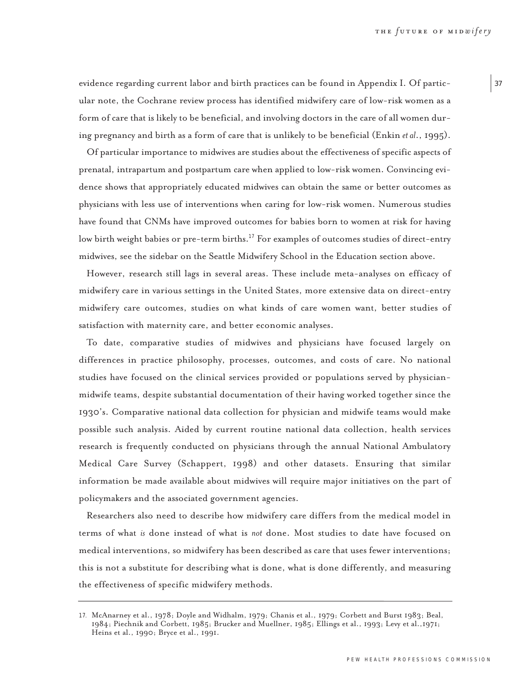evidence regarding current labor and birth practices can be found in Appendix I. Of particular note, the Cochrane review process has identified midwifery care of low-risk women as a form of care that is likely to be beneficial, and involving doctors in the care of all women during pregnancy and birth as a form of care that is unlikely to be beneficial (Enkin *et al*., 1995).

Of particular importance to midwives are studies about the effectiveness of specific aspects of prenatal, intrapartum and postpartum care when applied to low-risk women. Convincing evidence shows that appropriately educated midwives can obtain the same or better outcomes as physicians with less use of interventions when caring for low-risk women. Numerous studies have found that CNMs have improved outcomes for babies born to women at risk for having low birth weight babies or pre-term births.<sup>17</sup> For examples of outcomes studies of direct-entry midwives, see the sidebar on the Seattle Midwifery School in the Education section above.

However, research still lags in several areas. These include meta-analyses on efficacy of midwifery care in various settings in the United States, more extensive data on direct-entry midwifery care outcomes, studies on what kinds of care women want, better studies of satisfaction with maternity care, and better economic analyses.

To date, comparative studies of midwives and physicians have focused largely on differences in practice philosophy, processes, outcomes, and costs of care. No national studies have focused on the clinical services provided or populations served by physicianmidwife teams, despite substantial documentation of their having worked together since the 1930's. Comparative national data collection for physician and midwife teams would make possible such analysis. Aided by current routine national data collection, health services research is frequently conducted on physicians through the annual National Ambulatory Medical Care Survey (Schappert, 1998) and other datasets. Ensuring that similar information be made available about midwives will require major initiatives on the part of policymakers and the associated government agencies.

Researchers also need to describe how midwifery care differs from the medical model in terms of what *is* done instead of what is *not* done. Most studies to date have focused on medical interventions, so midwifery has been described as care that uses fewer interventions; this is not a substitute for describing what is done, what is done differently, and measuring the effectiveness of specific midwifery methods.

<sup>17</sup>. McAnarney et al., 1978; Doyle and Widhalm, 1979; Chanis et al., 1979; Corbett and Burst 1983; Beal, 1984; Piechnik and Corbett, 1985; Brucker and Muellner, 1985; Ellings et al., 1993; Levy et al.,1971; Heins et al., 1990; Bryce et al., 1991.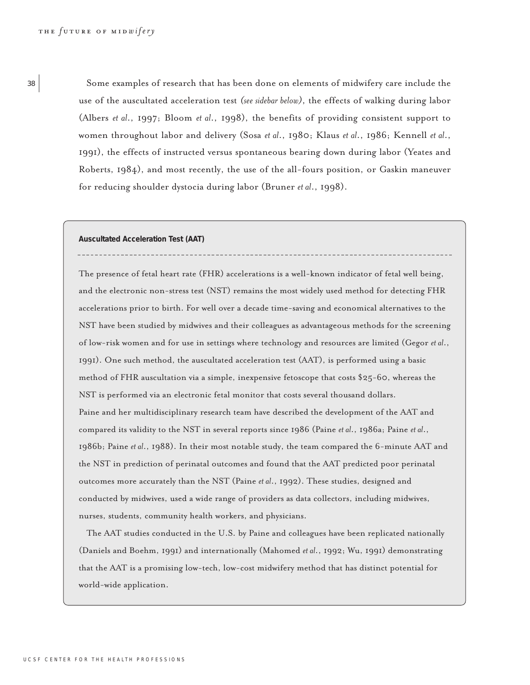38 Some examples of research that has been done on elements of midwifery care include the use of the auscultated acceleration test *(see sidebar below)*, the effects of walking during labor (Albers *et al*., 1997; Bloom *et al*., 1998), the benefits of providing consistent support to women throughout labor and delivery (Sosa *et al*., 1980; Klaus *et al*., 1986; Kennell *et al*., 1991), the effects of instructed versus spontaneous bearing down during labor (Yeates and Roberts, 1984), and most recently, the use of the all-fours position, or Gaskin maneuver for reducing shoulder dystocia during labor (Bruner *et al*., 1998).

**Auscultated Acceleration Test (AAT)** 

The presence of fetal heart rate (FHR) accelerations is a well-known indicator of fetal well being, and the electronic non-stress test (NST) remains the most widely used method for detecting FHR accelerations prior to birth. For well over a decade time-saving and economical alternatives to the NST have been studied by midwives and their colleagues as advantageous methods for the screening of low-risk women and for use in settings where technology and resources are limited (Gegor *et al*., 1991). One such method, the auscultated acceleration test (AAT), is performed using a basic method of FHR auscultation via a simple, inexpensive fetoscope that costs \$25-60, whereas the NST is performed via an electronic fetal monitor that costs several thousand dollars. Paine and her multidisciplinary research team have described the development of the AAT and compared its validity to the NST in several reports since 1986 (Paine *et al*., 1986a; Paine *et al*., 1986b; Paine *et al*., 1988). In their most notable study, the team compared the 6-minute AAT and the NST in prediction of perinatal outcomes and found that the AAT predicted poor perinatal outcomes more accurately than the NST (Paine *et al*., 1992). These studies, designed and conducted by midwives, used a wide range of providers as data collectors, including midwives, nurses, students, community health workers, and physicians.

The AAT studies conducted in the U.S. by Paine and colleagues have been replicated nationally (Daniels and Boehm, 1991) and internationally (Mahomed *et al*., 1992; Wu, 1991) demonstrating that the AAT is a promising low-tech, low-cost midwifery method that has distinct potential for world-wide application.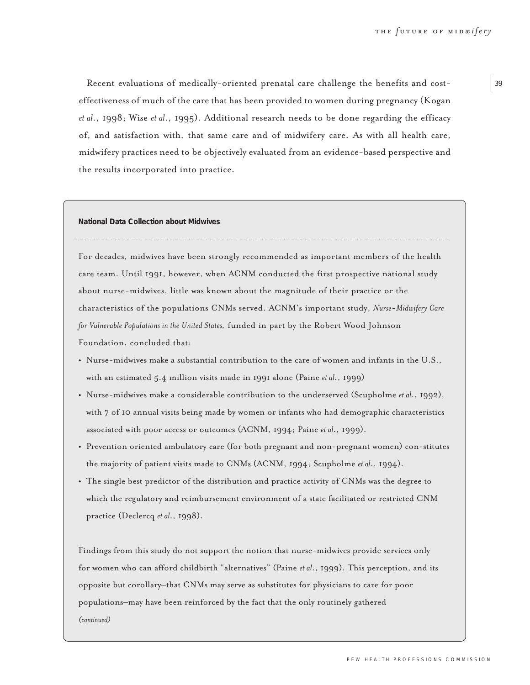Recent evaluations of medically-oriented prenatal care challenge the benefits and costeffectiveness of much of the care that has been provided to women during pregnancy (Kogan *et al*., 1998; Wise *et al*., 1995). Additional research needs to be done regarding the efficacy of, and satisfaction with, that same care and of midwifery care. As with all health care, midwifery practices need to be objectively evaluated from an evidence-based perspective and the results incorporated into practice.

**National Data Collection about Midwives**

For decades, midwives have been strongly recommended as important members of the health care team. Until 1991, however, when ACNM conducted the first prospective national study about nurse-midwives, little was known about the magnitude of their practice or the characteristics of the populations CNMs served. ACNM's important study, *Nurse-Midwifery Care for Vulnerable Populations in the United States,* funded in part by the Robert Wood Johnson Foundation, concluded that:

- **•** Nurse-midwives make a substantial contribution to the care of women and infants in the U.S., with an estimated 5.4 million visits made in 1991 alone (Paine *et al*., 1999)
- **•** Nurse-midwives make a considerable contribution to the underserved (Scupholme *et al*., 1992), with 7 of 10 annual visits being made by women or infants who had demographic characteristics associated with poor access or outcomes (ACNM, 1994; Paine *et al*., 1999).
- Prevention oriented ambulatory care (for both pregnant and non-pregnant women) con-stitutes the majority of patient visits made to CNMs (ACNM, 1994; Scupholme *et al*., 1994).
- **•** The single best predictor of the distribution and practice activity of CNMs was the degree to which the regulatory and reimbursement environment of a state facilitated or restricted CNM practice (Declercq *et al*., 1998).

Findings from this study do not support the notion that nurse-midwives provide services only for women who can afford childbirth "alternatives" (Paine *et al*., 1999). This perception, and its opposite but corollary–that CNMs may serve as substitutes for physicians to care for poor populations–may have been reinforced by the fact that the only routinely gathered *(continued)*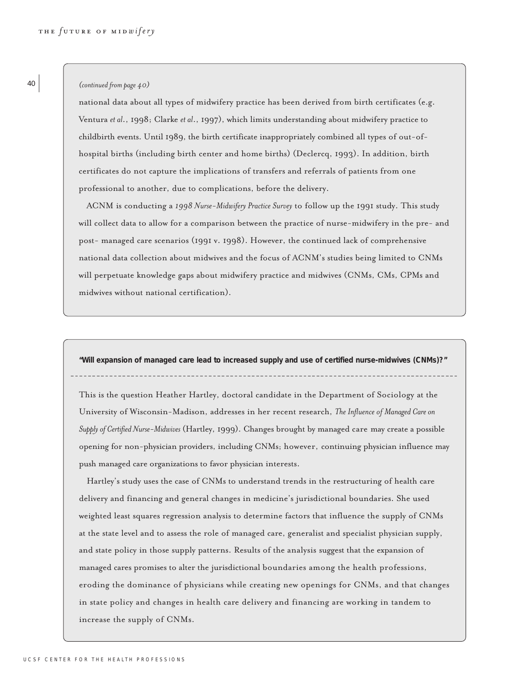#### *(continued from page 40)*

national data about all types of midwifery practice has been derived from birth certificates (e.g. Ventura *et al*., 1998; Clarke *et al*., 1997), which limits understanding about midwifery practice to childbirth events. Until 1989, the birth certificate inappropriately combined all types of out-ofhospital births (including birth center and home births) (Declercq, 1993). In addition, birth certificates do not capture the implications of transfers and referrals of patients from one professional to another, due to complications, before the delivery.

ACNM is conducting a *1998 Nurse-Midwifery Practice Survey* to follow up the 1991 study. This study will collect data to allow for a comparison between the practice of nurse-midwifery in the pre- and post- managed care scenarios (1991 v. 1998). However, the continued lack of comprehensive national data collection about midwives and the focus of ACNM's studies being limited to CNMs will perpetuate knowledge gaps about midwifery practice and midwives (CNMs, CMs, CPMs and midwives without national certification).

**"Will expansion of managed care lead to increased supply and use of certified nurse-midwives (CNMs)?"**

This is the question Heather Hartley, doctoral candidate in the Department of Sociology at the University of Wisconsin-Madison, addresses in her recent research, *The Influence of Managed Care on Supply of Certified Nurse-Midwives* (Hartley, 1999). Changes brought by managed care may create a possible opening for non-physician providers, including CNMs; however, continuing physician influence may push managed care organizations to favor physician interests.

Hartley's study uses the case of CNMs to understand trends in the restructuring of health care delivery and financing and general changes in medicine's jurisdictional boundaries. She used weighted least squares regression analysis to determine factors that influence the supply of CNMs at the state level and to assess the role of managed care, generalist and specialist physician supply, and state policy in those supply patterns. Results of the analysis suggest that the expansion of managed cares promises to alter the jurisdictional boundaries among the health professions, eroding the dominance of physicians while creating new openings for CNMs, and that changes in state policy and changes in health care delivery and financing are working in tandem to increase the supply of CNMs.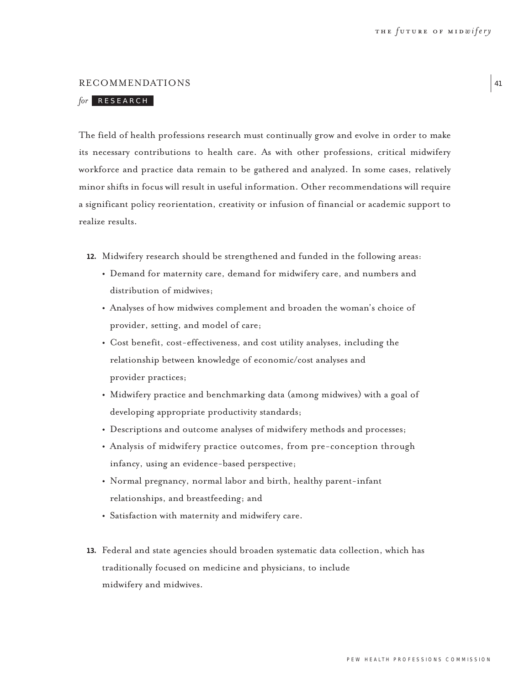41

# RECOMMENDATIONS

# *for* RESEARCH

The field of health professions research must continually grow and evolve in order to make its necessary contributions to health care. As with other professions, critical midwifery workforce and practice data remain to be gathered and analyzed. In some cases, relatively minor shifts in focus will result in useful information. Other recommendations will require a significant policy reorientation, creativity or infusion of financial or academic support to realize results.

- **12.** Midwifery research should be strengthened and funded in the following areas:
	- **•** Demand for maternity care, demand for midwifery care, and numbers and distribution of midwives;
	- **•** Analyses of how midwives complement and broaden the woman's choice of provider, setting, and model of care;
	- **•** Cost benefit, cost-effectiveness, and cost utility analyses, including the relationship between knowledge of economic/cost analyses and provider practices;
	- **•** Midwifery practice and benchmarking data (among midwives) with a goal of developing appropriate productivity standards;
	- **•** Descriptions and outcome analyses of midwifery methods and processes;
	- **•** Analysis of midwifery practice outcomes, from pre-conception through infancy, using an evidence-based perspective;
	- **•** Normal pregnancy, normal labor and birth, healthy parent-infant relationships, and breastfeeding; and
	- **•** Satisfaction with maternity and midwifery care.
- **13.** Federal and state agencies should broaden systematic data collection, which has traditionally focused on medicine and physicians, to include midwifery and midwives.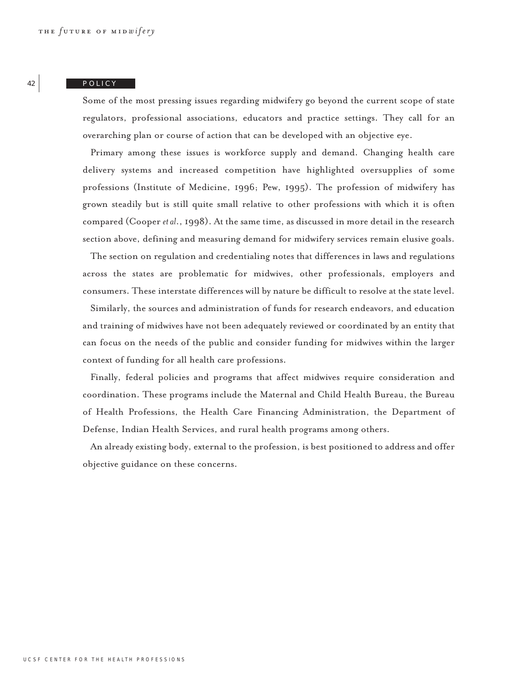#### POLICY

Some of the most pressing issues regarding midwifery go beyond the current scope of state regulators, professional associations, educators and practice settings. They call for an overarching plan or course of action that can be developed with an objective eye.

Primary among these issues is workforce supply and demand. Changing health care delivery systems and increased competition have highlighted oversupplies of some professions (Institute of Medicine, 1996; Pew, 1995). The profession of midwifery has grown steadily but is still quite small relative to other professions with which it is often compared (Cooper *et al*., 1998). At the same time, as discussed in more detail in the research section above, defining and measuring demand for midwifery services remain elusive goals.

The section on regulation and credentialing notes that differences in laws and regulations across the states are problematic for midwives, other professionals, employers and consumers. These interstate differences will by nature be difficult to resolve at the state level.

Similarly, the sources and administration of funds for research endeavors, and education and training of midwives have not been adequately reviewed or coordinated by an entity that can focus on the needs of the public and consider funding for midwives within the larger context of funding for all health care professions.

Finally, federal policies and programs that affect midwives require consideration and coordination. These programs include the Maternal and Child Health Bureau, the Bureau of Health Professions, the Health Care Financing Administration, the Department of Defense, Indian Health Services, and rural health programs among others.

An already existing body, external to the profession, is best positioned to address and offer objective guidance on these concerns.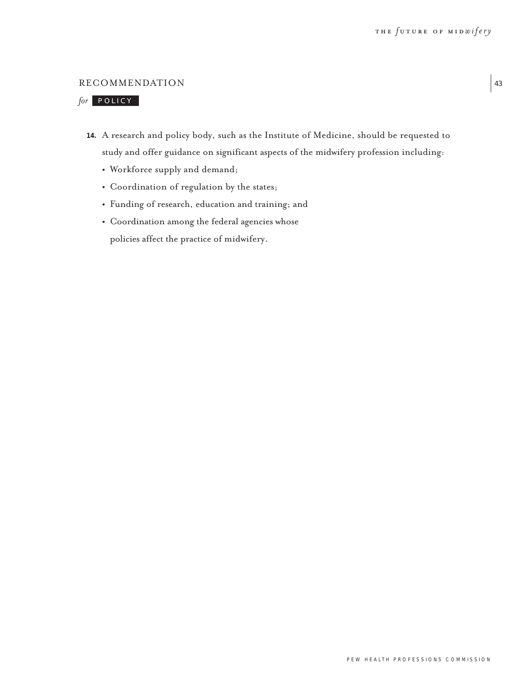# RECOMMENDATION

# *for* POLICY

- **14.** A research and policy body, such as the Institute of Medicine, should be requested to study and offer guidance on significant aspects of the midwifery profession including:
	- **•** Workforce supply and demand;
	- **•** Coordination of regulation by the states;
	- **•** Funding of research, education and training; and
	- **•** Coordination among the federal agencies whose policies affect the practice of midwifery.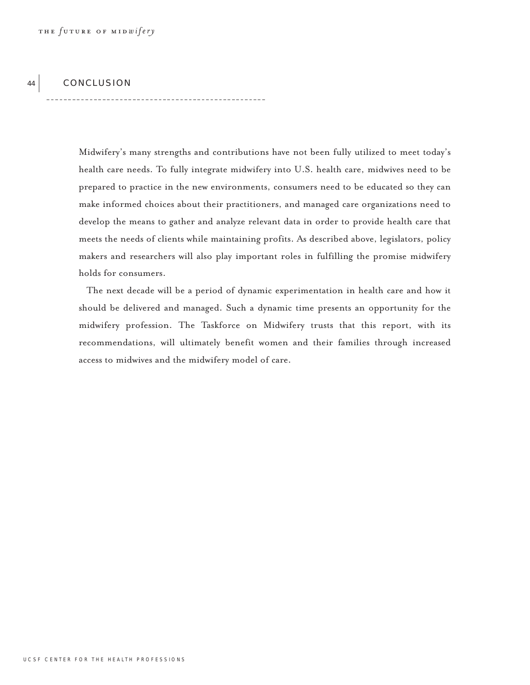#### 44 CONCLUSION

------------------------------------

Midwifery's many strengths and contributions have not been fully utilized to meet today's health care needs. To fully integrate midwifery into U.S. health care, midwives need to be prepared to practice in the new environments, consumers need to be educated so they can make informed choices about their practitioners, and managed care organizations need to develop the means to gather and analyze relevant data in order to provide health care that meets the needs of clients while maintaining profits. As described above, legislators, policy makers and researchers will also play important roles in fulfilling the promise midwifery holds for consumers.

The next decade will be a period of dynamic experimentation in health care and how it should be delivered and managed. Such a dynamic time presents an opportunity for the midwifery profession. The Taskforce on Midwifery trusts that this report, with its recommendations, will ultimately benefit women and their families through increased access to midwives and the midwifery model of care.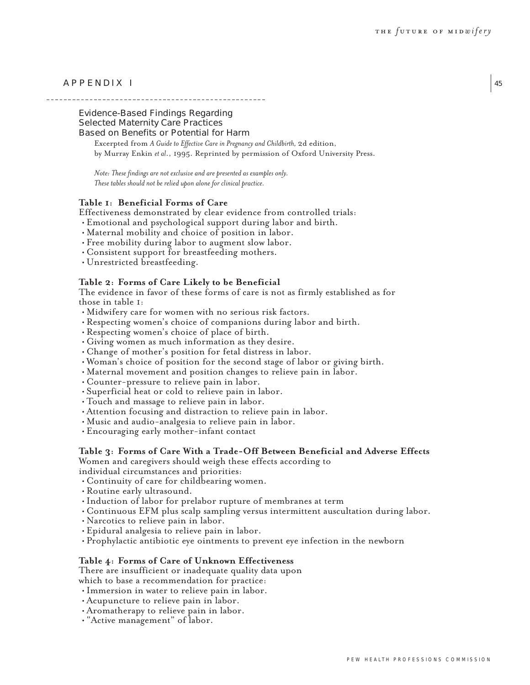45

# APPENDIX I

Evidence-Based Findings Regarding Selected Maternity Care Practices Based on Benefits or Potential for Harm

Excerpted from *A Guide to Effective Care in Pregnancy and Childbirth,* 2d edition, by Murray Enkin *et al*., 1995. Reprinted by permission of Oxford University Press.

*Note: These findings are not exclusive and are presented as examples only. These tables should not be relied upon alone for clinical practice.*

# **Table 1: Beneficial Forms of Care**

Effectiveness demonstrated by clear evidence from controlled trials:

- Emotional and psychological support during labor and birth.
- Maternal mobility and choice of position in labor.
- Free mobility during labor to augment slow labor.
- Consistent support for breastfeeding mothers.
- Unrestricted breastfeeding.

# **Table 2: Forms of Care Likely to be Beneficial**

The evidence in favor of these forms of care is not as firmly established as for those in table 1:

- Midwifery care for women with no serious risk factors.
- Respecting women's choice of companions during labor and birth.
- Respecting women's choice of place of birth.
- Giving women as much information as they desire.
- Change of mother's position for fetal distress in labor.
- Woman's choice of position for the second stage of labor or giving birth.
- Maternal movement and position changes to relieve pain in labor.
- Counter-pressure to relieve pain in labor.
- Superficial heat or cold to relieve pain in labor.
- Touch and massage to relieve pain in labor.
- Attention focusing and distraction to relieve pain in labor.
- Music and audio-analgesia to relieve pain in labor.
- Encouraging early mother-infant contact

# **Table 3: Forms of Care With a Trade-Off Between Beneficial and Adverse Effects** Women and caregivers should weigh these effects according to

individual circumstances and priorities:

- Continuity of care for childbearing women.
- Routine early ultrasound.
- Induction of labor for prelabor rupture of membranes at term
- Continuous EFM plus scalp sampling versus intermittent auscultation during labor.
- Narcotics to relieve pain in labor.
- Epidural analgesia to relieve pain in labor.
- Prophylactic antibiotic eye ointments to prevent eye infection in the newborn

# **Table 4: Forms of Care of Unknown Effectiveness**

There are insufficient or inadequate quality data upon which to base a recommendation for practice:

- Immersion in water to relieve pain in labor.
- Acupuncture to relieve pain in labor.
- Aromatherapy to relieve pain in labor.
- "Active management" of labor.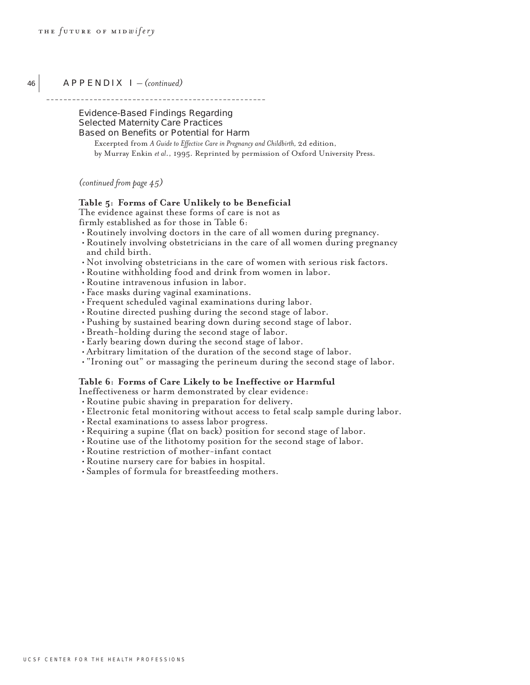46

# APPENDIX I *– (continued)*

\_\_\_\_\_\_\_\_\_\_\_\_\_\_\_\_\_\_\_\_\_\_

Evidence-Based Findings Regarding Selected Maternity Care Practices Based on Benefits or Potential for Harm

Excerpted from *A Guide to Effective Care in Pregnancy and Childbirth,* 2d edition, by Murray Enkin *et al*., 1995. Reprinted by permission of Oxford University Press.

*(continued from page 45)*

# **Table 5: Forms of Care Unlikely to be Beneficial**

The evidence against these forms of care is not as firmly established as for those in Table 6:

- Routinely involving doctors in the care of all women during pregnancy.
- Routinely involving obstetricians in the care of all women during pregnancy and child birth.
- Not involving obstetricians in the care of women with serious risk factors.
- Routine withholding food and drink from women in labor.
- Routine intravenous infusion in labor.
- Face masks during vaginal examinations.
- Frequent scheduled vaginal examinations during labor.
- Routine directed pushing during the second stage of labor.
- Pushing by sustained bearing down during second stage of labor.
- Breath-holding during the second stage of labor.
- Early bearing down during the second stage of labor.
- Arbitrary limitation of the duration of the second stage of labor.
- "Ironing out" or massaging the perineum during the second stage of labor.

# **Table 6: Forms of Care Likely to be Ineffective or Harmful**

Ineffectiveness or harm demonstrated by clear evidence:

- Routine pubic shaving in preparation for delivery.
- Electronic fetal monitoring without access to fetal scalp sample during labor.
- Rectal examinations to assess labor progress.
- Requiring a supine (flat on back) position for second stage of labor.
- Routine use of the lithotomy position for the second stage of labor.
- Routine restriction of mother-infant contact
- Routine nursery care for babies in hospital.
- Samples of formula for breastfeeding mothers.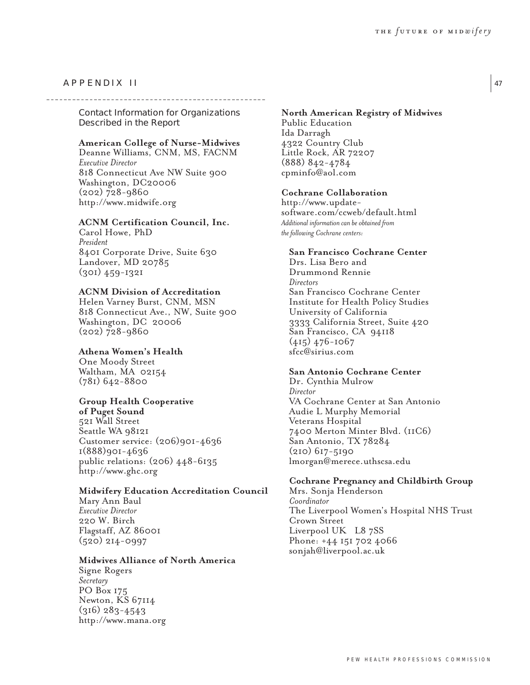# APPENDIX II

Contact Information for Organizations Described in the Report

# **American College of Nurse-Midwives**

Deanne Williams, CNM, MS, FACNM *Executive Director* 818 Connecticut Ave NW Suite 900 Washington, DC20006 (202) 728-9860 http://www.midwife.org

# **ACNM Certification Council, Inc.**

Carol Howe, PhD *President* 8401 Corporate Drive, Suite 630 Landover, MD 20785 (301) 459-1321

# **ACNM Division of Accreditation**

Helen Varney Burst, CNM, MSN 818 Connecticut Ave., NW, Suite 900 Washington, DC 20006 (202) 728-9860

# **Athena Women's Health**

One Moody Street Waltham, MA 02154 (781) 642-8800

## **Group Health Cooperative**

**of Puget Sound** 521 Wall Street Seattle WA 98121 Customer service: (206)901-4636 1(888)901-4636 public relations: (206) 448-6135 http://www.ghc.org

### **Midwifery Education Accreditation Council**

Mary Ann Baul *Executive Director* 220 W. Birch Flagstaff, AZ 86001 (520) 214-0997

### **Midwives Alliance of North America**

Signe Rogers *Secretary* PO Box 175 Newton, KS 67114 (316) 283-4543 http://www.mana.org

# **North American Registry of Midwives** Public Education Ida Darragh 4322 Country Club Little Rock, AR 72207 (888) 842-4784 cpminfo@aol.com

#### **Cochrane Collaboration**

http://www.updatesoftware.com/ccweb/default.html *Additional information can be obtained from the following Cochrane centers:*

# **San Francisco Cochrane Center**

Drs. Lisa Bero and Drummond Rennie *Directors* San Francisco Cochrane Center Institute for Health Policy Studies University of California 3333 California Street, Suite 420 San Francisco, CA 94118 (415) 476-1067 sfcc@sirius.com

# **San Antonio Cochrane Center**

Dr. Cynthia Mulrow *Director* VA Cochrane Center at San Antonio Audie L Murphy Memorial Veterans Hospital 7400 Merton Minter Blvd. (11C6) San Antonio, TX 78284 (210) 617-5190 lmorgan@merece.uthscsa.edu

# **Cochrane Pregnancy and Childbirth Group**

Mrs. Sonja Henderson *Coordinator* The Liverpool Women's Hospital NHS Trust Crown Street Liverpool UK L8 7SS Phone: +44 151 702 4066 sonjah@liverpool.ac.uk

47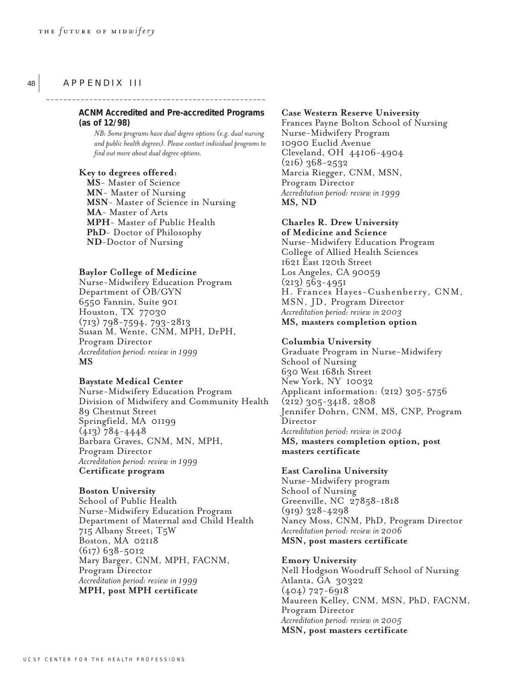# APPENDIX III

48

**ACNM Accredited and Pre-accredited Programs (as of 12/98)**

*NB: Some programs have dual degree options (e.g. dual nursing and public health degrees). Please contact individual programs to find out more about dual degree options.*

\_\_\_\_\_\_\_\_\_\_\_\_\_\_\_\_\_\_

### **Key to degrees offered:**

**MS**- Master of Science **MN**- Master of Nursing **MSN**- Master of Science in Nursing **MA**- Master of Arts **MPH**- Master of Public Health **PhD**- Doctor of Philosophy **ND**-Doctor of Nursing

#### **Baylor College of Medicine**

Nurse-Midwifery Education Program Department of OB/GYN 6550 Fannin, Suite 901 Houston, TX 77030 (713) 798-7594, 793-2813 Susan M. Wente, CNM, MPH, DrPH, Program Director *Accreditation period: review in 1999* **MS**

#### **Baystate Medical Center**

Nurse-Midwifery Education Program Division of Midwifery and Community Health 89 Chestnut Street Springfield, MA 01199 (413) 784-4448 Barbara Graves, CNM, MN, MPH, Program Director *Accreditation period: review in 1999* **Certificate program**

#### **Boston University**

School of Public Health Nurse-Midwifery Education Program Department of Maternal and Child Health 715 Albany Street; T5W Boston, MA 02118 (617) 638-5012 Mary Barger, CNM, MPH, FACNM, Program Director *Accreditation period: review in 1999* **MPH, post MPH certificate**

#### **Case Western Reserve University**

Frances Payne Bolton School of Nursing Nurse-Midwifery Program 10900 Euclid Avenue Cleveland, OH 44106-4904 (216) 368-2532 Marcia Riegger, CNM, MSN, Program Director *Accreditation period: review in 1999* **MS, ND**

## **Charles R. Drew University of Medicine and Science**

Nurse-Midwifery Education Program College of Allied Health Sciences 1621 East 120th Street Los Angeles, CA 90059  $(213) 563 - 4951$ H. Frances Hayes-Cushenberry, CNM, MSN, JD, Program Director *Accreditation period: review in 2003* **MS, masters completion option**

#### **Columbia University**

Graduate Program in Nurse-Midwifery School of Nursing 630 West 168th Street New York, NY 10032 Applicant information: (212) 305-5756 (212) 305-3418, 2808 Jennifer Dohrn, CNM, MS, CNP, Program Director *Accreditation period: review in 2004* **MS, masters completion option, post masters certificate**

# **East Carolina University**

Nurse-Midwifery program School of Nursing Greenville, NC 27858-1818 (919) 328-4298 Nancy Moss, CNM, PhD, Program Director *Accreditation period: review in 2006* **MSN, post masters certificate**

#### **Emory University**

Nell Hodgson Woodruff School of Nursing Atlanta, GA 30322 (404) 727-6918 Maureen Kelley, CNM, MSN, PhD, FACNM, Program Director *Accreditation period: review in 2005* **MSN, post masters certificate**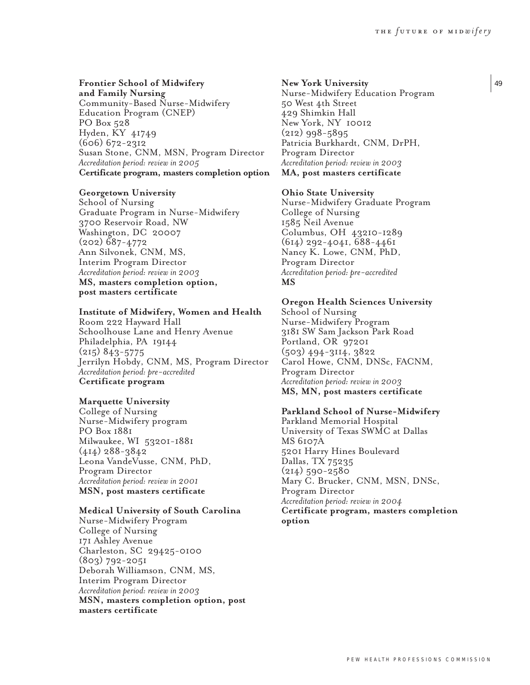# **Frontier School of Midwifery**

**and Family Nursing** Community-Based Nurse-Midwifery Education Program (CNEP) PO Box 528 Hyden, KY 41749 (606) 672-2312 Susan Stone, CNM, MSN, Program Director *Accreditation period: review in 2005* **Certificate program, masters completion option**

#### **Georgetown University**

School of Nursing Graduate Program in Nurse-Midwifery 3700 Reservoir Road, NW Washington, DC 20007 (202) 687-4772 Ann Silvonek, CNM, MS, Interim Program Director *Accreditation period: review in 2003* **MS, masters completion option, post masters certificate**

#### **Institute of Midwifery, Women and Health**

Room 222 Hayward Hall Schoolhouse Lane and Henry Avenue Philadelphia, PA 19144 (215) 843-5775 Jerrilyn Hobdy, CNM, MS, Program Director *Accreditation period: pre-accredited* **Certificate program**

#### **Marquette University**

College of Nursing Nurse-Midwifery program PO Box 1881 Milwaukee, WI 53201-1881 (414) 288-3842 Leona VandeVusse, CNM, PhD, Program Director *Accreditation period: review in 2001* **MSN, post masters certificate**

# **Medical University of South Carolina**

Nurse-Midwifery Program College of Nursing 171 Ashley Avenue Charleston, SC 29425-0100 (803) 792-2051 Deborah Williamson, CNM, MS, Interim Program Director *Accreditation period: review in 2003* **MSN, masters completion option, post masters certificate**

#### **New York University**

Nurse-Midwifery Education Program 50 West 4th Street 429 Shimkin Hall New York, NY 10012 (212) 998-5895 Patricia Burkhardt, CNM, DrPH, Program Director *Accreditation period: review in 2003* **MA, post masters certificate**

#### **Ohio State University**

Nurse-Midwifery Graduate Program College of Nursing 1585 Neil Avenue Columbus, OH 43210-1289 (614) 292-4041, 688-4461 Nancy K. Lowe, CNM, PhD, Program Director *Accreditation period: pre-accredited* **MS**

### **Oregon Health Sciences University**

School of Nursing Nurse-Midwifery Program 3181 SW Sam Jackson Park Road Portland, OR 97201 (503) 494-3114, 3822 Carol Howe, CNM, DNSc, FACNM, Program Director *Accreditation period: review in 2003* **MS, MN, post masters certificate**

## **Parkland School of Nurse-Midwifery**

Parkland Memorial Hospital University of Texas SWMC at Dallas MS 6107A 5201 Harry Hines Boulevard Dallas, TX 75235 (214) 590-2580 Mary C. Brucker, CNM, MSN, DNSc, Program Director *Accreditation period: review in 2004* **Certificate program, masters completion option**

49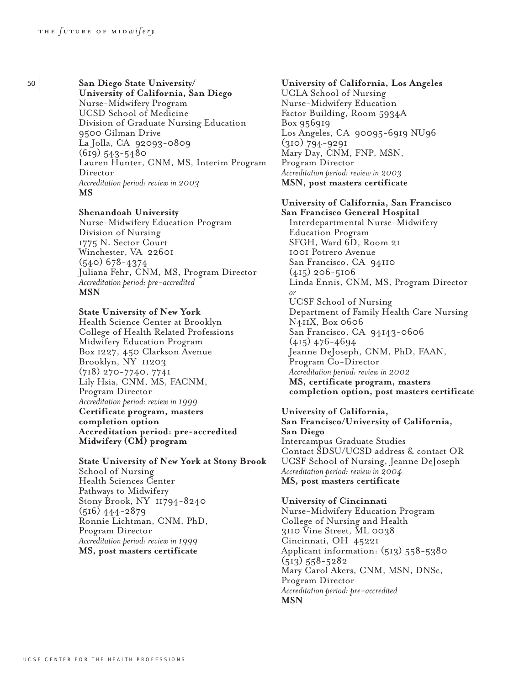<sup>50</sup> **San Diego State University/ University of California, San Diego** Nurse-Midwifery Program UCSD School of Medicine Division of Graduate Nursing Education 9500 Gilman Drive La Jolla, CA 92093-0809 (619) 543-5480 Lauren Hunter, CNM, MS, Interim Program Director *Accreditation period: review in 2003* **MS**

# **Shenandoah University**

Nurse-Midwifery Education Program Division of Nursing 1775 N. Sector Court Winchester, VA 22601 (540) 678-4374 Juliana Fehr, CNM, MS, Program Director *Accreditation period: pre-accredited* **MSN**

# **State University of New York**

Health Science Center at Brooklyn College of Health Related Professions Midwifery Education Program Box 1227, 450 Clarkson Avenue Brooklyn, NY 11203 (718) 270-7740, 7741 Lily Hsia, CNM, MS, FACNM, Program Director *Accreditation period: review in 1999* **Certificate program, masters completion option Accreditation period: pre-accredited Midwifery (CM) program**

**State University of New York at Stony Brook** School of Nursing Health Sciences Center Pathways to Midwifery Stony Brook, NY 11794-8240 (516) 444-2879 Ronnie Lichtman, CNM, PhD, Program Director *Accreditation period: review in 1999* **MS, post masters certificate**

# **University of California, Los Angeles** UCLA School of Nursing Nurse-Midwifery Education Factor Building, Room 5934A Box 956919 Los Angeles, CA 90095-6919 NU96 (310) 794-9291 Mary Day, CNM, FNP, MSN, Program Director *Accreditation period: review in 2003* **MSN, post masters certificate**

### **University of California, San Francisco San Francisco General Hospital**

Interdepartmental Nurse-Midwifery Education Program SFGH, Ward 6D, Room 21 1001 Potrero Avenue San Francisco, CA 94110 (415) 206-5106 Linda Ennis, CNM, MS, Program Director *or* UCSF School of Nursing Department of Family Health Care Nursing N411X, Box 0606 San Francisco, CA 94143-0606 (415) 476-4694 Jeanne DeJoseph, CNM, PhD, FAAN, Program Co-Director *Accreditation period: review in 2002* **MS, certificate program, masters completion option, post masters certificate**

### **University of California,**

**San Francisco/University of California, San Diego** Intercampus Graduate Studies Contact SDSU/UCSD address & contact OR UCSF School of Nursing, Jeanne DeJoseph *Accreditation period: review in 2004* **MS, post masters certificate**

### **University of Cincinnati**

Nurse-Midwifery Education Program College of Nursing and Health 3110 Vine Street, ML 0038 Cincinnati, OH 45221 Applicant information: (513) 558-5380 (513) 558-5282 Mary Carol Akers, CNM, MSN, DNSc, Program Director *Accreditation period: pre-accredited* **MSN**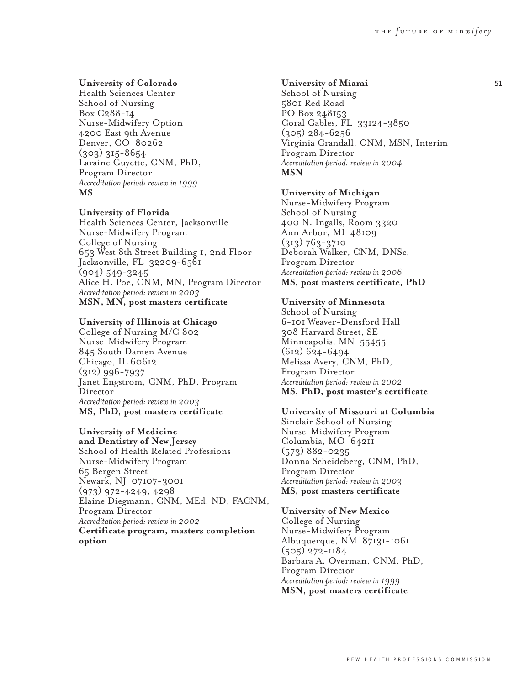51

# **University of Colorado**

Health Sciences Center School of Nursing Box C288-14 Nurse-Midwifery Option 4200 East 9th Avenue Denver, CO 80262 (303) 315-8654 Laraine Guyette, CNM, PhD, Program Director *Accreditation period: review in 1999* **MS**

# **University of Florida**

Health Sciences Center, Jacksonville Nurse-Midwifery Program College of Nursing 653 West 8th Street Building 1, 2nd Floor Jacksonville, FL 32209-6561 (904) 549-3245 Alice H. Poe, CNM, MN, Program Director *Accreditation period: review in 2003* **MSN, MN, post masters certificate**

#### **University of Illinois at Chicago**

College of Nursing M/C 802 Nurse-Midwifery Program 845 South Damen Avenue Chicago, IL 60612 (312) 996-7937 Janet Engstrom, CNM, PhD, Program Director *Accreditation period: review in 2003* **MS, PhD, post masters certificate**

# **University of Medicine**

**and Dentistry of New Jersey** School of Health Related Professions Nurse-Midwifery Program 65 Bergen Street Newark, NJ 07107-3001 (973) 972-4249, 4298 Elaine Diegmann, CNM, MEd, ND, FACNM, Program Director *Accreditation period: review in 2002* **Certificate program, masters completion option**

### **University of Miami**

School of Nursing 5801 Red Road PO Box 248153 Coral Gables, FL 33124-3850 (305) 284-6256 Virginia Crandall, CNM, MSN, Interim Program Director *Accreditation period: review in 2004* **MSN**

#### **University of Michigan**

Nurse-Midwifery Program School of Nursing 400 N. Ingalls, Room 3320 Ann Arbor, MI 48109 (313) 763-3710 Deborah Walker, CNM, DNSc, Program Director *Accreditation period: review in 2006* **MS, post masters certificate, PhD**

### **University of Minnesota**

School of Nursing 6-101 Weaver-Densford Hall 308 Harvard Street, SE Minneapolis, MN 55455 (612) 624-6494 Melissa Avery, CNM, PhD, Program Director *Accreditation period: review in 2002* **MS, PhD, post master's certificate**

### **University of Missouri at Columbia**

Sinclair School of Nursing Nurse-Midwifery Program Columbia, MO 64211 (573) 882-0235 Donna Scheideberg, CNM, PhD, Program Director *Accreditation period: review in 2003* **MS, post masters certificate**

#### **University of New Mexico**

College of Nursing Nurse-Midwifery Program Albuquerque, NM 87131-1061 (505) 272-1184 Barbara A. Overman, CNM, PhD, Program Director *Accreditation period: review in 1999* **MSN, post masters certificate**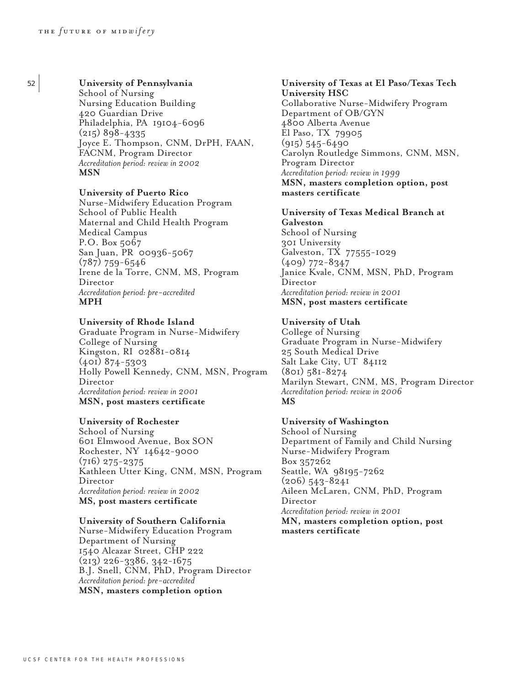# <sup>52</sup> **University of Pennsylvania**

School of Nursing Nursing Education Building 420 Guardian Drive Philadelphia, PA 19104-6096 (215) 898-4335 Joyce E. Thompson, CNM, DrPH, FAAN, FACNM, Program Director *Accreditation period: review in 2002* **MSN**

### **University of Puerto Rico**

Nurse-Midwifery Education Program School of Public Health Maternal and Child Health Program Medical Campus P.O. Box 5067 San Juan, PR 00936-5067 (787) 759-6546 Irene de la Torre, CNM, MS, Program Director *Accreditation period: pre-accredited* **MPH**

# **University of Rhode Island**

Graduate Program in Nurse-Midwifery College of Nursing Kingston, RI 02881-0814 (401) 874-5303 Holly Powell Kennedy, CNM, MSN, Program Director *Accreditation period: review in 2001* **MSN, post masters certificate**

### **University of Rochester**

School of Nursing 601 Elmwood Avenue, Box SON Rochester, NY 14642-9000 (716) 275-2375 Kathleen Utter King, CNM, MSN, Program Director *Accreditation period: review in 2002* **MS, post masters certificate**

# **University of Southern California**

Nurse-Midwifery Education Program Department of Nursing 1540 Alcazar Street, CHP 222 (213) 226-3386, 342-1675 B.J. Snell, CNM, PhD, Program Director *Accreditation period: pre-accredited* **MSN, masters completion option**

**University of Texas at El Paso/Texas Tech University HSC** Collaborative Nurse-Midwifery Program Department of OB/GYN 4800 Alberta Avenue El Paso, TX 79905 (915) 545-6490 Carolyn Routledge Simmons, CNM, MSN, Program Director *Accreditation period: review in 1999* **MSN, masters completion option, post masters certificate**

# **University of Texas Medical Branch at Galveston** School of Nursing

301 University Galveston, TX 77555-1029 (409) 772-8347 Janice Kvale, CNM, MSN, PhD, Program Director *Accreditation period: review in 2001* **MSN, post masters certificate**

# **University of Utah**

College of Nursing Graduate Program in Nurse-Midwifery 25 South Medical Drive Salt Lake City, UT 84112 (801) 581-8274 Marilyn Stewart, CNM, MS, Program Director *Accreditation period: review in 2006* **MS**

### **University of Washington**

School of Nursing Department of Family and Child Nursing Nurse-Midwifery Program Box 357262 Seattle, WA 98195-7262 (206) 543-8241 Aileen McLaren, CNM, PhD, Program Director *Accreditation period: review in 2001* **MN, masters completion option, post masters certificate**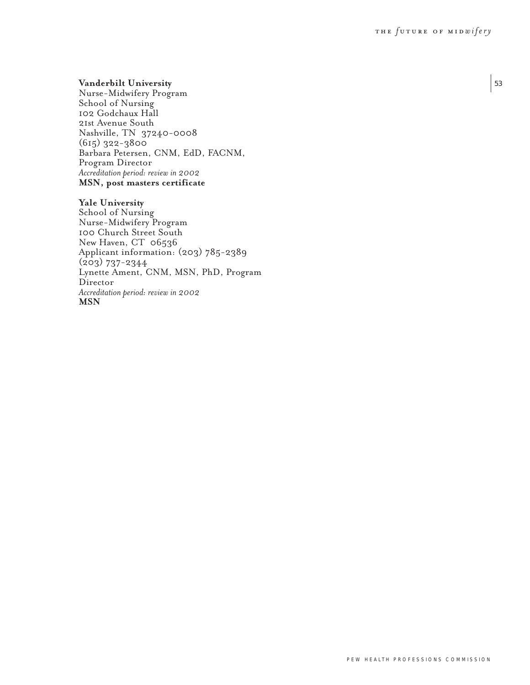# **Vanderbilt University**

Nurse-Midwifery Program School of Nursing 102 Godchaux Hall 21st Avenue South Nashville, TN 37240-0008 (615) 322-3800 Barbara Petersen, CNM, EdD, FACNM, Program Director *Accreditation period: review in 2002* **MSN, post masters certificate**

### **Yale University**

School of Nursing Nurse-Midwifery Program 100 Church Street South New Haven, CT 06536 Applicant information: (203) 785-2389 (203) 737-2344 Lynette Ament, CNM, MSN, PhD, Program Director *Accreditation period: review in 2002* **MSN**

53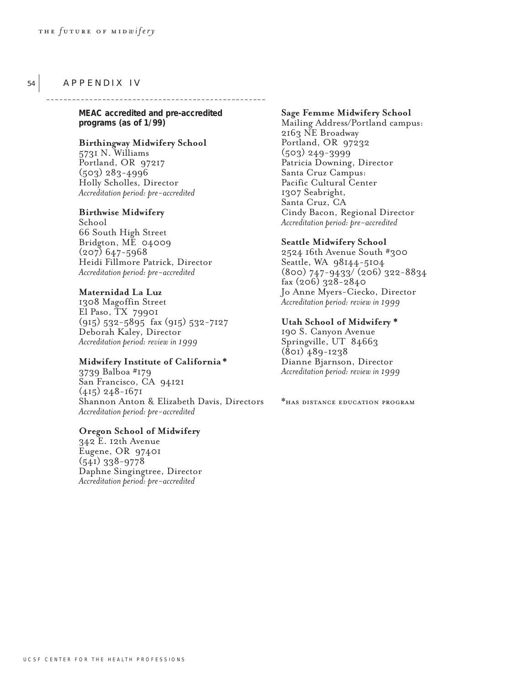# APPENDIX IV

54

**MEAC accredited and pre-accredited programs (as of 1/99)**

\_\_\_\_\_\_\_\_\_\_\_\_\_\_\_\_\_\_\_\_\_\_\_\_

# **Birthingway Midwifery School**

5731 N. Williams Portland, OR 97217 (503) 283-4996 Holly Scholles, Director *Accreditation period: pre-accredited*

# **Birthwise Midwifery**

School 66 South High Street Bridgton, ME 04009  $(207)$  647-5968 Heidi Fillmore Patrick, Director *Accreditation period: pre-accredited*

### **Maternidad La Luz**

1308 Magoffin Street El Paso, TX 79901 (915) 532-5895 fax (915) 532-7127 Deborah Kaley, Director *Accreditation period: review in 1999*

### **Midwifery Institute of California \***

3739 Balboa #179 San Francisco, CA 94121 (415) 248-1671 Shannon Anton & Elizabeth Davis, Directors *Accreditation period: pre-accredited*

#### **Oregon School of Midwifery**

342 E. 12th Avenue Eugene, OR 97401 (541) 338-9778 Daphne Singingtree, Director *Accreditation period: pre-accredited*

# **Sage Femme Midwifery School**

Mailing Address/Portland campus: 2163 NE Broadway Portland, OR 97232 (503) 249-3999 Patricia Downing, Director Santa Cruz Campus: Pacific Cultural Center 1307 Seabright, Santa Cruz, CA Cindy Bacon, Regional Director *Accreditation period: pre-accredited* 

#### **Seattle Midwifery School**

2524 16th Avenue South #300 Seattle, WA 98144-5104 (800) 747-9433/ (206) 322-8834 fax (206) 328-2840 Jo Anne Myers-Ciecko, Director *Accreditation period: review in 1999*

#### **Utah School of Midwifery \***

190 S. Canyon Avenue Springville, UT 84663 (801) 489-1238 Dianne Bjarnson, Director *Accreditation period: review in 1999*

\*has distance education program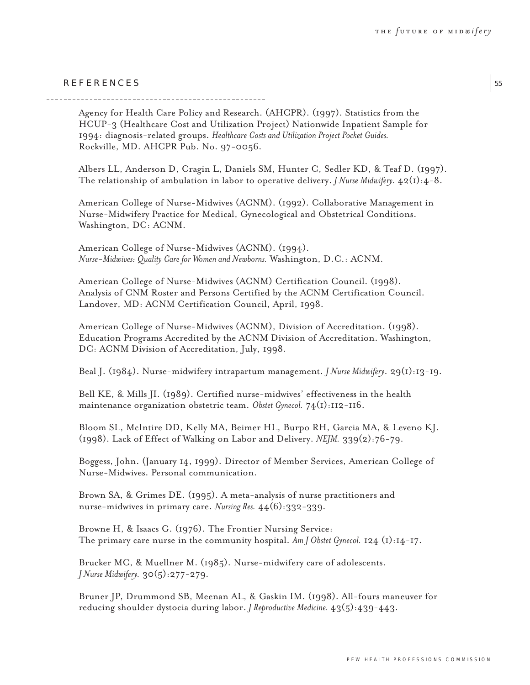55

# REFERENCES

Agency for Health Care Policy and Research. (AHCPR). (1997). Statistics from the HCUP-3 (Healthcare Cost and Utilization Project) Nationwide Inpatient Sample for 1994: diagnosis-related groups. *Healthcare Costs and Utilization Project Pocket Guides.* Rockville, MD. AHCPR Pub. No. 97-0056.

Albers LL, Anderson D, Cragin L, Daniels SM, Hunter C, Sedler KD, & Teaf D. (1997). The relationship of ambulation in labor to operative delivery. *J Nurse Midwifery.* 42(1):4-8.

American College of Nurse-Midwives (ACNM). (1992). Collaborative Management in Nurse-Midwifery Practice for Medical, Gynecological and Obstetrical Conditions. Washington, DC: ACNM.

American College of Nurse-Midwives (ACNM). (1994). *Nurse-Midwives: Quality Care for Women and Newborns.* Washington, D.C.: ACNM.

American College of Nurse-Midwives (ACNM) Certification Council. (1998). Analysis of CNM Roster and Persons Certified by the ACNM Certification Council. Landover, MD: ACNM Certification Council, April, 1998.

American College of Nurse-Midwives (ACNM), Division of Accreditation. (1998). Education Programs Accredited by the ACNM Division of Accreditation. Washington, DC: ACNM Division of Accreditation, July, 1998.

Beal J. (1984). Nurse-midwifery intrapartum management. *J Nurse Midwifery*. 29(1):13-19.

Bell KE, & Mills JI. (1989). Certified nurse-midwives' effectiveness in the health maintenance organization obstetric team. *Obstet Gynecol.* 74(1):112-116.

Bloom SL, McIntire DD, Kelly MA, Beimer HL, Burpo RH, Garcia MA, & Leveno KJ. (1998). Lack of Effect of Walking on Labor and Delivery. *NEJM.* 339(2):76-79.

Boggess, John. (January 14, 1999). Director of Member Services, American College of Nurse-Midwives. Personal communication.

Brown SA, & Grimes DE. (1995). A meta-analysis of nurse practitioners and nurse-midwives in primary care. *Nursing Res.* 44(6):332-339.

Browne H, & Isaacs G. (1976). The Frontier Nursing Service: The primary care nurse in the community hospital.  $Am J Ob$ stet Gynecol. 124 (1):14-17.

Brucker MC, & Muellner M. (1985). Nurse-midwifery care of adolescents. *J Nurse Midwifery.* 30(5):277-279.

Bruner JP, Drummond SB, Meenan AL, & Gaskin IM. (1998). All-fours maneuver for reducing shoulder dystocia during labor. *J Reproductive Medicine.* 43(5):439-443.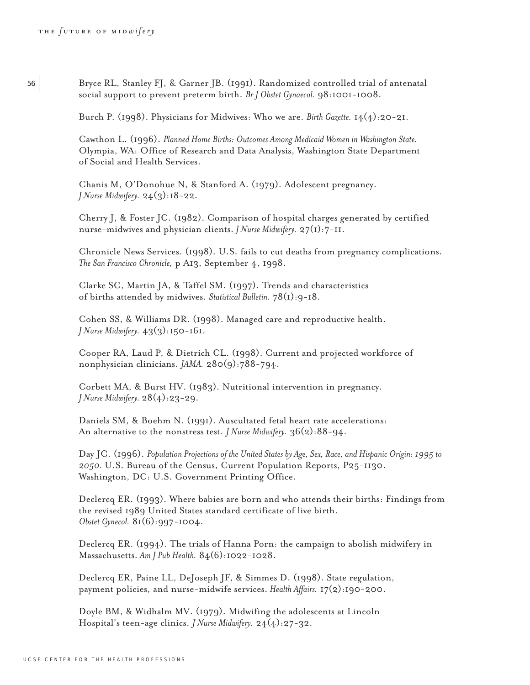<sup>56</sup> Bryce RL, Stanley FJ, & Garner JB. (1991). Randomized controlled trial of antenatal social support to prevent preterm birth. *Br J Obstet Gynaecol.* 98:1001-1008.

Burch P. (1998). Physicians for Midwives: Who we are. *Birth Gazette.* 14(4):20-21.

Cawthon L. (1996). *Planned Home Births: Outcomes Among Medicaid Women in Washington State.* Olympia, WA: Office of Research and Data Analysis, Washington State Department of Social and Health Services.

Chanis M, O'Donohue N, & Stanford A. (1979). Adolescent pregnancy. *J Nurse Midwifery.* 24(3):18-22.

Cherry J, & Foster JC. (1982). Comparison of hospital charges generated by certified nurse-midwives and physician clients. *J Nurse Midwifery.* 27(1):7-11.

Chronicle News Services. (1998). U.S. fails to cut deaths from pregnancy complications. *The San Francisco Chronicle,* p A13, September 4, 1998.

Clarke SC, Martin JA, & Taffel SM. (1997). Trends and characteristics of births attended by midwives. *Statistical Bulletin.* 78(1):9-18.

Cohen SS, & Williams DR. (1998). Managed care and reproductive health. *J Nurse Midwifery.* 43(3):150-161.

Cooper RA, Laud P, & Dietrich CL. (1998). Current and projected workforce of nonphysician clinicians. *JAMA.* 280(9):788-794.

Corbett MA, & Burst HV. (1983). Nutritional intervention in pregnancy. *J Nurse Midwifery.* 28(4):23-29.

Daniels SM, & Boehm N. (1991). Auscultated fetal heart rate accelerations: An alternative to the nonstress test. *J Nurse Midwifery.* 36(2):88-94.

Day JC. (1996). *Population Projections of the United States by Age, Sex, Race, and Hispanic Origin: 1995 to 2050.* U.S. Bureau of the Census, Current Population Reports, P25-1130. Washington, DC: U.S. Government Printing Office.

Declercq ER. (1993). Where babies are born and who attends their births: Findings from the revised 1989 United States standard certificate of live birth. *Obstet Gynecol.* 81(6):997-1004.

Declercq ER. (1994). The trials of Hanna Porn: the campaign to abolish midwifery in Massachusetts. *Am J Pub Health.* 84(6):1022-1028.

Declercq ER, Paine LL, DeJoseph JF, & Simmes D. (1998). State regulation, payment policies, and nurse-midwife services. *Health Affairs.* 17(2):190-200.

Doyle BM, & Widhalm MV. (1979). Midwifing the adolescents at Lincoln Hospital's teen-age clinics. *J Nurse Midwifery.* 24(4):27-32.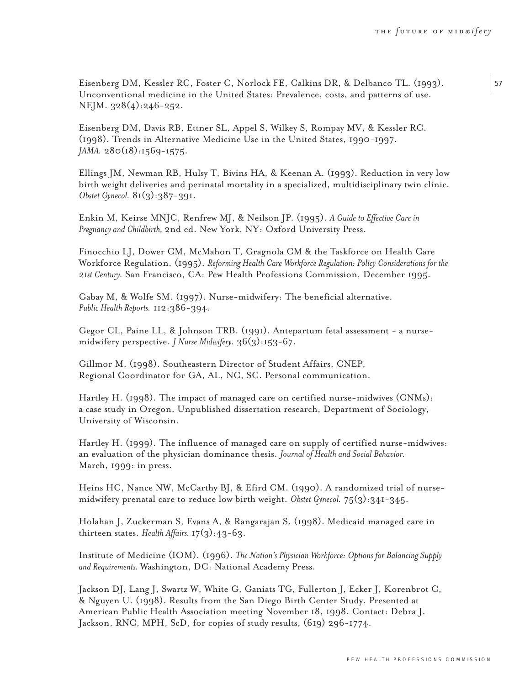57

Eisenberg DM, Kessler RC, Foster C, Norlock FE, Calkins DR, & Delbanco TL. (1993). Unconventional medicine in the United States: Prevalence, costs, and patterns of use. NEJM. 328(4):246-252.

Eisenberg DM, Davis RB, Ettner SL, Appel S, Wilkey S, Rompay MV, & Kessler RC. (1998). Trends in Alternative Medicine Use in the United States, 1990-1997. *JAMA.* 280(18):1569-1575.

Ellings JM, Newman RB, Hulsy T, Bivins HA, & Keenan A. (1993). Reduction in very low birth weight deliveries and perinatal mortality in a specialized, multidisciplinary twin clinic. *Obstet Gynecol.* 81(3):387-391.

Enkin M, Keirse MNJC, Renfrew MJ, & Neilson JP. (1995). *A Guide to Effective Care in Pregnancy and Childbirth,* 2nd ed. New York, NY: Oxford University Press.

Finocchio LJ, Dower CM, McMahon T, Gragnola CM & the Taskforce on Health Care Workforce Regulation. (1995). *Reforming Health Care Workforce Regulation: Policy Considerations for the 21st Century.* San Francisco, CA: Pew Health Professions Commission, December 1995.

Gabay M, & Wolfe SM. (1997). Nurse-midwifery: The beneficial alternative. *Public Health Reports.* 112:386-394.

Gegor CL, Paine LL, & Johnson TRB. (1991). Antepartum fetal assessment - a nursemidwifery perspective. *J Nurse Midwifery.* 36(3):153-67.

Gillmor M, (1998). Southeastern Director of Student Affairs, CNEP, Regional Coordinator for GA, AL, NC, SC. Personal communication.

Hartley H. (1998). The impact of managed care on certified nurse-midwives (CNMs): a case study in Oregon. Unpublished dissertation research, Department of Sociology, University of Wisconsin.

Hartley H. (1999). The influence of managed care on supply of certified nurse-midwives: an evaluation of the physician dominance thesis. *Journal of Health and Social Behavior.* March, 1999: in press.

Heins HC, Nance NW, McCarthy BJ, & Efird CM. (1990). A randomized trial of nursemidwifery prenatal care to reduce low birth weight. *Obstet Gynecol.* 75(3):341-345.

Holahan J, Zuckerman S, Evans A, & Rangarajan S. (1998). Medicaid managed care in thirteen states. *Health Affairs.* 17(3):43-63.

Institute of Medicine (IOM). (1996). *The Nation's Physician Workforce: Options for Balancing Supply and Requirements.* Washington, DC: National Academy Press.

Jackson DJ, Lang J, Swartz W, White G, Ganiats TG, Fullerton J, Ecker J, Korenbrot C, & Nguyen U. (1998). Results from the San Diego Birth Center Study. Presented at American Public Health Association meeting November 18, 1998. Contact: Debra J. Jackson, RNC, MPH, ScD, for copies of study results, (619) 296-1774.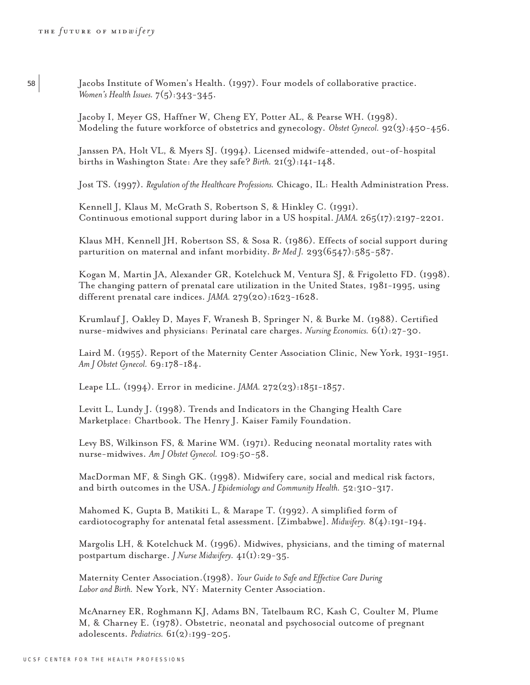<sup>58</sup> Jacobs Institute of Women's Health. (1997). Four models of collaborative practice. *Women's Health Issues.*  $7(5):343-345$ .

> Jacoby I, Meyer GS, Haffner W, Cheng EY, Potter AL, & Pearse WH. (1998). Modeling the future workforce of obstetrics and gynecology. *Obstet Gynecol.* 92(3):450-456.

Janssen PA, Holt VL, & Myers SJ. (1994). Licensed midwife-attended, out-of-hospital births in Washington State: Are they safe? *Birth.* 21(3):141-148.

Jost TS. (1997). *Regulation of the Healthcare Professions.* Chicago, IL: Health Administration Press.

Kennell J, Klaus M, McGrath S, Robertson S, & Hinkley C. (1991). Continuous emotional support during labor in a US hospital. *JAMA.* 265(17):2197-2201.

Klaus MH, Kennell JH, Robertson SS, & Sosa R. (1986). Effects of social support during parturition on maternal and infant morbidity. *Br Med J.* 293(6547):585-587.

Kogan M, Martin JA, Alexander GR, Kotelchuck M, Ventura SJ, & Frigoletto FD. (1998). The changing pattern of prenatal care utilization in the United States, 1981-1995, using different prenatal care indices. *JAMA.* 279(20):1623-1628.

Krumlauf J, Oakley D, Mayes F, Wranesh B, Springer N, & Burke M. (1988). Certified nurse-midwives and physicians: Perinatal care charges. *Nursing Economics.* 6(1):27-30.

Laird M. (1955). Report of the Maternity Center Association Clinic, New York, 1931-1951. *Am J Obstet Gynecol.* 69:178-184.

Leape LL. (1994). Error in medicine. *JAMA.* 272(23):1851-1857.

Levitt L, Lundy J. (1998). Trends and Indicators in the Changing Health Care Marketplace: Chartbook. The Henry J. Kaiser Family Foundation.

Levy BS, Wilkinson FS, & Marine WM. (1971). Reducing neonatal mortality rates with nurse-midwives. *Am J Obstet Gynecol.* 109:50-58.

MacDorman MF, & Singh GK. (1998). Midwifery care, social and medical risk factors, and birth outcomes in the USA. *J Epidemiology and Community Health.* 52:310-317.

Mahomed K, Gupta B, Matikiti L, & Marape T. (1992). A simplified form of cardiotocography for antenatal fetal assessment. [Zimbabwe]. *Midwifery.* 8(4):191-194.

Margolis LH, & Kotelchuck M. (1996). Midwives, physicians, and the timing of maternal postpartum discharge. *J Nurse Midwifery.* 41(1):29-35.

Maternity Center Association.(1998). *Your Guide to Safe and Effective Care During Labor and Birth.* New York, NY: Maternity Center Association.

McAnarney ER, Roghmann KJ, Adams BN, Tatelbaum RC, Kash C, Coulter M, Plume M, & Charney E. (1978). Obstetric, neonatal and psychosocial outcome of pregnant adolescents. *Pediatrics.* 61(2):199-205.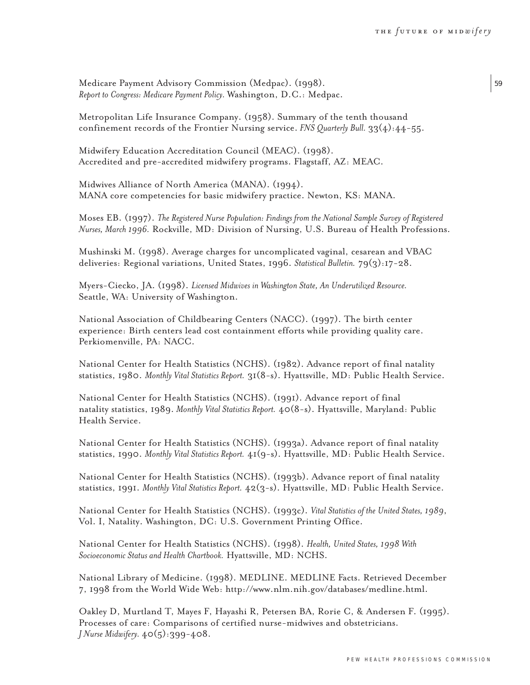Medicare Payment Advisory Commission (Medpac). (1998). *Report to Congress: Medicare Payment Policy.* Washington, D.C.: Medpac.

Metropolitan Life Insurance Company. (1958). Summary of the tenth thousand confinement records of the Frontier Nursing service. *FNS Quarterly Bull.* 33(4):44-55.

Midwifery Education Accreditation Council (MEAC). (1998). Accredited and pre-accredited midwifery programs. Flagstaff, AZ: MEAC.

Midwives Alliance of North America (MANA). (1994). MANA core competencies for basic midwifery practice. Newton, KS: MANA.

Moses EB. (1997). *The Registered Nurse Population: Findings from the National Sample Survey of Registered Nurses, March 1996.* Rockville, MD: Division of Nursing, U.S. Bureau of Health Professions.

Mushinski M. (1998). Average charges for uncomplicated vaginal, cesarean and VBAC deliveries: Regional variations, United States, 1996. *Statistical Bulletin.* 79(3):17-28.

Myers-Ciecko, JA. (1998). *Licensed Midwives in Washington State, An Underutilized Resource.* Seattle, WA: University of Washington.

National Association of Childbearing Centers (NACC). (1997). The birth center experience: Birth centers lead cost containment efforts while providing quality care. Perkiomenville, PA: NACC.

National Center for Health Statistics (NCHS). (1982). Advance report of final natality statistics, 1980. *Monthly Vital Statistics Report.* 31(8-s). Hyattsville, MD: Public Health Service.

National Center for Health Statistics (NCHS). (1991). Advance report of final natality statistics, 1989. *Monthly Vital Statistics Report.* 40(8-s). Hyattsville, Maryland: Public Health Service.

National Center for Health Statistics (NCHS). (1993a). Advance report of final natality statistics, 1990. *Monthly Vital Statistics Report.* 41(9-s). Hyattsville, MD: Public Health Service.

National Center for Health Statistics (NCHS). (1993b). Advance report of final natality statistics, 1991. *Monthly Vital Statistics Report.* 42(3-s). Hyattsville, MD: Public Health Service.

National Center for Health Statistics (NCHS). (1993c). *Vital Statistics of the United States, 1989*, Vol. I, Natality. Washington, DC: U.S. Government Printing Office.

National Center for Health Statistics (NCHS). (1998). *Health, United States, 1998 With Socioeconomic Status and Health Chartbook.* Hyattsville, MD: NCHS.

National Library of Medicine. (1998). MEDLINE. MEDLINE Facts. Retrieved December 7, 1998 from the World Wide Web: http://www.nlm.nih.gov/databases/medline.html.

Oakley D, Murtland T, Mayes F, Hayashi R, Petersen BA, Rorie C, & Andersen F. (1995). Processes of care: Comparisons of certified nurse-midwives and obstetricians. *J Nurse Midwifery.* 40(5):399-408.

59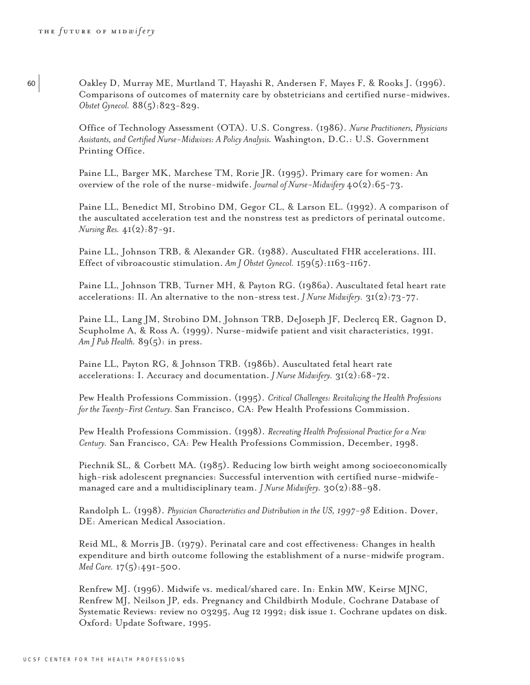<sup>60</sup> Oakley D, Murray ME, Murtland T, Hayashi R, Andersen F, Mayes F, & Rooks J. (1996). Comparisons of outcomes of maternity care by obstetricians and certified nurse-midwives. *Obstet Gynecol.* 88(5):823-829.

> Office of Technology Assessment (OTA). U.S. Congress. (1986). *Nurse Practitioners, Physicians Assistants, and Certified Nurse-Midwives: A Policy Analysis.* Washington, D.C.: U.S. Government Printing Office.

Paine LL, Barger MK, Marchese TM, Rorie JR. (1995). Primary care for women: An overview of the role of the nurse-midwife. *Journal of Nurse-Midwifery* 40(2):65-73.

Paine LL, Benedict MI, Strobino DM, Gegor CL, & Larson EL. (1992). A comparison of the auscultated acceleration test and the nonstress test as predictors of perinatal outcome. *Nursing Res.* 41(2):87-91.

Paine LL, Johnson TRB, & Alexander GR. (1988). Auscultated FHR accelerations. III. Effect of vibroacoustic stimulation. *Am J Obstet Gynecol.* 159(5):1163-1167.

Paine LL, Johnson TRB, Turner MH, & Payton RG. (1986a). Auscultated fetal heart rate accelerations: II. An alternative to the non-stress test. *J Nurse Midwifery.* 31(2):73-77.

Paine LL, Lang JM, Strobino DM, Johnson TRB, DeJoseph JF, Declercq ER, Gagnon D, Scupholme A, & Ross A. (1999). Nurse-midwife patient and visit characteristics, 1991. Am *J Pub Health.* 89(5): in press.

Paine LL, Payton RG, & Johnson TRB. (1986b). Auscultated fetal heart rate accelerations: I. Accuracy and documentation. *J Nurse Midwifery.* 31(2):68-72.

Pew Health Professions Commission. (1995). *Critical Challenges: Revitalizing the Health Professions for the Twenty-First Century.* San Francisco, CA: Pew Health Professions Commission.

Pew Health Professions Commission. (1998). *Recreating Health Professional Practice for a New Century.* San Francisco, CA: Pew Health Professions Commission, December, 1998.

Piechnik SL, & Corbett MA. (1985). Reducing low birth weight among socioeconomically high-risk adolescent pregnancies: Successful intervention with certified nurse-midwifemanaged care and a multidisciplinary team. *J Nurse Midwifery.* 30(2):88-98.

Randolph L. (1998). *Physician Characteristics and Distribution in the US, 1997-98* Edition. Dover, DE: American Medical Association.

Reid ML, & Morris JB. (1979). Perinatal care and cost effectiveness: Changes in health expenditure and birth outcome following the establishment of a nurse-midwife program. *Med Care.* 17(5):491-500.

Renfrew MJ. (1996). Midwife vs. medical/shared care. In: Enkin MW, Keirse MJNC, Renfrew MJ, Neilson JP, eds. Pregnancy and Childbirth Module, Cochrane Database of Systematic Reviews: review no 03295, Aug 12 1992; disk issue 1. Cochrane updates on disk. Oxford: Update Software, 1995.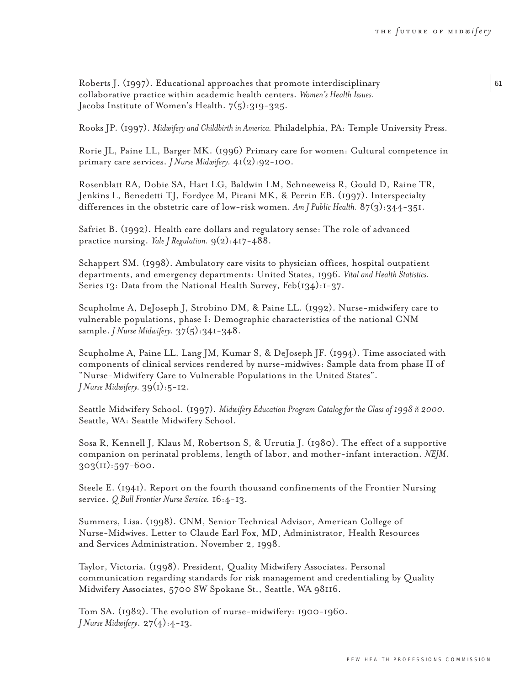61

Roberts J. (1997). Educational approaches that promote interdisciplinary collaborative practice within academic health centers. *Women's Health Issues.* Jacobs Institute of Women's Health. 7(5):319-325.

Rooks JP. (1997). *Midwifery and Childbirth in America.* Philadelphia, PA: Temple University Press.

Rorie JL, Paine LL, Barger MK. (1996) Primary care for women: Cultural competence in primary care services. *J Nurse Midwifery.* 41(2):92-100.

Rosenblatt RA, Dobie SA, Hart LG, Baldwin LM, Schneeweiss R, Gould D, Raine TR, Jenkins L, Benedetti TJ, Fordyce M, Pirani MK, & Perrin EB. (1997). Interspecialty differences in the obstetric care of low-risk women. *Am J Public Health.* 87(3):344-351.

Safriet B. (1992). Health care dollars and regulatory sense: The role of advanced practice nursing. *Yale J Regulation.* 9(2):417-488.

Schappert SM. (1998). Ambulatory care visits to physician offices, hospital outpatient departments, and emergency departments: United States, 1996. *Vital and Health Statistics.* Series 13: Data from the National Health Survey, Feb(134):1-37.

Scupholme A, DeJoseph J, Strobino DM, & Paine LL. (1992). Nurse-midwifery care to vulnerable populations, phase I: Demographic characteristics of the national CNM sample. *J Nurse Midwifery.* 37(5):341-348.

Scupholme A, Paine LL, Lang JM, Kumar S, & DeJoseph JF. (1994). Time associated with components of clinical services rendered by nurse-midwives: Sample data from phase II of "Nurse-Midwifery Care to Vulnerable Populations in the United States". *J Nurse Midwifery.* 39(1):5-12.

Seattle Midwifery School. (1997). *Midwifery Education Program Catalog for the Class of 1998 ñ 2000.* Seattle, WA: Seattle Midwifery School.

Sosa R, Kennell J, Klaus M, Robertson S, & Urrutia J. (1980). The effect of a supportive companion on perinatal problems, length of labor, and mother-infant interaction. *NEJM*. 303(11):597-600.

Steele E. (1941). Report on the fourth thousand confinements of the Frontier Nursing service. *Q Bull Frontier Nurse Service.* 16:4-13.

Summers, Lisa. (1998). CNM, Senior Technical Advisor, American College of Nurse-Midwives. Letter to Claude Earl Fox, MD, Administrator, Health Resources and Services Administration. November 2, 1998.

Taylor, Victoria. (1998). President, Quality Midwifery Associates. Personal communication regarding standards for risk management and credentialing by Quality Midwifery Associates, 5700 SW Spokane St., Seattle, WA 98116.

Tom SA. (1982). The evolution of nurse-midwifery: 1900-1960. *J Nurse Midwifery*. 27(4):4-13.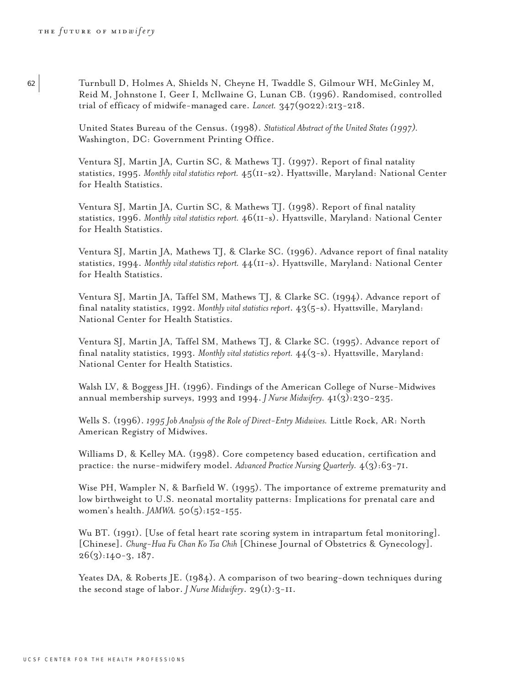<sup>62</sup> Turnbull D, Holmes A, Shields N, Cheyne H, Twaddle S, Gilmour WH, McGinley M, Reid M, Johnstone I, Geer I, McIlwaine G, Lunan CB. (1996). Randomised, controlled trial of efficacy of midwife-managed care. *Lancet.* 347(9022):213-218.

> United States Bureau of the Census. (1998). *Statistical Abstract of the United States (1997).* Washington, DC: Government Printing Office.

Ventura SJ, Martin JA, Curtin SC, & Mathews TJ. (1997). Report of final natality statistics, 1995. *Monthly vital statistics report.* 45(11-s2). Hyattsville, Maryland: National Center for Health Statistics.

Ventura SJ, Martin JA, Curtin SC, & Mathews TJ. (1998). Report of final natality statistics, 1996. *Monthly vital statistics report.* 46(11-s). Hyattsville, Maryland: National Center for Health Statistics.

Ventura SJ, Martin JA, Mathews TJ, & Clarke SC. (1996). Advance report of final natality statistics, 1994. *Monthly vital statistics report.* 44(11-s). Hyattsville, Maryland: National Center for Health Statistics.

Ventura SJ, Martin JA, Taffel SM, Mathews TJ, & Clarke SC. (1994). Advance report of final natality statistics, 1992. *Monthly vital statistics report*. 43(5-s). Hyattsville, Maryland: National Center for Health Statistics.

Ventura SJ, Martin JA, Taffel SM, Mathews TJ, & Clarke SC. (1995). Advance report of final natality statistics, 1993. *Monthly vital statistics report.* 44(3-s). Hyattsville, Maryland: National Center for Health Statistics.

Walsh LV, & Boggess JH. (1996). Findings of the American College of Nurse-Midwives annual membership surveys, 1993 and 1994. *J Nurse Midwifery.* 41(3):230-235.

Wells S. (1996). *1995 Job Analysis of the Role of Direct-Entry Midwives.* Little Rock, AR: North American Registry of Midwives.

Williams D, & Kelley MA. (1998). Core competency based education, certification and practice: the nurse-midwifery model. *Advanced Practice Nursing Quarterly.* 4(3):63-71.

Wise PH, Wampler N, & Barfield W. (1995). The importance of extreme prematurity and low birthweight to U.S. neonatal mortality patterns: Implications for prenatal care and women's health. *JAMWA.* 50(5):152-155.

Wu BT. (1991). [Use of fetal heart rate scoring system in intrapartum fetal monitoring]. [Chinese]. *Chung-Hua Fu Chan Ko Tsa Chih* [Chinese Journal of Obstetrics & Gynecology]. 26(3):140-3, 187.

Yeates DA, & Roberts JE. (1984). A comparison of two bearing-down techniques during the second stage of labor. *J Nurse Midwifery*. 29(1):3-11.